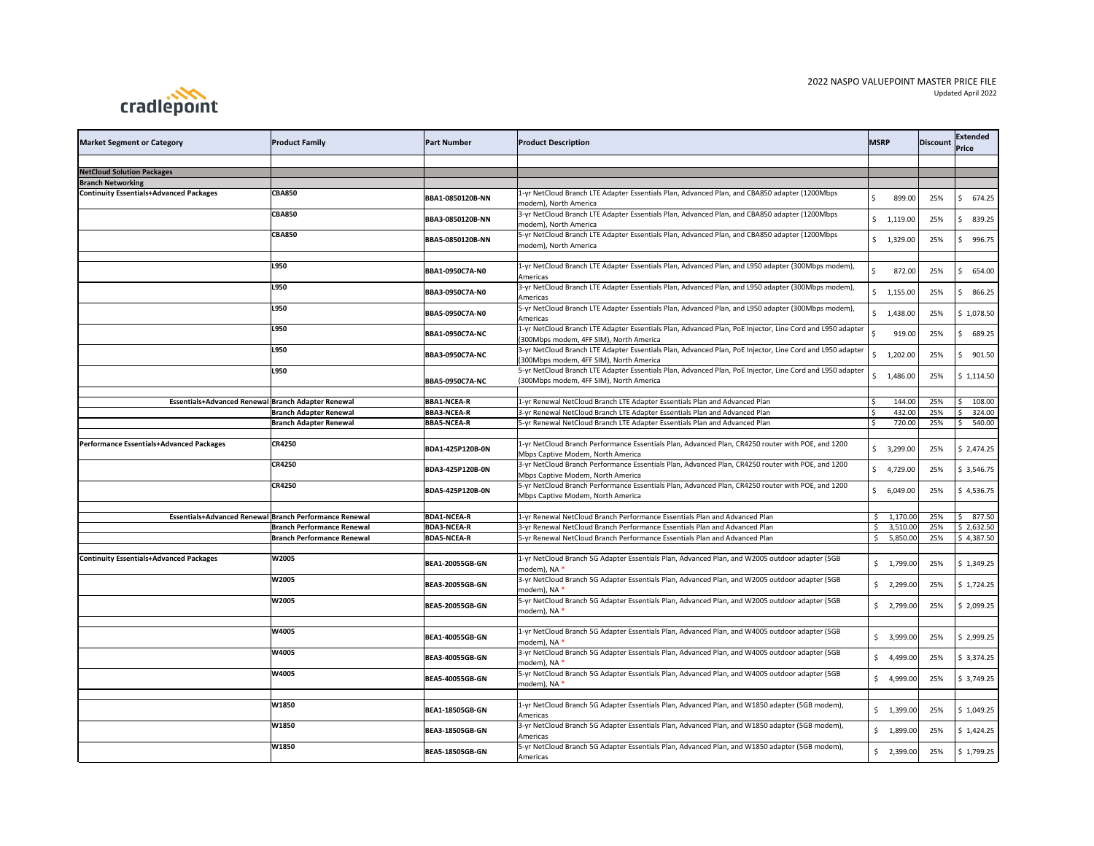## 2022 NASPO VALUEPOINT MASTER PRICE FILE Updated April 2022



| <b>Market Segment or Category</b>                             | <b>Product Family</b>                                  | <b>Part Number</b>     | <b>Product Description</b>                                                                                                                           | <b>MSRP</b> |                          | Discount | Extended<br><b>Price</b> |
|---------------------------------------------------------------|--------------------------------------------------------|------------------------|------------------------------------------------------------------------------------------------------------------------------------------------------|-------------|--------------------------|----------|--------------------------|
|                                                               |                                                        |                        |                                                                                                                                                      |             |                          |          |                          |
| <b>NetCloud Solution Packages</b><br><b>Branch Networking</b> |                                                        |                        |                                                                                                                                                      |             |                          |          |                          |
| <b>Continuity Essentials+Advanced Packages</b>                | <b>CBA850</b>                                          | BBA1-0850120B-NN       | 1-yr NetCloud Branch LTE Adapter Essentials Plan, Advanced Plan, and CBA850 adapter (1200Mbps<br>modem), North America                               |             | 899.00                   | 25%      | 674.25<br>Ś              |
|                                                               | <b>CBA850</b>                                          | BBA3-0850120B-NN       | 3-yr NetCloud Branch LTE Adapter Essentials Plan, Advanced Plan, and CBA850 adapter (1200Mbps<br>modem), North America                               |             | \$1,119.00               | 25%      | 839.25<br>Ś              |
|                                                               | <b>CBA850</b>                                          | BBA5-0850120B-NN       | 5-yr NetCloud Branch LTE Adapter Essentials Plan, Advanced Plan, and CBA850 adapter (1200Mbps<br>modem), North America                               |             | \$1,329.00               | 25%      | 996.75<br>Ś              |
|                                                               | L950                                                   | BBA1-0950C7A-N0        | 1-yr NetCloud Branch LTE Adapter Essentials Plan, Advanced Plan, and L950 adapter (300Mbps modem),<br>Americas                                       |             | 872.00                   | 25%      | 654.00<br>Ś              |
|                                                               | L950                                                   | BBA3-0950C7A-N0        | 3-yr NetCloud Branch LTE Adapter Essentials Plan, Advanced Plan, and L950 adapter (300Mbps modem),<br>Americas                                       |             | \$1,155.00               | 25%      | 866.25<br>-S             |
|                                                               | L950                                                   | BBA5-0950C7A-N0        | 5-yr NetCloud Branch LTE Adapter Essentials Plan, Advanced Plan, and L950 adapter (300Mbps modem),<br>Americas                                       |             | \$1,438.00               | 25%      | \$1,078.50               |
|                                                               | L950                                                   | <b>BBA1-0950C7A-NC</b> | 1-yr NetCloud Branch LTE Adapter Essentials Plan, Advanced Plan, PoE Injector, Line Cord and L950 adapter<br>(300Mbps modem, 4FF SIM), North America |             | 919.00                   | 25%      | 689.25<br>S              |
|                                                               | L950                                                   | <b>BBA3-0950C7A-NC</b> | 3-yr NetCloud Branch LTE Adapter Essentials Plan, Advanced Plan, PoE Injector, Line Cord and L950 adapter<br>(300Mbps modem, 4FF SIM), North America | \$.         | 1,202.00                 | 25%      | 901.50<br>-S             |
|                                                               | L950                                                   | <b>BBA5-0950C7A-NC</b> | 5-yr NetCloud Branch LTE Adapter Essentials Plan, Advanced Plan, PoE Injector, Line Cord and L950 adapter<br>(300Mbps modem, 4FF SIM), North America |             | \$1,486.00               | 25%      | \$1,114.50               |
|                                                               |                                                        |                        |                                                                                                                                                      |             |                          |          |                          |
| Essentials+Advanced Renewal Branch Adapter Renewal            |                                                        | <b>BBA1-NCEA-R</b>     | 1-yr Renewal NetCloud Branch LTE Adapter Essentials Plan and Advanced Plan                                                                           |             | 144.00                   | 25%      | 108.00                   |
|                                                               | <b>Branch Adapter Renewal</b>                          | <b>BBA3-NCEA-R</b>     | 3-yr Renewal NetCloud Branch LTE Adapter Essentials Plan and Advanced Plan                                                                           |             | 432.00                   | 25%      | 324.00                   |
|                                                               | <b>Branch Adapter Renewal</b>                          | <b>BBA5-NCEA-R</b>     | 5-yr Renewal NetCloud Branch LTE Adapter Essentials Plan and Advanced Plan                                                                           | S,          | 720.00                   | 25%      | \$<br>540.00             |
| Performance Essentials+Advanced Packages                      | <b>CR4250</b>                                          | BDA1-425P120B-0N       | 1-yr NetCloud Branch Performance Essentials Plan, Advanced Plan, CR4250 router with POE, and 1200<br>Mbps Captive Modem, North America               |             | \$3,299.00               | 25%      | $ $ \$ 2,474.25          |
|                                                               | <b>CR4250</b>                                          | BDA3-425P120B-0N       | 3-yr NetCloud Branch Performance Essentials Plan, Advanced Plan, CR4250 router with POE, and 1200<br>Mbps Captive Modem, North America               |             | \$4,729.00               | 25%      | \$3,546.75               |
|                                                               | <b>CR4250</b>                                          | BDA5-425P120B-0N       | 5-yr NetCloud Branch Performance Essentials Plan, Advanced Plan, CR4250 router with POE, and 1200<br>Mbps Captive Modem, North America               |             | \$6,049.00               | 25%      | \$4,536.75               |
|                                                               | Essentials+Advanced Renewal Branch Performance Renewal | <b>BDA1-NCEA-R</b>     | 1-yr Renewal NetCloud Branch Performance Essentials Plan and Advanced Plan                                                                           |             | $\frac{1}{2}$ 1,170.00   | 25%      | \$77.50                  |
|                                                               | <b>Branch Performance Renewal</b>                      | <b>BDA3-NCEA-R</b>     | 3-yr Renewal NetCloud Branch Performance Essentials Plan and Advanced Plan                                                                           |             | \$3,510.00               | 25%      | \$2,632.50               |
|                                                               | <b>Branch Performance Renewal</b>                      | <b>BDA5-NCEA-R</b>     | 5-yr Renewal NetCloud Branch Performance Essentials Plan and Advanced Plan                                                                           |             | \$5,850.00               | 25%      | \$4,387.50               |
|                                                               |                                                        |                        |                                                                                                                                                      |             |                          |          |                          |
| <b>Continuity Essentials+Advanced Packages</b>                | W2005                                                  | <b>BEA1-20055GB-GN</b> | 1-yr NetCloud Branch 5G Adapter Essentials Plan, Advanced Plan, and W2005 outdoor adapter (5GB<br>modem), NA *                                       |             | $\frac{1}{2}$ , 1,799.00 | 25%      | \$1,349.25               |
|                                                               | W2005                                                  | <b>BEA3-20055GB-GN</b> | 3-yr NetCloud Branch 5G Adapter Essentials Plan, Advanced Plan, and W2005 outdoor adapter (5GB<br>modem), NA *                                       |             | $\frac{1}{2}$ , 2,299.00 | 25%      | \$1,724.25               |
|                                                               | W2005                                                  | <b>BEA5-20055GB-GN</b> | 5-yr NetCloud Branch 5G Adapter Essentials Plan, Advanced Plan, and W2005 outdoor adapter (5GB<br>modem), NA *                                       |             | $\frac{1}{2}$ ,799.00    | 25%      | \$2,099.25               |
|                                                               | W4005                                                  | <b>BEA1-40055GB-GN</b> | 1-yr NetCloud Branch 5G Adapter Essentials Plan, Advanced Plan, and W4005 outdoor adapter (5GB<br>modem), NA *                                       |             | $\frac{1}{2}$ 3,999.00   | 25%      | \$2,999.25               |
|                                                               | W4005                                                  | <b>BEA3-40055GB-GN</b> | 3-yr NetCloud Branch 5G Adapter Essentials Plan, Advanced Plan, and W4005 outdoor adapter (5GB<br>modem), NA *                                       |             | $\frac{1}{2}$ 4,499.00   | 25%      | \$3,374.25               |
|                                                               | W4005                                                  | <b>BEA5-40055GB-GN</b> | 5-yr NetCloud Branch 5G Adapter Essentials Plan, Advanced Plan, and W4005 outdoor adapter (5GB<br>modem), NA *                                       |             | $\frac{1}{2}$ 4,999.00   | 25%      | \$3,749.25               |
|                                                               | W1850                                                  | <b>BEA1-18505GB-GN</b> | 1-yr NetCloud Branch 5G Adapter Essentials Plan, Advanced Plan, and W1850 adapter (5GB modem),<br>Americas                                           |             | $\frac{1}{2}$ , 1,399.00 | 25%      | \$1,049.25               |
|                                                               | W1850                                                  | <b>BEA3-18505GB-GN</b> | 3-yr NetCloud Branch 5G Adapter Essentials Plan, Advanced Plan, and W1850 adapter (5GB modem),<br>Americas                                           |             | $\frac{1,899.00}{$       | 25%      | \$1,424.25               |
|                                                               | W1850                                                  | <b>BEA5-18505GB-GN</b> | 5-yr NetCloud Branch 5G Adapter Essentials Plan, Advanced Plan, and W1850 adapter (5GB modem),<br>Americas                                           |             | $\frac{1}{2}$ , 2,399.00 | 25%      | \$1,799.25               |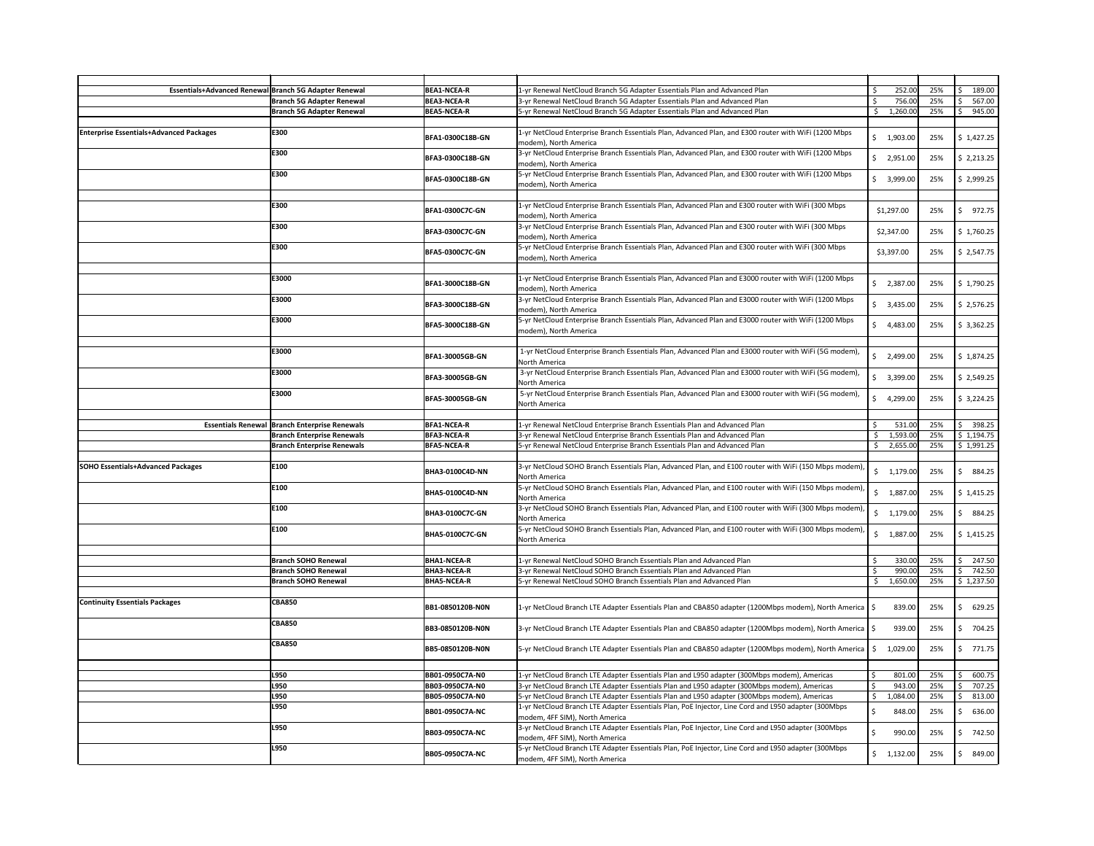|                                                | Essentials+Advanced Renewal Branch 5G Adapter Renewal | <b>BEA1-NCEA-R</b>      | 1-yr Renewal NetCloud Branch 5G Adapter Essentials Plan and Advanced Plan                                                              |         | 252.00                   | 25% | 189.00                 |
|------------------------------------------------|-------------------------------------------------------|-------------------------|----------------------------------------------------------------------------------------------------------------------------------------|---------|--------------------------|-----|------------------------|
|                                                | <b>Branch 5G Adapter Renewal</b>                      | <b>BEA3-NCEA-R</b>      | 3-yr Renewal NetCloud Branch 5G Adapter Essentials Plan and Advanced Plan                                                              |         | 756.00                   | 25% | 567.00                 |
|                                                | <b>Branch 5G Adapter Renewal</b>                      | <b>BEA5-NCEA-R</b>      | 5-yr Renewal NetCloud Branch 5G Adapter Essentials Plan and Advanced Plan                                                              |         | 1,260.00                 | 25% | \$<br>945.00           |
| <b>Enterprise Essentials+Advanced Packages</b> | E300                                                  | <b>BFA1-0300C18B-GN</b> | 1-yr NetCloud Enterprise Branch Essentials Plan, Advanced Plan, and E300 router with WiFi (1200 Mbps<br>modem), North America          |         | \$1,903.00               | 25% | \$1,427.25             |
|                                                | E300                                                  | BFA3-0300C18B-GN        | 3-yr NetCloud Enterprise Branch Essentials Plan, Advanced Plan, and E300 router with WiFi (1200 Mbps<br>modem), North America          | S.      | 2,951.00                 | 25% | \$2,213.25             |
|                                                | <b>E300</b>                                           | <b>BFA5-0300C18B-GN</b> | 5-yr NetCloud Enterprise Branch Essentials Plan, Advanced Plan, and E300 router with WiFi (1200 Mbps<br>modem), North America          |         | 3,999.00                 | 25% | \$2,999.25             |
|                                                | E300                                                  | <b>BFA1-0300C7C-GN</b>  | 1-yr NetCloud Enterprise Branch Essentials Plan, Advanced Plan and E300 router with WiFi (300 Mbps<br>modem), North America            |         | \$1,297.00               | 25% | 972.75<br>Ŝ.           |
|                                                | E300                                                  | <b>BFA3-0300C7C-GN</b>  | 3-yr NetCloud Enterprise Branch Essentials Plan, Advanced Plan and E300 router with WiFi (300 Mbps<br>modem), North America            |         | \$2,347.00               | 25% | \$1,760.25             |
|                                                | <b>E300</b>                                           | <b>BFA5-0300C7C-GN</b>  | 5-yr NetCloud Enterprise Branch Essentials Plan, Advanced Plan and E300 router with WiFi (300 Mbps<br>modem), North America            |         | \$3,397.00               | 25% | \$2,547.75             |
|                                                | E3000                                                 | <b>BFA1-3000C18B-GN</b> | 1-yr NetCloud Enterprise Branch Essentials Plan, Advanced Plan and E3000 router with WiFi (1200 Mbps<br>modem), North America          |         | \$2,387.00               | 25% | \$1,790.25             |
|                                                | E3000                                                 | <b>BFA3-3000C18B-GN</b> | 3-yr NetCloud Enterprise Branch Essentials Plan, Advanced Plan and E3000 router with WiFi (1200 Mbps<br>modem), North America          |         | \$3,435.00               | 25% | \$2,576.25             |
|                                                | E3000                                                 | <b>BFA5-3000C18B-GN</b> | 5-yr NetCloud Enterprise Branch Essentials Plan, Advanced Plan and E3000 router with WiFi (1200 Mbps<br>modem), North America          |         | \$4,483.00               | 25% | \$3,362.25             |
|                                                | E3000                                                 | <b>BFA1-30005GB-GN</b>  | 1-yr NetCloud Enterprise Branch Essentials Plan, Advanced Plan and E3000 router with WiFi (5G modem),<br>North America                 |         | \$2,499.00               | 25% | \$1,874.25             |
|                                                | E3000                                                 | <b>BFA3-30005GB-GN</b>  | 3-yr NetCloud Enterprise Branch Essentials Plan, Advanced Plan and E3000 router with WiFi (5G modem),<br>North America                 | \$      | 3,399.00                 | 25% | \$2,549.25             |
|                                                | E3000                                                 | <b>BFA5-30005GB-GN</b>  | 5-yr NetCloud Enterprise Branch Essentials Plan, Advanced Plan and E3000 router with WiFi (5G modem),<br>North America                 | S.      | 4,299.00                 | 25% | \$3,224.25             |
|                                                | <b>Essentials Renewal Branch Enterprise Renewals</b>  | <b>BFA1-NCEA-R</b>      | 1-yr Renewal NetCloud Enterprise Branch Essentials Plan and Advanced Plan                                                              |         | 531.00                   | 25% | 398.25                 |
|                                                | <b>Branch Enterprise Renewals</b>                     | <b>BFA3-NCEA-R</b>      | 3-yr Renewal NetCloud Enterprise Branch Essentials Plan and Advanced Plan                                                              |         | 1,593.00                 | 25% | \$1,194.75             |
|                                                | <b>Branch Enterprise Renewals</b>                     | <b>BFA5-NCEA-R</b>      | 5-yr Renewal NetCloud Enterprise Branch Essentials Plan and Advanced Plan                                                              |         | 2,655.00                 | 25% | \$1,991.25             |
| <b>SOHO Essentials+Advanced Packages</b>       | E100                                                  | BHA3-0100C4D-NN         | 3-yr NetCloud SOHO Branch Essentials Plan, Advanced Plan, and E100 router with WiFi (150 Mbps modem),<br>North America                 |         | $\frac{1}{2}$ 1,179.00   | 25% | 884.25<br>-S           |
|                                                | E100                                                  | <b>BHA5-0100C4D-NN</b>  | 5-yr NetCloud SOHO Branch Essentials Plan, Advanced Plan, and E100 router with WiFi (150 Mbps modem),<br>North America                 |         | $\frac{1,887.00}{$       | 25% | \$1,415.25             |
|                                                | E100                                                  | BHA3-0100C7C-GN         | 3-yr NetCloud SOHO Branch Essentials Plan, Advanced Plan, and E100 router with WiFi (300 Mbps modem),<br>North America                 |         | $\frac{1}{2}$ , 1,179.00 | 25% | 884.25<br><sup>S</sup> |
|                                                | E100                                                  | <b>BHA5-0100C7C-GN</b>  | 5-yr NetCloud SOHO Branch Essentials Plan, Advanced Plan, and E100 router with WiFi (300 Mbps modem),<br>North America                 |         | \$1,887.00]              | 25% | \$1,415.25             |
|                                                | <b>Branch SOHO Renewal</b>                            | <b>BHA1-NCEA-R</b>      | 1-yr Renewal NetCloud SOHO Branch Essentials Plan and Advanced Plan                                                                    |         | 330.00                   | 25% | 247.50                 |
|                                                | <b>Branch SOHO Renewal</b>                            | <b>BHA3-NCEA-R</b>      | 3-yr Renewal NetCloud SOHO Branch Essentials Plan and Advanced Plan                                                                    |         | 990.00                   | 25% | 742.50                 |
|                                                | <b>Branch SOHO Renewal</b>                            | <b>BHA5-NCEA-R</b>      | 5-yr Renewal NetCloud SOHO Branch Essentials Plan and Advanced Plan                                                                    |         | 1,650.00                 | 25% | \$1,237.50             |
| <b>Continuity Essentials Packages</b>          | <b>CBA850</b>                                         | <b>BB1-0850120B-NON</b> | 1-yr NetCloud Branch LTE Adapter Essentials Plan and CBA850 adapter (1200Mbps modem), North America   \$                               |         | 839.00                   | 25% | 629.25                 |
|                                                | <b>CBA850</b>                                         | <b>BB3-0850120B-NON</b> | 3-yr NetCloud Branch LTE Adapter Essentials Plan and CBA850 adapter (1200Mbps modem), North America $\mid$ \$                          |         | 939.00                   | 25% | 704.25<br>-S           |
|                                                | <b>CBA850</b>                                         | BB5-0850120B-NON        | 5. S-yr NetCloud Branch LTE Adapter Essentials Plan and CBA850 adapter (1200Mbps modem), North America                                 |         | 1,029.00                 | 25% | 771.75<br>-S           |
|                                                | L950                                                  | BB01-0950C7A-N0         | 1-yr NetCloud Branch LTE Adapter Essentials Plan and L950 adapter (300Mbps modem), Americas                                            |         | 801.00                   | 25% | 600.75                 |
|                                                | L950                                                  | BB03-0950C7A-N0         | 3-yr NetCloud Branch LTE Adapter Essentials Plan and L950 adapter (300Mbps modem), Americas                                            |         | 943.00                   | 25% | 707.25                 |
|                                                | L950                                                  | BB05-0950C7A-N0         | 5-yr NetCloud Branch LTE Adapter Essentials Plan and L950 adapter (300Mbps modem), Americas                                            | -S      | 1,084.00                 | 25% | 813.00                 |
|                                                | L950                                                  | BB01-0950C7A-NC         | 1-yr NetCloud Branch LTE Adapter Essentials Plan, PoE Injector, Line Cord and L950 adapter (300Mbps<br>modem, 4FF SIM), North America  | -Ś      | 848.00                   | 25% | 636.00                 |
|                                                | L950                                                  | <b>BB03-0950C7A-NC</b>  | 3-yr NetCloud Branch LTE Adapter Essentials Plan, PoE Injector, Line Cord and L950 adapter (300Mbps)<br>modem, 4FF SIM), North America | $\zeta$ | 990.00                   | 25% | 742.50<br>S            |
|                                                | L950                                                  | <b>BB05-0950C7A-NC</b>  | 5-yr NetCloud Branch LTE Adapter Essentials Plan, PoE Injector, Line Cord and L950 adapter (300Mbps<br>modem, 4FF SIM), North America  |         | $\frac{1}{2}$ , 1,132.00 | 25% | 849.00<br>-S           |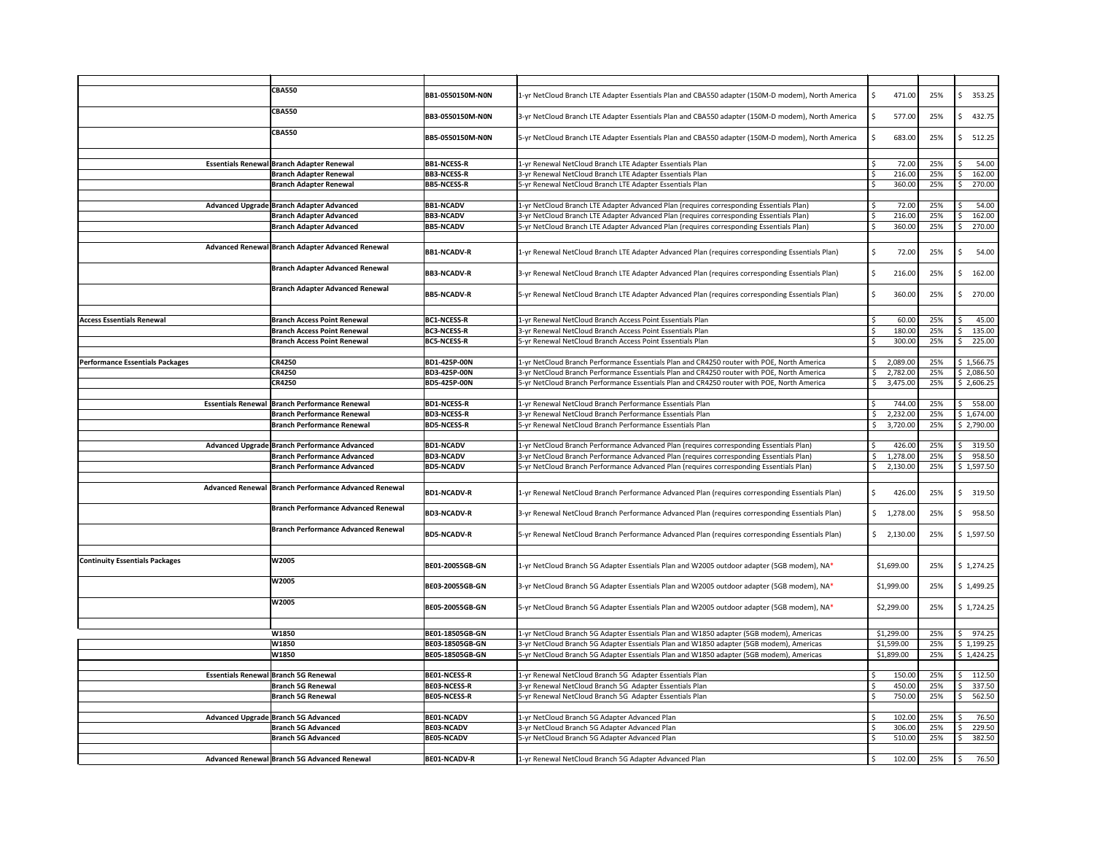|                                        | <b>CBA550</b>                                        | <b>BB1-0550150M-N0N</b> | 1-yr NetCloud Branch LTE Adapter Essentials Plan and CBA550 adapter (150M-D modem), North America |     | 471.00     | 25% | Ś<br>353.25             |
|----------------------------------------|------------------------------------------------------|-------------------------|---------------------------------------------------------------------------------------------------|-----|------------|-----|-------------------------|
|                                        | <b>CBA550</b>                                        | <b>BB3-0550150M-NON</b> | 3-yr NetCloud Branch LTE Adapter Essentials Plan and CBA550 adapter (150M-D modem), North America |     | 577.00     | 25% | Ŝ.<br>432.75            |
|                                        | <b>CBA550</b>                                        | <b>BB5-0550150M-NON</b> | 5-yr NetCloud Branch LTE Adapter Essentials Plan and CBA550 adapter (150M-D modem), North America |     | 683.00     | 25% | 512.25                  |
|                                        | <b>Essentials Renewal Branch Adapter Renewal</b>     | <b>BB1-NCESS-R</b>      | 1-yr Renewal NetCloud Branch LTE Adapter Essentials Plan                                          |     | 72.00      | 25% | 54.00                   |
|                                        | <b>Branch Adapter Renewal</b>                        | <b>BB3-NCESS-R</b>      | 3-yr Renewal NetCloud Branch LTE Adapter Essentials Plan                                          |     | 216.00     | 25% | 162.00                  |
|                                        | <b>Branch Adapter Renewal</b>                        | <b>BB5-NCESS-R</b>      | 5-yr Renewal NetCloud Branch LTE Adapter Essentials Plan                                          |     | 360.00     | 25% | 270.00                  |
|                                        |                                                      |                         |                                                                                                   |     |            |     |                         |
|                                        | Advanced Upgrade Branch Adapter Advanced             | <b>BB1-NCADV</b>        | 1-yr NetCloud Branch LTE Adapter Advanced Plan (requires corresponding Essentials Plan)           |     | 72.00      | 25% | 54.00                   |
|                                        | <b>Branch Adapter Advanced</b>                       | <b>BB3-NCADV</b>        | 3-yr NetCloud Branch LTE Adapter Advanced Plan (requires corresponding Essentials Plan)           |     | 216.00     | 25% | 162.00                  |
|                                        | <b>Branch Adapter Advanced</b>                       | <b>BB5-NCADV</b>        | 5-yr NetCloud Branch LTE Adapter Advanced Plan (requires corresponding Essentials Plan)           | -Ś  | 360.00     | 25% | 270.00                  |
|                                        | Advanced Renewal Branch Adapter Advanced Renewal     | <b>BB1-NCADV-R</b>      | 1-yr Renewal NetCloud Branch LTE Adapter Advanced Plan (requires corresponding Essentials Plan)   | -Ś  | 72.00      | 25% | 54.00                   |
|                                        | <b>Branch Adapter Advanced Renewal</b>               | <b>BB3-NCADV-R</b>      | 3-yr Renewal NetCloud Branch LTE Adapter Advanced Plan (requires corresponding Essentials Plan)   | -Ś  | 216.00     | 25% | 162.00                  |
|                                        | <b>Branch Adapter Advanced Renewal</b>               | <b>BB5-NCADV-R</b>      | 5-yr Renewal NetCloud Branch LTE Adapter Advanced Plan (requires corresponding Essentials Plan)   |     | 360.00     | 25% | 270.00                  |
| <b>Access Essentials Renewal</b>       | <b>Branch Access Point Renewal</b>                   | <b>BC1-NCESS-R</b>      | 1-yr Renewal NetCloud Branch Access Point Essentials Plan                                         |     | 60.00      | 25% |                         |
|                                        | <b>Branch Access Point Renewal</b>                   | <b>BC3-NCESS-R</b>      | 3-yr Renewal NetCloud Branch Access Point Essentials Plan                                         |     | 180.00     | 25% | 45.00<br>135.00         |
|                                        | <b>Branch Access Point Renewal</b>                   | <b>BC5-NCESS-R</b>      | 5-yr Renewal NetCloud Branch Access Point Essentials Plan                                         |     | 300.00     | 25% | 225.00                  |
|                                        |                                                      |                         |                                                                                                   |     |            |     |                         |
| <b>Performance Essentials Packages</b> | <b>CR4250</b>                                        | BD1-425P-00N            | 1-yr NetCloud Branch Performance Essentials Plan and CR4250 router with POE, North America        |     | 2,089.00   | 25% | \$1,566.75              |
|                                        | <b>CR4250</b>                                        | BD3-425P-00N            | 3-yr NetCloud Branch Performance Essentials Plan and CR4250 router with POE, North America        |     | 2,782.00   | 25% | \$2,086.50              |
|                                        | <b>CR4250</b>                                        | <b>BD5-425P-00N</b>     | 5-yr NetCloud Branch Performance Essentials Plan and CR4250 router with POE, North America        |     | 3,475.00   | 25% | \$2,606.25              |
|                                        | <b>Essentials Renewal Branch Performance Renewal</b> | <b>BD1-NCESS-R</b>      | 1-yr Renewal NetCloud Branch Performance Essentials Plan                                          |     | 744.00     | 25% | $\zeta$<br>558.00       |
|                                        | <b>Branch Performance Renewal</b>                    | <b>BD3-NCESS-R</b>      | 3-yr Renewal NetCloud Branch Performance Essentials Plan                                          |     | 2,232.00   | 25% | \$1,674.00              |
|                                        | <b>Branch Performance Renewal</b>                    | <b>BD5-NCESS-R</b>      | 5-yr Renewal NetCloud Branch Performance Essentials Plan                                          | -Ś  | 3,720.00   | 25% | \$2,790.00              |
|                                        |                                                      |                         |                                                                                                   |     |            |     |                         |
|                                        | Advanced Upgrade Branch Performance Advanced         | <b>BD1-NCADV</b>        | 1-yr NetCloud Branch Performance Advanced Plan (requires corresponding Essentials Plan)           |     | 426.00     | 25% | 319.50                  |
|                                        | <b>Branch Performance Advanced</b>                   | <b>BD3-NCADV</b>        | 3-yr NetCloud Branch Performance Advanced Plan (requires corresponding Essentials Plan)           |     | 1,278.00   | 25% | 958.50                  |
|                                        | <b>Branch Performance Advanced</b>                   | <b>BD5-NCADV</b>        | 5-yr NetCloud Branch Performance Advanced Plan (requires corresponding Essentials Plan)           | S.  | 2,130.00   | 25% | \$1,597.50              |
|                                        | Advanced Renewal Branch Performance Advanced Renewal | <b>BD1-NCADV-R</b>      | 1-yr Renewal NetCloud Branch Performance Advanced Plan (requires corresponding Essentials Plan)   | -S  | 426.00     | 25% | <sup>\$</sup><br>319.50 |
|                                        | <b>Branch Performance Advanced Renewal</b>           | <b>BD3-NCADV-R</b>      | 3-yr Renewal NetCloud Branch Performance Advanced Plan (requires corresponding Essentials Plan)   |     | \$1,278.00 | 25% | 958.50                  |
|                                        | <b>Branch Performance Advanced Renewal</b>           | <b>BD5-NCADV-R</b>      | 5-yr Renewal NetCloud Branch Performance Advanced Plan (requires corresponding Essentials Plan)   |     | \$2,130.00 | 25% | \$1,597.50              |
| <b>Continuity Essentials Packages</b>  | W2005                                                | <b>BE01-20055GB-GN</b>  | 1-yr NetCloud Branch 5G Adapter Essentials Plan and W2005 outdoor adapter (5GB modem), NA*        |     | \$1,699.00 | 25% | \$1,274.25              |
|                                        | W2005                                                | <b>BE03-20055GB-GN</b>  | 3-yr NetCloud Branch 5G Adapter Essentials Plan and W2005 outdoor adapter (5GB modem), NA*        |     | \$1,999.00 | 25% | \$1,499.25              |
|                                        | W2005                                                | <b>BE05-20055GB-GN</b>  | 5-yr NetCloud Branch 5G Adapter Essentials Plan and W2005 outdoor adapter (5GB modem), NA*        |     | \$2,299.00 | 25% | \$1,724.25              |
|                                        | W1850                                                | BE01-18505GB-GN         | 1-yr NetCloud Branch 5G Adapter Essentials Plan and W1850 adapter (5GB modem), Americas           |     | \$1,299.00 | 25% | 974.25                  |
|                                        | W1850                                                | BE03-18505GB-GN         | 3-yr NetCloud Branch 5G Adapter Essentials Plan and W1850 adapter (5GB modem), Americas           |     | \$1,599.00 | 25% | \$1,199.25              |
|                                        | W1850                                                | BE05-18505GB-GN         | 5-yr NetCloud Branch 5G Adapter Essentials Plan and W1850 adapter (5GB modem), Americas           |     | \$1,899.00 | 25% | \$1,424.25              |
|                                        |                                                      |                         |                                                                                                   |     |            |     |                         |
|                                        | <b>Essentials Renewal Branch 5G Renewal</b>          | <b>BE01-NCESS-R</b>     | 1-yr Renewal NetCloud Branch 5G Adapter Essentials Plan                                           |     | 150.00     | 25% | 112.50                  |
|                                        | <b>Branch 5G Renewal</b>                             | <b>BE03-NCESS-R</b>     | 3-yr Renewal NetCloud Branch 5G Adapter Essentials Plan                                           |     | 450.00     | 25% | 337.50                  |
|                                        | <b>Branch 5G Renewal</b>                             | <b>BE05-NCESS-R</b>     | 5-yr Renewal NetCloud Branch 5G Adapter Essentials Plan                                           | -\$ | 750.00     | 25% | 562.50                  |
|                                        | <b>Advanced Upgrade Branch 5G Advanced</b>           | <b>BE01-NCADV</b>       | 1-yr NetCloud Branch 5G Adapter Advanced Plan                                                     | c.  | 102.00     | 25% | 76.50<br>$\epsilon$     |
|                                        | <b>Branch 5G Advanced</b>                            | <b>BE03-NCADV</b>       | 3-yr NetCloud Branch 5G Adapter Advanced Plan                                                     |     | 306.00     | 25% | ¢<br>229.50             |
|                                        | <b>Branch 5G Advanced</b>                            | <b>BE05-NCADV</b>       | 5-yr NetCloud Branch 5G Adapter Advanced Plan                                                     |     | 510.00     | 25% | 382.50<br>S.            |
|                                        | <b>Advanced Renewal Branch 5G Advanced Renewal</b>   | <b>BE01-NCADV-R</b>     | 1-yr Renewal NetCloud Branch 5G Adapter Advanced Plan                                             | -Ś  | 102.00     | 25% | 76.50                   |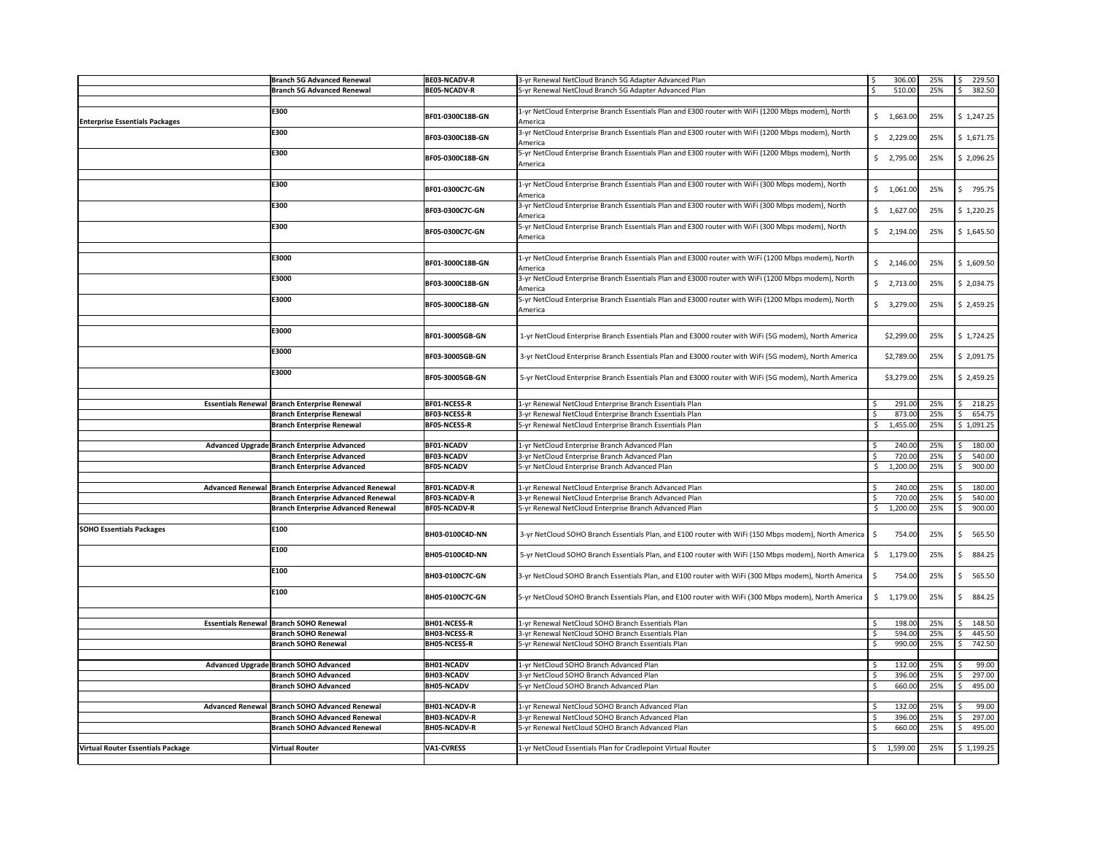|                                          | <b>Branch 5G Advanced Renewal</b>                     | <b>BE03-NCADV-R</b>    | 3-yr Renewal NetCloud Branch 5G Adapter Advanced Plan                                                                    | \$  | 306.00                   | 25% | $\zeta$<br>229.50 |
|------------------------------------------|-------------------------------------------------------|------------------------|--------------------------------------------------------------------------------------------------------------------------|-----|--------------------------|-----|-------------------|
|                                          | <b>Branch 5G Advanced Renewal</b>                     | <b>BE05-NCADV-R</b>    | 5-yr Renewal NetCloud Branch 5G Adapter Advanced Plan                                                                    | -\$ | 510.00                   | 25% | 382.50<br>-S      |
|                                          | E300                                                  | BF01-0300C18B-GN       | 1-yr NetCloud Enterprise Branch Essentials Plan and E300 router with WiFi (1200 Mbps modem), North                       |     | $\frac{1}{2}$ 1,663.00   | 25% | \$1,247.25        |
| <b>Enterprise Essentials Packages</b>    | E300                                                  | BF03-0300C18B-GN       | America<br>3-yr NetCloud Enterprise Branch Essentials Plan and E300 router with WiFi (1200 Mbps modem), North            |     | $\frac{1}{2}$ 2,229.00   | 25% | \$1,671.75        |
|                                          | E300                                                  | BF05-0300C18B-GN       | America<br>5-yr NetCloud Enterprise Branch Essentials Plan and E300 router with WiFi (1200 Mbps modem), North<br>America |     | $\frac{1}{2}$ , 2,795.00 | 25% | \$2,096.25        |
|                                          |                                                       |                        |                                                                                                                          |     |                          |     |                   |
|                                          | E300                                                  | BF01-0300C7C-GN        | 1-yr NetCloud Enterprise Branch Essentials Plan and E300 router with WiFi (300 Mbps modem), North<br>America             |     | $\frac{1}{2}$ 1,061.00   | 25% | 795.75            |
|                                          | E300                                                  | BF03-0300C7C-GN        | 3-yr NetCloud Enterprise Branch Essentials Plan and E300 router with WiFi (300 Mbps modem), North<br>America             |     | $\frac{1}{2}$ 1,627.00   | 25% | \$1,220.25        |
|                                          | E300                                                  | BF05-0300C7C-GN        | 5-yr NetCloud Enterprise Branch Essentials Plan and E300 router with WiFi (300 Mbps modem), North<br>America             |     | $\frac{1}{2}$ , 2,194.00 | 25% | \$1,645.50        |
|                                          | E3000                                                 | BF01-3000C18B-GN       | 1-yr NetCloud Enterprise Branch Essentials Plan and E3000 router with WiFi (1200 Mbps modem), North<br>America           |     | $\frac{1}{2}$ , 2,146.00 | 25% | \$1,609.50        |
|                                          | E3000                                                 | BF03-3000C18B-GN       | 3-yr NetCloud Enterprise Branch Essentials Plan and E3000 router with WiFi (1200 Mbps modem), North<br>America           |     | $\frac{1}{2}$ , 2,713.00 | 25% | \$2,034.75        |
|                                          | E3000                                                 | BF05-3000C18B-GN       | 5-yr NetCloud Enterprise Branch Essentials Plan and E3000 router with WiFi (1200 Mbps modem), North<br>America           |     | $\frac{1}{2}$ 3,279.00   | 25% | \$2,459.25        |
|                                          | E3000                                                 | BF01-30005GB-GN        | 1-yr NetCloud Enterprise Branch Essentials Plan and E3000 router with WiFi (5G modem), North America                     |     | \$2,299.00               | 25% | \$1,724.25        |
|                                          | E3000                                                 | <b>BF03-30005GB-GN</b> | 3-yr NetCloud Enterprise Branch Essentials Plan and E3000 router with WiFi (5G modem), North America                     |     | \$2,789.00               | 25% | \$2,091.75        |
|                                          | E3000                                                 | BF05-30005GB-GN        | 5-yr NetCloud Enterprise Branch Essentials Plan and E3000 router with WiFi (5G modem), North America                     |     | \$3,279.00               | 25% | \$2,459.25        |
|                                          | <b>Essentials Renewal Branch Enterprise Renewal</b>   | <b>BF01-NCESS-R</b>    | 1-yr Renewal NetCloud Enterprise Branch Essentials Plan                                                                  |     | 291.00                   | 25% | .S<br>218.25      |
|                                          | <b>Branch Enterprise Renewal</b>                      | <b>BF03-NCESS-R</b>    | 3-yr Renewal NetCloud Enterprise Branch Essentials Plan                                                                  |     | 873.00                   | 25% | 654.75            |
|                                          | <b>Branch Enterprise Renewal</b>                      | <b>BF05-NCESS-R</b>    | 5-yr Renewal NetCloud Enterprise Branch Essentials Plan                                                                  |     | 1,455.00                 | 25% | \$1,091.25        |
|                                          |                                                       |                        |                                                                                                                          |     |                          |     |                   |
|                                          | Advanced Upgrade Branch Enterprise Advanced           | <b>BF01-NCADV</b>      | 1-yr NetCloud Enterprise Branch Advanced Plan                                                                            |     | 240.00                   | 25% | 180.00            |
|                                          | <b>Branch Enterprise Advanced</b>                     | <b>BF03-NCADV</b>      | 3-yr NetCloud Enterprise Branch Advanced Plan                                                                            |     | 720.00                   | 25% | 540.00            |
|                                          | <b>Branch Enterprise Advanced</b>                     | <b>BF05-NCADV</b>      | 5-yr NetCloud Enterprise Branch Advanced Plan                                                                            |     | 1,200.00                 | 25% | 900.00<br>-S      |
|                                          |                                                       |                        |                                                                                                                          |     |                          |     |                   |
|                                          | Advanced Renewal   Branch Enterprise Advanced Renewal | <b>BF01-NCADV-R</b>    | 1-yr Renewal NetCloud Enterprise Branch Advanced Plan                                                                    |     | 240.00                   | 25% | 180.00            |
|                                          | <b>Branch Enterprise Advanced Renewal</b>             | <b>BF03-NCADV-R</b>    | 3-yr Renewal NetCloud Enterprise Branch Advanced Plan                                                                    |     | 720.00                   | 25% | 540.00            |
|                                          | <b>Branch Enterprise Advanced Renewal</b>             | <b>BF05-NCADV-R</b>    | 5-yr Renewal NetCloud Enterprise Branch Advanced Plan                                                                    |     | 1,200.00                 | 25% | 900.00            |
| <b>SOHO Essentials Packages</b>          | E100                                                  | BH03-0100C4D-NN        | 3-yr NetCloud SOHO Branch Essentials Plan, and E100 router with WiFi (150 Mbps modem), North America $\mid$ \$           |     | 754.00                   | 25% | 565.50<br>-S      |
|                                          | E100                                                  | BH05-0100C4D-NN        | 5-yr NetCloud SOHO Branch Essentials Plan, and E100 router with WiFi (150 Mbps modem), North America                     | -S  | 1,179.00                 | 25% | 884.25<br>-S      |
|                                          | E100                                                  | BH03-0100C7C-GN        | 3-yr NetCloud SOHO Branch Essentials Plan, and E100 router with WiFi (300 Mbps modem), North America                     | S   | 754.00                   | 25% | 565.50<br>S       |
|                                          | E100                                                  | BH05-0100C7C-GN        | 5-yr NetCloud SOHO Branch Essentials Plan, and E100 router with WiFi (300 Mbps modem), North America                     | S.  | 1,179.00                 | 25% | 884.25            |
|                                          | Essentials Renewal   Branch SOHO Renewal              | <b>BH01-NCESS-R</b>    | 1-yr Renewal NetCloud SOHO Branch Essentials Plan                                                                        |     | 198.00                   | 25% | 148.50            |
|                                          | <b>Branch SOHO Renewal</b>                            | <b>BH03-NCESS-R</b>    | 3-yr Renewal NetCloud SOHO Branch Essentials Plan                                                                        |     | 594.00                   | 25% | 445.50            |
|                                          | <b>Branch SOHO Renewal</b>                            | <b>BH05-NCESS-R</b>    | 5-yr Renewal NetCloud SOHO Branch Essentials Plan                                                                        | .\$ | 990.00                   | 25% | 742.50            |
|                                          | Advanced Upgrade Branch SOHO Advanced                 | <b>BH01-NCADV</b>      | 1-yr NetCloud SOHO Branch Advanced Plan                                                                                  |     | 132.00                   | 25% | 99.00             |
|                                          | <b>Branch SOHO Advanced</b>                           | <b>BH03-NCADV</b>      | 3-yr NetCloud SOHO Branch Advanced Plan                                                                                  |     | 396.00                   | 25% | 297.00            |
|                                          | <b>Branch SOHO Advanced</b>                           | <b>BH05-NCADV</b>      | 5-yr NetCloud SOHO Branch Advanced Plan                                                                                  |     | 660.00                   | 25% | 495.00            |
|                                          |                                                       |                        |                                                                                                                          |     |                          |     |                   |
|                                          | Advanced Renewal   Branch SOHO Advanced Renewal       | <b>BH01-NCADV-R</b>    | 1-yr Renewal NetCloud SOHO Branch Advanced Plan                                                                          |     | 132.00                   | 25% | 99.00             |
|                                          | <b>Branch SOHO Advanced Renewal</b>                   | <b>BH03-NCADV-R</b>    | 3-yr Renewal NetCloud SOHO Branch Advanced Plan                                                                          |     | 396.00                   | 25% | -c<br>297.00      |
|                                          | <b>Branch SOHO Advanced Renewal</b>                   | <b>BH05-NCADV-R</b>    | 5-yr Renewal NetCloud SOHO Branch Advanced Plan                                                                          |     | 660.00                   | 25% | \$<br>495.00      |
|                                          |                                                       |                        |                                                                                                                          |     |                          |     |                   |
| <b>Virtual Router Essentials Package</b> | <b>Virtual Router</b>                                 | <b>VA1-CVRESS</b>      | 1-yr NetCloud Essentials Plan for Cradlepoint Virtual Router                                                             |     | \$1,599.00               | 25% | \$1,199.25        |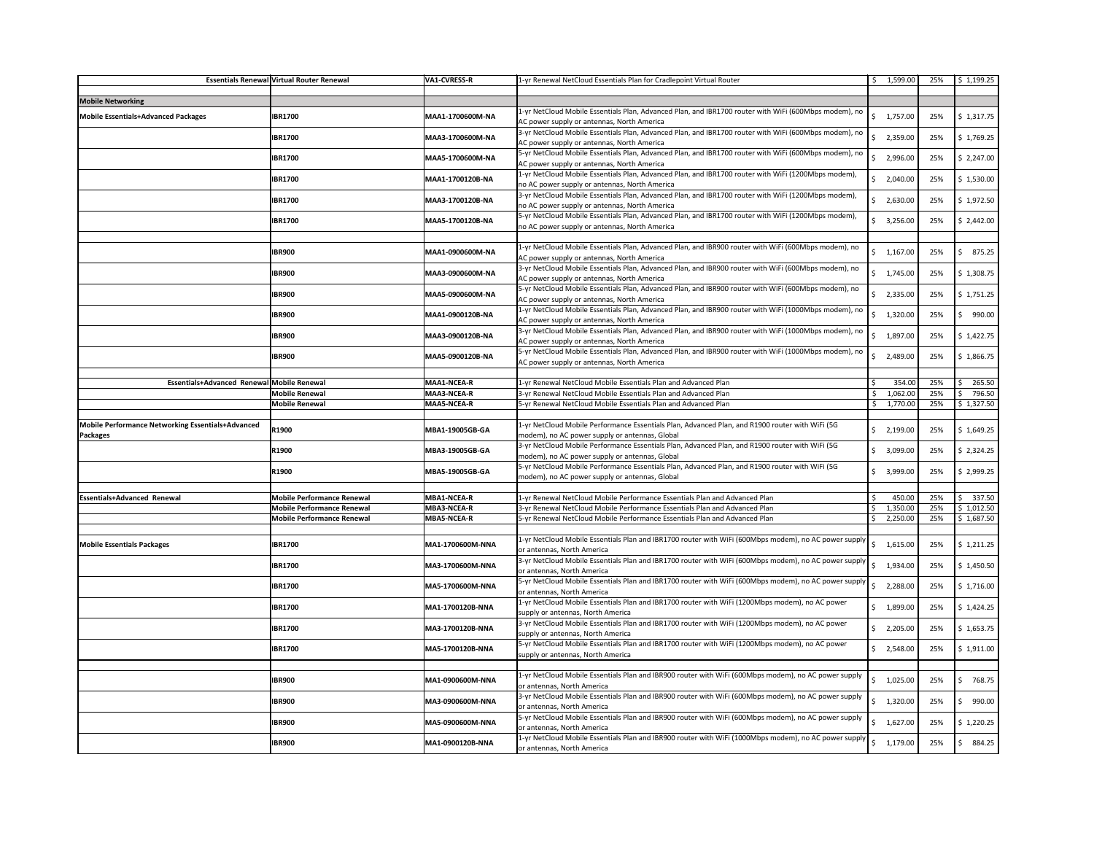|                                                                      | <b>Essentials Renewal Virtual Router Renewal</b> | <b>VA1-CVRESS-R</b> | 1-yr Renewal NetCloud Essentials Plan for Cradlepoint Virtual Router                                                                                     |                | \$1,599.00               | 25% | \$1,199.25      |
|----------------------------------------------------------------------|--------------------------------------------------|---------------------|----------------------------------------------------------------------------------------------------------------------------------------------------------|----------------|--------------------------|-----|-----------------|
| <b>Mobile Networking</b>                                             |                                                  |                     |                                                                                                                                                          |                |                          |     |                 |
| Mobile Essentials+Advanced Packages                                  | <b>IBR1700</b>                                   | MAA1-1700600M-NA    | 1-yr NetCloud Mobile Essentials Plan, Advanced Plan, and IBR1700 router with WiFi (600Mbps modem), no<br>AC power supply or antennas, North America      |                | \$1,757.00               | 25% | \$1,317.75      |
|                                                                      | <b>IBR1700</b>                                   | MAA3-1700600M-NA    | 3-yr NetCloud Mobile Essentials Plan, Advanced Plan, and IBR1700 router with WiFi (600Mbps modem), no<br>AC power supply or antennas, North America      | S.             | 2,359.00                 | 25% | \$1,769.25      |
|                                                                      | <b>IBR1700</b>                                   | MAA5-1700600M-NA    | 5-yr NetCloud Mobile Essentials Plan, Advanced Plan, and IBR1700 router with WiFi (600Mbps modem), no<br>AC power supply or antennas, North America      | Ŝ.             | 2,996.00                 | 25% | \$2,247.00      |
|                                                                      | <b>IBR1700</b>                                   | MAA1-1700120B-NA    | $ 1$ -yr NetCloud Mobile Essentials Plan, Advanced Plan, and IBR1700 router with WiFi (1200Mbps modem),<br>no AC power supply or antennas, North America |                | 2,040.00                 | 25% | \$1,530.00      |
|                                                                      | <b>IBR1700</b>                                   | MAA3-1700120B-NA    | 3-yr NetCloud Mobile Essentials Plan, Advanced Plan, and IBR1700 router with WiFi (1200Mbps modem),<br>no AC power supply or antennas, North America     | \$.            | 2,630.00                 | 25% | \$1,972.50      |
|                                                                      | <b>IBR1700</b>                                   | MAA5-1700120B-NA    | 5-yr NetCloud Mobile Essentials Plan, Advanced Plan, and IBR1700 router with WiFi (1200Mbps modem),<br>no AC power supply or antennas, North America     |                | \$3,256.00               | 25% | \$2,442.00      |
|                                                                      | <b>IBR900</b>                                    | MAA1-0900600M-NA    | 1-yr NetCloud Mobile Essentials Plan, Advanced Plan, and IBR900 router with WiFi (600Mbps modem), no<br>AC power supply or antennas, North America       |                | \$1,167.00               | 25% | 875.25          |
|                                                                      | <b>IBR900</b>                                    | MAA3-0900600M-NA    | 3-yr NetCloud Mobile Essentials Plan, Advanced Plan, and IBR900 router with WiFi (600Mbps modem), no<br>AC power supply or antennas, North America       |                | \$1,745.00               | 25% | \$1,308.75      |
|                                                                      | <b>IBR900</b>                                    | MAA5-0900600M-NA    | 5-yr NetCloud Mobile Essentials Plan, Advanced Plan, and IBR900 router with WiFi (600Mbps modem), no<br>AC power supply or antennas, North America       |                | \$2,335.00               | 25% | \$1,751.25      |
|                                                                      | <b>IBR900</b>                                    | MAA1-0900120B-NA    | 1-yr NetCloud Mobile Essentials Plan, Advanced Plan, and IBR900 router with WiFi (1000Mbps modem), no<br>AC power supply or antennas, North America      | S.             | 1,320.00                 | 25% | 990.00          |
|                                                                      | <b>IBR900</b>                                    | MAA3-0900120B-NA    | 3-yr NetCloud Mobile Essentials Plan, Advanced Plan, and IBR900 router with WiFi (1000Mbps modem), no<br>AC power supply or antennas, North America      |                | \$1,897.00               | 25% | \$1,422.75      |
|                                                                      | <b>IBR900</b>                                    | MAA5-0900120B-NA    | 5-yr NetCloud Mobile Essentials Plan, Advanced Plan, and IBR900 router with WiFi (1000Mbps modem), no<br>AC power supply or antennas, North America      | S.             | 2,489.00                 | 25% | \$1,866.75      |
| Essentials+Advanced Renewal Mobile Renewal                           |                                                  | <b>MAA1-NCEA-R</b>  | 1-yr Renewal NetCloud Mobile Essentials Plan and Advanced Plan                                                                                           |                | 354.00                   | 25% | 265.50          |
|                                                                      | <b>Mobile Renewal</b>                            | <b>MAA3-NCEA-R</b>  | 3-yr Renewal NetCloud Mobile Essentials Plan and Advanced Plan                                                                                           | ς.             | 1,062.00                 | 25% | \$<br>796.50    |
|                                                                      | <b>Mobile Renewal</b>                            | <b>MAA5-NCEA-R</b>  | 5-yr Renewal NetCloud Mobile Essentials Plan and Advanced Plan                                                                                           |                | \$1,770.00               | 25% | \$1,327.50      |
| Mobile Performance Networking Essentials+Advanced<br><b>Packages</b> | R1900                                            | MBA1-19005GB-GA     | 1-yr NetCloud Mobile Performance Essentials Plan, Advanced Plan, and R1900 router with WiFi (5G<br>modem), no AC power supply or antennas, Global        |                | $\frac{1}{2}$ , 2,199.00 | 25% | \$1,649.25      |
|                                                                      | R1900                                            | MBA3-19005GB-GA     | 3-yr NetCloud Mobile Performance Essentials Plan, Advanced Plan, and R1900 router with WiFi (5G<br>modem), no AC power supply or antennas, Global        |                | 3,099.00                 | 25% | \$2,324.25      |
|                                                                      | R1900                                            | MBA5-19005GB-GA     | 5-yr NetCloud Mobile Performance Essentials Plan, Advanced Plan, and R1900 router with WiFi (5G<br>modem), no AC power supply or antennas, Global        |                | \$3,999.00               | 25% | \$2,999.25      |
| <b>Essentials+Advanced Renewal</b>                                   | <b>Mobile Performance Renewal</b>                | <b>MBA1-NCEA-R</b>  | 1-yr Renewal NetCloud Mobile Performance Essentials Plan and Advanced Plan                                                                               |                | 450.00                   | 25% | 337.50          |
|                                                                      | <b>Mobile Performance Renewal</b>                | <b>MBA3-NCEA-R</b>  | 3-yr Renewal NetCloud Mobile Performance Essentials Plan and Advanced Plan                                                                               |                | 1,350.00                 | 25% | \$1,012.50      |
|                                                                      | <b>Mobile Performance Renewal</b>                | <b>MBA5-NCEA-R</b>  | 5-yr Renewal NetCloud Mobile Performance Essentials Plan and Advanced Plan                                                                               | \$             | 2,250.00                 | 25% | \$1,687.50      |
| <b>Mobile Essentials Packages</b>                                    | <b>IBR1700</b>                                   | MA1-1700600M-NNA    | 1-yr NetCloud Mobile Essentials Plan and IBR1700 router with WiFi (600Mbps modem), no AC power supply<br>or antennas, North America                      | $\mathsf{S}^-$ | 1,615.00                 | 25% | $ $ \$ 1,211.25 |
|                                                                      | <b>IBR1700</b>                                   | MA3-1700600M-NNA    | $ 3$ -yr NetCloud Mobile Essentials Plan and IBR1700 router with WiFi (600Mbps modem), no AC power supply<br>or antennas, North America                  |                | \$1,934.00               | 25% | \$1,450.50      |
|                                                                      | <b>IBR1700</b>                                   | MA5-1700600M-NNA    | 5-yr NetCloud Mobile Essentials Plan and IBR1700 router with WiFi (600Mbps modem), no AC power supply<br>or antennas, North America                      |                | 2,288.00                 | 25% | \$1,716.00      |
|                                                                      | <b>IBR1700</b>                                   | MA1-1700120B-NNA    | 1-yr NetCloud Mobile Essentials Plan and IBR1700 router with WiFi (1200Mbps modem), no AC power<br>supply or antennas, North America                     |                | \$1,899.00               | 25% | \$1,424.25      |
|                                                                      | <b>IBR1700</b>                                   | MA3-1700120B-NNA    | 3-yr NetCloud Mobile Essentials Plan and IBR1700 router with WiFi (1200Mbps modem), no AC power<br>supply or antennas, North America                     |                | \$2,205.00               | 25% | \$1,653.75      |
|                                                                      | <b>IBR1700</b>                                   | MA5-1700120B-NNA    | 5-yr NetCloud Mobile Essentials Plan and IBR1700 router with WiFi (1200Mbps modem), no AC power<br>supply or antennas, North America                     | $\mathsf{S}$   | 2,548.00                 | 25% | \$1,911.00      |
|                                                                      | <b>IBR900</b>                                    | MA1-0900600M-NNA    | 1-yr NetCloud Mobile Essentials Plan and IBR900 router with WiFi (600Mbps modem), no AC power supply<br>or antennas, North America                       | S.             | 1,025.00                 | 25% | 768.75<br>S     |
|                                                                      | <b>IBR900</b>                                    | MA3-0900600M-NNA    | $ 3$ -yr NetCloud Mobile Essentials Plan and IBR900 router with WiFi (600Mbps modem), no AC power supply<br>or antennas, North America                   |                | \$1,320.00               | 25% | 990.00          |
|                                                                      | <b>IBR900</b>                                    | MA5-0900600M-NNA    | 5-yr NetCloud Mobile Essentials Plan and IBR900 router with WiFi (600Mbps modem), no AC power supply<br>or antennas, North America                       | \$             | 1,627.00                 | 25% | \$1,220.25      |
|                                                                      | <b>IBR900</b>                                    | MA1-0900120B-NNA    | $ 1$ -yr NetCloud Mobile Essentials Plan and IBR900 router with WiFi (1000Mbps modem), no AC power supply<br>or antennas, North America                  |                | \$1,179.00               | 25% | 884.25<br>-S    |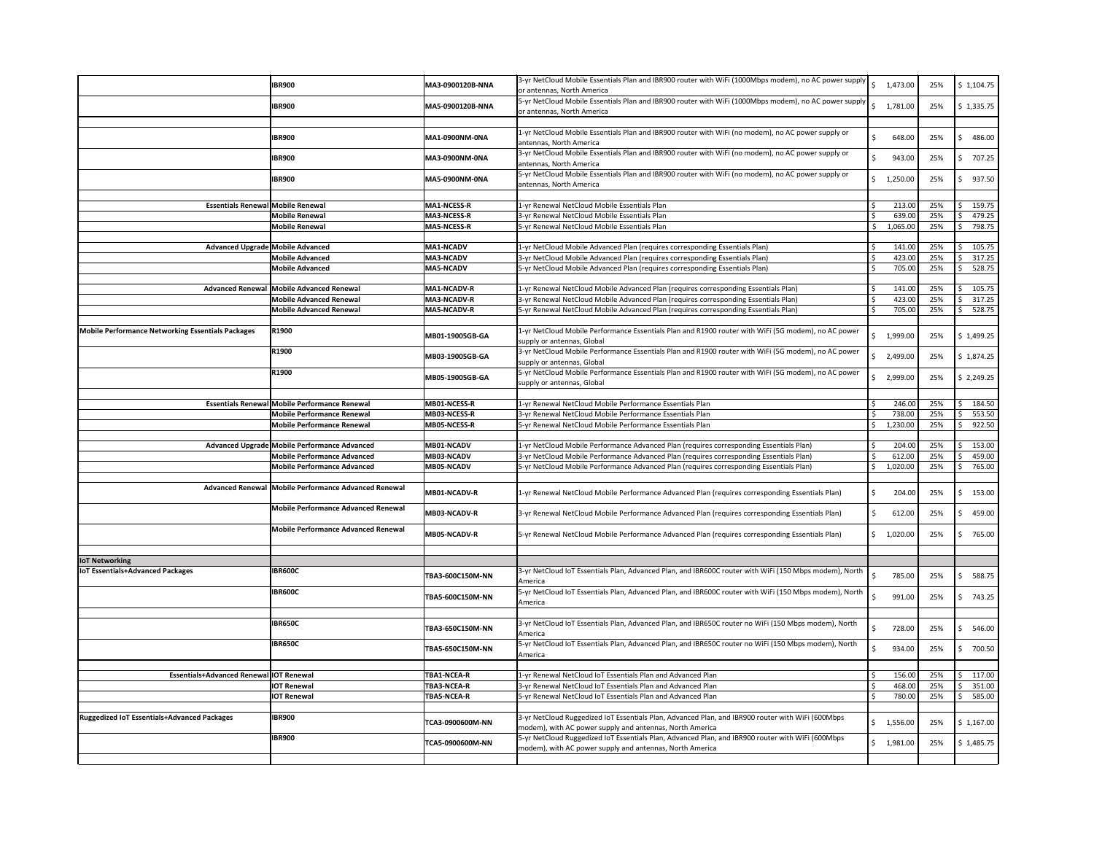|                                                          | <b>IBR900</b>                                                            | MA3-0900120B-NNA                | 3-yr NetCloud Mobile Essentials Plan and IBR900 router with WiFi (1000Mbps modem), no AC power supply<br>or antennas, North America                                                | $\mathsf{S}$       | 1,473.00           | 25%        | \$1,104.75             |
|----------------------------------------------------------|--------------------------------------------------------------------------|---------------------------------|------------------------------------------------------------------------------------------------------------------------------------------------------------------------------------|--------------------|--------------------|------------|------------------------|
|                                                          | <b>IBR900</b>                                                            | MA5-0900120B-NNA                | 5-yr NetCloud Mobile Essentials Plan and IBR900 router with WiFi (1000Mbps modem), no AC power supply<br>or antennas, North America                                                |                    | \$1,781.00         | 25%        | \$1,335.75             |
|                                                          | <b>IBR900</b>                                                            | MA1-0900NM-0NA                  | 1-yr NetCloud Mobile Essentials Plan and IBR900 router with WiFi (no modem), no AC power supply or<br>antennas, North America                                                      | Ŝ.                 | 648.00             | 25%        | 486.00<br>-S           |
|                                                          | <b>IBR900</b>                                                            | MA3-0900NM-0NA                  | 3-yr NetCloud Mobile Essentials Plan and IBR900 router with WiFi (no modem), no AC power supply or<br>antennas, North America                                                      | -Ś                 | 943.00             | 25%        | 707.25<br>-S           |
|                                                          | <b>IBR900</b>                                                            | MA5-0900NM-0NA                  | 5-yr NetCloud Mobile Essentials Plan and IBR900 router with WiFi (no modem), no AC power supply or<br>antennas, North America                                                      |                    | \$1,250.00         | 25%        | 937.50<br>-S           |
| <b>Essentials Renewal Mobile Renewal</b>                 |                                                                          | <b>MA1-NCESS-R</b>              | 1-yr Renewal NetCloud Mobile Essentials Plan                                                                                                                                       | -\$                | 213.00             | 25%        | 159.75                 |
|                                                          | <b>Mobile Renewal</b>                                                    | <b>MA3-NCESS-R</b>              | 3-yr Renewal NetCloud Mobile Essentials Plan                                                                                                                                       |                    | 639.00             | 25%        | 479.25                 |
|                                                          | <b>Mobile Renewal</b>                                                    | <b>MA5-NCESS-R</b>              | 5-yr Renewal NetCloud Mobile Essentials Plan                                                                                                                                       | \$                 | 1,065.00           | 25%        | 798.75                 |
| Advanced Upgrade Mobile Advanced                         |                                                                          | <b>MA1-NCADV</b>                | 1-yr NetCloud Mobile Advanced Plan (requires corresponding Essentials Plan)                                                                                                        | -Ś                 | 141.00             | 25%        | 105.75                 |
|                                                          | <b>Mobile Advanced</b>                                                   | <b>MA3-NCADV</b>                | 3-yr NetCloud Mobile Advanced Plan (requires corresponding Essentials Plan)                                                                                                        | $\mathsf{\hat{S}}$ | 423.00             | 25%        | 317.25                 |
|                                                          | <b>Mobile Advanced</b>                                                   | <b>MA5-NCADV</b>                | 5-yr NetCloud Mobile Advanced Plan (requires corresponding Essentials Plan)                                                                                                        | -\$                | 705.00             | 25%        | 528.75                 |
|                                                          | Advanced Renewal Mobile Advanced Renewal                                 | <b>MA1-NCADV-R</b>              | 1-yr Renewal NetCloud Mobile Advanced Plan (requires corresponding Essentials Plan)                                                                                                |                    | 141.00             | 25%        | 105.75                 |
|                                                          | <b>Mobile Advanced Renewal</b>                                           | <b>MA3-NCADV-R</b>              | 3-yr Renewal NetCloud Mobile Advanced Plan (requires corresponding Essentials Plan)                                                                                                | -\$                | 423.00             | 25%        | 317.25<br>-S           |
|                                                          | <b>Mobile Advanced Renewal</b>                                           | MA5-NCADV-R                     | 5-yr Renewal NetCloud Mobile Advanced Plan (requires corresponding Essentials Plan)                                                                                                | $\mathsf{\hat{S}}$ | 705.00             | 25%        | 528.75<br>-S           |
|                                                          |                                                                          |                                 |                                                                                                                                                                                    |                    |                    |            |                        |
| <b>Mobile Performance Networking Essentials Packages</b> | R1900                                                                    | MB01-19005GB-GA                 | 1-yr NetCloud Mobile Performance Essentials Plan and R1900 router with WiFi (5G modem), no AC power<br>supply or antennas, Global                                                  |                    | \$1,999.00         | 25%        | \$1,499.25             |
|                                                          | R1900                                                                    | MB03-19005GB-GA                 | 3-yr NetCloud Mobile Performance Essentials Plan and R1900 router with WiFi (5G modem), no AC power<br>supply or antennas, Global                                                  |                    | \$2,499.00         | 25%        | \$1,874.25             |
|                                                          | R1900                                                                    | MB05-19005GB-GA                 | 5-yr NetCloud Mobile Performance Essentials Plan and R1900 router with WiFi (5G modem), no AC power<br>supply or antennas, Global                                                  |                    | \$2,999.00         | 25%        | 52,249.25              |
|                                                          | <b>Essentials Renewal Mobile Performance Renewal</b>                     | MB01-NCESS-R                    | 1-yr Renewal NetCloud Mobile Performance Essentials Plan                                                                                                                           | -\$                | 246.00             | 25%        | Ś<br>184.50            |
|                                                          | <b>Mobile Performance Renewal</b>                                        | <b>MB03-NCESS-R</b>             | 3-yr Renewal NetCloud Mobile Performance Essentials Plan                                                                                                                           |                    | 738.00             | 25%        | 553.50                 |
|                                                          | <b>Mobile Performance Renewal</b>                                        | <b>MB05-NCESS-R</b>             | 5-yr Renewal NetCloud Mobile Performance Essentials Plan                                                                                                                           | \$                 | 1,230.00           | 25%        | 922.50                 |
|                                                          | Advanced Upgrade Mobile Performance Advanced                             | MB01-NCADV                      | 1-yr NetCloud Mobile Performance Advanced Plan (requires corresponding Essentials Plan)                                                                                            |                    | 204.00             | 25%        | 153.00                 |
|                                                          |                                                                          |                                 |                                                                                                                                                                                    |                    |                    |            |                        |
|                                                          | <b>Mobile Performance Advanced</b><br><b>Mobile Performance Advanced</b> | MB03-NCADV<br><b>MB05-NCADV</b> | 3-yr NetCloud Mobile Performance Advanced Plan (requires corresponding Essentials Plan)<br>5-yr NetCloud Mobile Performance Advanced Plan (requires corresponding Essentials Plan) | \$                 | 612.00<br>1,020.00 | 25%<br>25% | 459.00<br>765.00       |
|                                                          | Advanced Renewal Mobile Performance Advanced Renewal                     | MB01-NCADV-R                    | 1-yr Renewal NetCloud Mobile Performance Advanced Plan (requires corresponding Essentials Plan)                                                                                    | -\$                | 204.00             | 25%        | 153.00                 |
|                                                          | <b>Mobile Performance Advanced Renewal</b>                               | MB03-NCADV-R                    | 3-yr Renewal NetCloud Mobile Performance Advanced Plan (requires corresponding Essentials Plan)                                                                                    | \$                 | 612.00             | 25%        | 459.00<br>-S           |
|                                                          | <b>Mobile Performance Advanced Renewal</b>                               | <b>MB05-NCADV-R</b>             | 5-yr Renewal NetCloud Mobile Performance Advanced Plan (requires corresponding Essentials Plan)                                                                                    |                    | \$1,020.00         | 25%        | 765.00<br>-S           |
|                                                          |                                                                          |                                 |                                                                                                                                                                                    |                    |                    |            |                        |
| <b>IoT Networking</b>                                    |                                                                          |                                 |                                                                                                                                                                                    |                    |                    |            |                        |
| <b>IOT Essentials+Advanced Packages</b>                  | <b>IBR600C</b>                                                           | TBA3-600C150M-NN                | 3-yr NetCloud IoT Essentials Plan, Advanced Plan, and IBR600C router with WiFi (150 Mbps modem), North<br>America                                                                  | S,                 | 785.00             | 25%        | 588.75<br>-S           |
|                                                          | <b>IBR600C</b>                                                           | TBA5-600C150M-NN                | 5-yr NetCloud IoT Essentials Plan, Advanced Plan, and IBR600C router with WiFi (150 Mbps modem), North<br>America                                                                  |                    | 991.00             | 25%        | 743.25<br>-S           |
|                                                          | <b>IBR650C</b>                                                           | TBA3-650C150M-NN                | 3-yr NetCloud IoT Essentials Plan, Advanced Plan, and IBR650C router no WiFi (150 Mbps modem), North<br>America                                                                    | -\$                | 728.00             | 25%        | 546.00                 |
|                                                          | <b>IBR650C</b>                                                           | TBA5-650C150M-NN                | 5-yr NetCloud IoT Essentials Plan, Advanced Plan, and IBR650C router no WiFi (150 Mbps modem), North<br>America                                                                    | -S                 | 934.00             | 25%        | 700.50<br>-S           |
| Essentials+Advanced Renewal IOT Renewal                  |                                                                          | <b>TBA1-NCEA-R</b>              | 1-yr Renewal NetCloud IoT Essentials Plan and Advanced Plan                                                                                                                        |                    | 156.00             | 25%        | 117.00                 |
|                                                          | <b>IOT Renewal</b>                                                       | TBA3-NCEA-R                     | 3-yr Renewal NetCloud IoT Essentials Plan and Advanced Plan                                                                                                                        |                    | 468.00             | 25%        | 351.00                 |
|                                                          | <b>IOT Renewal</b>                                                       | <b>TBA5-NCEA-R</b>              | 5-yr Renewal NetCloud IoT Essentials Plan and Advanced Plan                                                                                                                        |                    | 780.00             | 25%        | 585.00                 |
| <b>Ruggedized IoT Essentials+Advanced Packages</b>       | <b>IBR900</b>                                                            | TCA3-0900600M-NN                | 3-yr NetCloud Ruggedized IoT Essentials Plan, Advanced Plan, and IBR900 router with WiFi (600Mbps<br>modem), with AC power supply and antennas, North America                      |                    | \$1,556.00         | 25%        | $\frac{1}{2}$ 1,167.00 |
|                                                          | <b>IBR900</b>                                                            | TCA5-0900600M-NN                | 5-yr NetCloud Ruggedized IoT Essentials Plan, Advanced Plan, and IBR900 router with WiFi (600Mbps<br>modem), with AC power supply and antennas, North America                      |                    | \$1,981.00         | 25%        | \$ 1,485.75            |
|                                                          |                                                                          |                                 |                                                                                                                                                                                    |                    |                    |            |                        |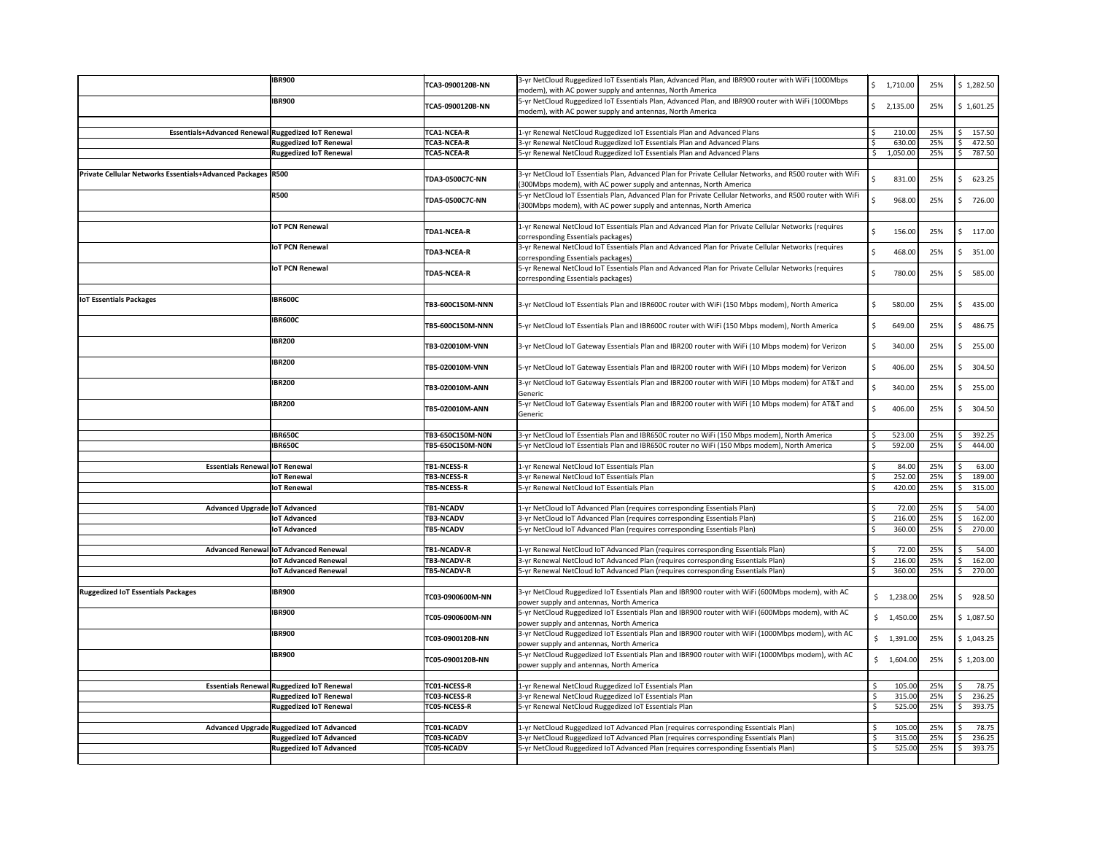|                                                              | <b>IBR900</b>                             | TCA3-0900120B-NN       | 3-yr NetCloud Ruggedized IoT Essentials Plan, Advanced Plan, and IBR900 router with WiFi (1000Mbps<br>modem), with AC power supply and antennas, North America | Ŝ.  | 1,710.00               | 25% | \$1,282.50  |
|--------------------------------------------------------------|-------------------------------------------|------------------------|----------------------------------------------------------------------------------------------------------------------------------------------------------------|-----|------------------------|-----|-------------|
|                                                              | <b>IBR900</b>                             |                        | 5-yr NetCloud Ruggedized IoT Essentials Plan, Advanced Plan, and IBR900 router with WiFi (1000Mbps                                                             |     |                        |     |             |
|                                                              |                                           | TCA5-0900120B-NN       | modem), with AC power supply and antennas, North America                                                                                                       |     | \$2,135.00             | 25% | \$1,601.25  |
|                                                              |                                           |                        |                                                                                                                                                                |     |                        |     |             |
| Essentials+Advanced Renewal Ruggedized IoT Renewal           |                                           | <b>TCA1-NCEA-R</b>     | 1-yr Renewal NetCloud Ruggedized IoT Essentials Plan and Advanced Plans                                                                                        |     | 210.00                 | 25% | 157.50      |
|                                                              | <b>Ruggedized IoT Renewal</b>             | <b>TCA3-NCEA-R</b>     | 3-yr Renewal NetCloud Ruggedized IoT Essentials Plan and Advanced Plans                                                                                        |     | 630.00                 | 25% | 472.50      |
|                                                              | <b>Ruggedized IoT Renewal</b>             | <b>TCA5-NCEA-R</b>     | 5-yr Renewal NetCloud Ruggedized IoT Essentials Plan and Advanced Plans                                                                                        |     | 1,050.00               | 25% | 787.50      |
|                                                              |                                           |                        |                                                                                                                                                                |     |                        |     |             |
| Private Cellular Networks Essentials+Advanced Packages  R500 |                                           |                        | 3-yr NetCloud IoT Essentials Plan, Advanced Plan for Private Cellular Networks, and R500 router with WiFi                                                      |     |                        |     |             |
|                                                              |                                           | <b>TDA3-0500C7C-NN</b> | (300Mbps modem), with AC power supply and antennas, North America                                                                                              |     | 831.00                 | 25% | 623.25<br>S |
|                                                              | <b>R500</b>                               |                        | 5-yr NetCloud IoT Essentials Plan, Advanced Plan for Private Cellular Networks, and R500 router with WiFi                                                      |     |                        |     |             |
|                                                              |                                           | <b>TDA5-0500C7C-NN</b> | (300Mbps modem), with AC power supply and antennas, North America                                                                                              |     | 968.00                 | 25% | 726.00      |
|                                                              |                                           |                        |                                                                                                                                                                |     |                        |     |             |
|                                                              | <b>IoT PCN Renewal</b>                    |                        | 1-yr Renewal NetCloud IoT Essentials Plan and Advanced Plan for Private Cellular Networks (requires                                                            |     |                        |     |             |
|                                                              |                                           | <b>TDA1-NCEA-R</b>     | corresponding Essentials packages)                                                                                                                             | -Ś  | 156.00                 | 25% | 117.00<br>S |
|                                                              | <b>IoT PCN Renewal</b>                    |                        | 3-yr Renewal NetCloud IoT Essentials Plan and Advanced Plan for Private Cellular Networks (requires                                                            |     |                        |     |             |
|                                                              |                                           | <b>TDA3-NCEA-R</b>     |                                                                                                                                                                | -Ś  | 468.00                 | 25% | 351.00      |
|                                                              |                                           |                        | corresponding Essentials packages)<br>5-yr Renewal NetCloud IoT Essentials Plan and Advanced Plan for Private Cellular Networks (requires                      |     |                        |     |             |
|                                                              | <b>IoT PCN Renewal</b>                    | <b>TDA5-NCEA-R</b>     |                                                                                                                                                                |     | 780.00                 | 25% | 585.00<br>Ś |
|                                                              |                                           |                        | corresponding Essentials packages)                                                                                                                             |     |                        |     |             |
|                                                              |                                           |                        |                                                                                                                                                                |     |                        |     |             |
| <b>IOT Essentials Packages</b>                               | <b>IBR600C</b>                            | TB3-600C150M-NNN       | 3-yr NetCloud IoT Essentials Plan and IBR600C router with WiFi (150 Mbps modem), North America                                                                 | -S  | 580.00                 | 25% | 435.00<br>S |
|                                                              |                                           |                        |                                                                                                                                                                |     |                        |     |             |
|                                                              | <b>IBR600C</b>                            | TB5-600C150M-NNN       | 5-yr NetCloud IoT Essentials Plan and IBR600C router with WiFi (150 Mbps modem), North America                                                                 | -Ŝ  | 649.00                 | 25% | 486.75<br>S |
|                                                              |                                           |                        |                                                                                                                                                                |     |                        |     |             |
|                                                              | <b>IBR200</b>                             | TB3-020010M-VNN        | 3-yr NetCloud IoT Gateway Essentials Plan and IBR200 router with WiFi (10 Mbps modem) for Verizon                                                              |     | 340.00                 | 25% | 255.00      |
|                                                              |                                           |                        |                                                                                                                                                                |     |                        |     |             |
|                                                              | <b>IBR200</b>                             | TB5-020010M-VNN        | 5-yr NetCloud IoT Gateway Essentials Plan and IBR200 router with WiFi (10 Mbps modem) for Verizon                                                              | -S  | 406.00                 | 25% | 304.50      |
|                                                              |                                           |                        |                                                                                                                                                                |     |                        |     |             |
|                                                              | <b>IBR200</b>                             | TB3-020010M-ANN        | 3-yr NetCloud IoT Gateway Essentials Plan and IBR200 router with WiFi (10 Mbps modem) for AT&T and                                                             |     | 340.00                 | 25% | 255.00<br>S |
|                                                              |                                           |                        | Generic                                                                                                                                                        |     |                        |     |             |
|                                                              | <b>IBR200</b>                             | TB5-020010M-ANN        | 5-yr NetCloud IoT Gateway Essentials Plan and IBR200 router with WiFi (10 Mbps modem) for AT&T and                                                             | Ŝ.  | 406.00                 | 25% | 304.50<br>S |
|                                                              |                                           |                        | Generic                                                                                                                                                        |     |                        |     |             |
|                                                              |                                           |                        |                                                                                                                                                                |     |                        |     |             |
|                                                              | <b>IBR650C</b>                            | TB3-650C150M-N0N       | 3-yr NetCloud IoT Essentials Plan and IBR650C router no WiFi (150 Mbps modem), North America                                                                   |     | 523.00                 | 25% | 392.25      |
|                                                              | <b>IBR650C</b>                            | TB5-650C150M-N0N       | 5-yr NetCloud IoT Essentials Plan and IBR650C router no WiFi (150 Mbps modem), North America                                                                   | -\$ | 592.00                 | 25% | 444.00      |
|                                                              |                                           |                        |                                                                                                                                                                |     |                        |     |             |
| <b>Essentials Renewal loT Renewal</b>                        |                                           | <b>TB1-NCESS-R</b>     | 1-yr Renewal NetCloud IoT Essentials Plan                                                                                                                      |     | 84.00                  | 25% | 63.00       |
|                                                              | <b>IoT Renewal</b>                        | <b>TB3-NCESS-R</b>     | 3-yr Renewal NetCloud IoT Essentials Plan                                                                                                                      |     | 252.00                 | 25% | 189.00      |
|                                                              | <b>IoT Renewal</b>                        | <b>TB5-NCESS-R</b>     | 5-yr Renewal NetCloud IoT Essentials Plan                                                                                                                      |     | 420.00                 | 25% | 315.00      |
|                                                              |                                           |                        |                                                                                                                                                                |     |                        |     |             |
| Advanced Upgrade   IoT Advanced                              |                                           | <b>TB1-NCADV</b>       | 1-yr NetCloud IoT Advanced Plan (requires corresponding Essentials Plan)                                                                                       |     | 72.00                  | 25% | 54.00       |
|                                                              | <b>IoT Advanced</b>                       | <b>TB3-NCADV</b>       | 3-yr NetCloud IoT Advanced Plan (requires corresponding Essentials Plan)                                                                                       | -Ś  | 216.00                 | 25% | 162.00      |
|                                                              | <b>IoT Advanced</b>                       | <b>TB5-NCADV</b>       | 5-yr NetCloud IoT Advanced Plan (requires corresponding Essentials Plan)                                                                                       | Ś   | 360.00                 | 25% | 270.00      |
|                                                              |                                           |                        |                                                                                                                                                                |     |                        |     |             |
|                                                              | Advanced Renewal loT Advanced Renewal     | <b>TB1-NCADV-R</b>     | 1-yr Renewal NetCloud IoT Advanced Plan (requires corresponding Essentials Plan)                                                                               |     | 72.00                  | 25% | 54.00       |
|                                                              | <b>IoT Advanced Renewal</b>               | <b>TB3-NCADV-R</b>     | 3-yr Renewal NetCloud IoT Advanced Plan (requires corresponding Essentials Plan)                                                                               |     | 216.00                 | 25% | 162.00      |
|                                                              | <b>IoT Advanced Renewal</b>               | <b>TB5-NCADV-R</b>     | 5-yr Renewal NetCloud IoT Advanced Plan (requires corresponding Essentials Plan)                                                                               | -Ś  | 360.00                 | 25% | 270.00      |
|                                                              |                                           |                        |                                                                                                                                                                |     |                        |     |             |
| <b>Ruggedized IoT Essentials Packages</b>                    | <b>IBR900</b>                             | TC03-0900600M-NN       | 3-yr NetCloud Ruggedized IoT Essentials Plan and IBR900 router with WiFi (600Mbps modem), with AC                                                              |     | $\frac{1}{2}$ 1,238.00 | 25% | 928.50<br>S |
|                                                              |                                           |                        | power supply and antennas, North America                                                                                                                       |     |                        |     |             |
|                                                              | <b>IBR900</b>                             | TC05-0900600M-NN       | 5-yr NetCloud Ruggedized IoT Essentials Plan and IBR900 router with WiFi (600Mbps modem), with AC                                                              |     | $\frac{1}{2}$ 1,450.00 | 25% | \$1,087.50  |
|                                                              |                                           |                        | power supply and antennas, North America                                                                                                                       |     |                        |     |             |
|                                                              | <b>IBR900</b>                             | TC03-0900120B-NN       | 3-yr NetCloud Ruggedized IoT Essentials Plan and IBR900 router with WiFi (1000Mbps modem), with AC                                                             |     | \$1,391.00             | 25% | \$1,043.25  |
|                                                              |                                           |                        | power supply and antennas, North America                                                                                                                       |     |                        |     |             |
|                                                              | <b>IBR900</b>                             | TC05-0900120B-NN       | 5-yr NetCloud Ruggedized IoT Essentials Plan and IBR900 router with WiFi (1000Mbps modem), with AC                                                             |     | $\frac{1}{9}$ 1,604.00 | 25% | \$1,203.00  |
|                                                              |                                           |                        | power supply and antennas, North America                                                                                                                       |     |                        |     |             |
|                                                              |                                           |                        |                                                                                                                                                                |     |                        |     |             |
|                                                              | Essentials Renewal Ruggedized IoT Renewal | TC01-NCESS-R           | 1-yr Renewal NetCloud Ruggedized IoT Essentials Plan                                                                                                           |     | 105.00                 | 25% | 78.75       |
|                                                              | <b>Ruggedized IoT Renewal</b>             | TC03-NCESS-R           | 3-yr Renewal NetCloud Ruggedized IoT Essentials Plan                                                                                                           | Ś   | 315.00                 | 25% | 236.25      |
|                                                              | <b>Ruggedized IoT Renewal</b>             | <b>TC05-NCESS-R</b>    | 5-yr Renewal NetCloud Ruggedized IoT Essentials Plan                                                                                                           |     | 525.00                 | 25% | 393.75      |
|                                                              |                                           |                        |                                                                                                                                                                |     |                        |     |             |
|                                                              | Advanced Upgrade Ruggedized IoT Advanced  | TC01-NCADV             | 1-yr NetCloud Ruggedized IoT Advanced Plan (requires corresponding Essentials Plan)                                                                            |     | 105.00                 | 25% | 78.75       |
|                                                              | <b>Ruggedized IoT Advanced</b>            | TC03-NCADV             | 3-yr NetCloud Ruggedized IoT Advanced Plan (requires corresponding Essentials Plan)                                                                            |     | 315.00                 | 25% | 236.25      |
|                                                              | <b>Ruggedized IoT Advanced</b>            | <b>TC05-NCADV</b>      | [5-yr NetCloud Ruggedized IoT Advanced Plan (requires corresponding Essentials Plan)                                                                           | \$  | 525.00                 | 25% | 393.75      |
|                                                              |                                           |                        |                                                                                                                                                                |     |                        |     |             |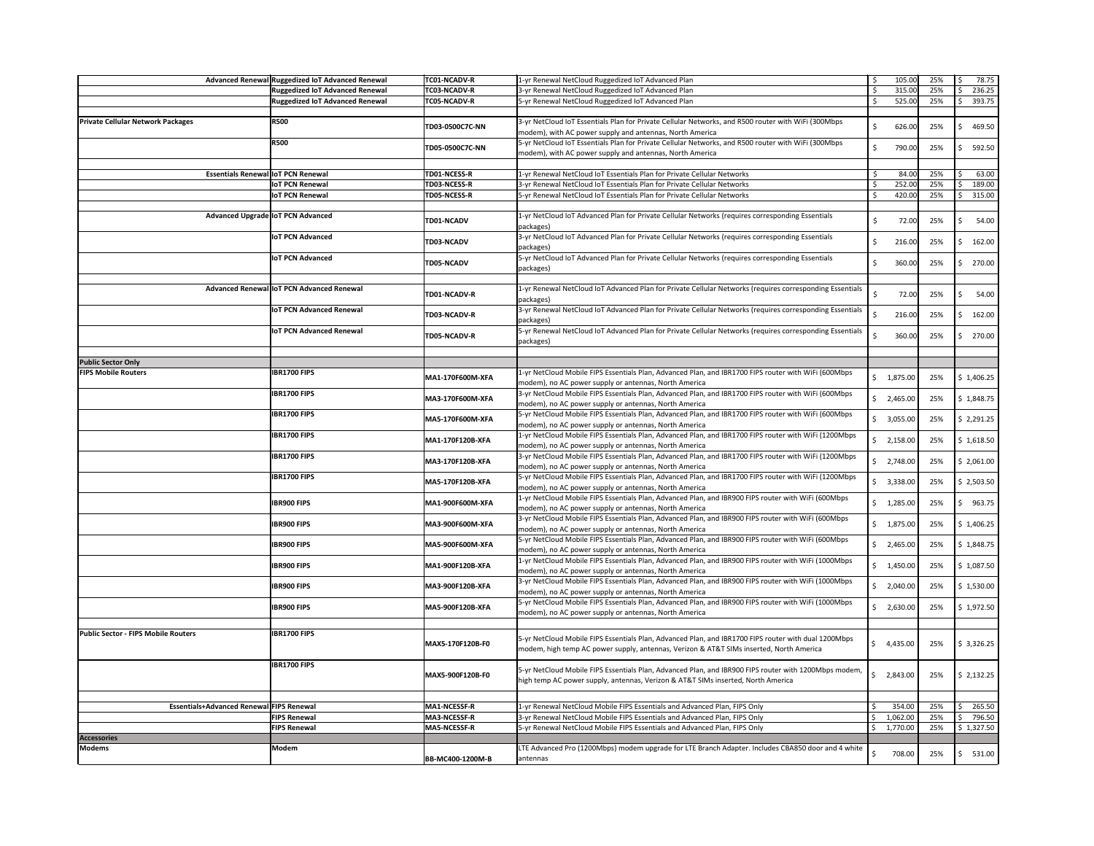|                                            | Advanced Renewal Ruggedized IoT Advanced Renewal | TC01-NCADV-R        | 1-yr Renewal NetCloud Ruggedized IoT Advanced Plan                                                                                                                                              |              | 105.00                | 25% | -S           | 78.75                  |
|--------------------------------------------|--------------------------------------------------|---------------------|-------------------------------------------------------------------------------------------------------------------------------------------------------------------------------------------------|--------------|-----------------------|-----|--------------|------------------------|
|                                            | <b>Ruggedized IoT Advanced Renewal</b>           | TC03-NCADV-R        | 3-yr Renewal NetCloud Ruggedized IoT Advanced Plan                                                                                                                                              |              | 315.00                | 25% |              | 236.25                 |
|                                            | <b>Ruggedized IoT Advanced Renewal</b>           | <b>TC05-NCADV-R</b> | 5-yr Renewal NetCloud Ruggedized IoT Advanced Plan                                                                                                                                              |              | 525.00                | 25% |              | 393.75                 |
| <b>Private Cellular Network Packages</b>   | <b>R500</b>                                      | TD03-0500C7C-NN     | 3-yr NetCloud IoT Essentials Plan for Private Cellular Networks, and R500 router with WiFi (300Mbps<br>modem), with AC power supply and antennas, North America                                 | \$           | 626.00                | 25% | <sub>S</sub> | 469.50                 |
|                                            | <b>R500</b>                                      | TD05-0500C7C-NN     | 5-yr NetCloud IoT Essentials Plan for Private Cellular Networks, and R500 router with WiFi (300Mbps<br>modem), with AC power supply and antennas, North America                                 | \$           | 790.00                | 25% |              | 592.50                 |
| <b>Essentials Renewal loT PCN Renewal</b>  |                                                  | TD01-NCESS-R        | 1-yr Renewal NetCloud IoT Essentials Plan for Private Cellular Networks                                                                                                                         |              | 84.00                 | 25% |              | 63.00                  |
|                                            | <b>IoT PCN Renewal</b>                           | TD03-NCESS-R        | 3-yr Renewal NetCloud IoT Essentials Plan for Private Cellular Networks                                                                                                                         |              | 252.00                | 25% |              | 189.00                 |
|                                            | <b>IoT PCN Renewal</b>                           | <b>TD05-NCESS-R</b> | 5-yr Renewal NetCloud IoT Essentials Plan for Private Cellular Networks                                                                                                                         | -Ś           | 420.00                | 25% | -S           | 315.00                 |
|                                            | Advanced Upgrade IoT PCN Advanced                | TD01-NCADV          | 1-yr NetCloud IoT Advanced Plan for Private Cellular Networks (requires corresponding Essentials<br>packages)                                                                                   | \$           | 72.00                 | 25% |              | 54.00                  |
|                                            | <b>IoT PCN Advanced</b>                          | TD03-NCADV          | 3-yr NetCloud IoT Advanced Plan for Private Cellular Networks (requires corresponding Essentials<br>packages)                                                                                   | \$.          | 216.00                | 25% |              | 162.00                 |
|                                            | <b>IoT PCN Advanced</b>                          | TD05-NCADV          | 5-yr NetCloud IoT Advanced Plan for Private Cellular Networks (requires corresponding Essentials<br>packages)                                                                                   | S.           | 360.00                | 25% | Ś            | 270.00                 |
|                                            | Advanced Renewal loT PCN Advanced Renewal        | TD01-NCADV-R        | 1-yr Renewal NetCloud IoT Advanced Plan for Private Cellular Networks (requires corresponding Essentials<br>packages)                                                                           | \$           | 72.00                 | 25% |              | 54.00                  |
|                                            | <b>IoT PCN Advanced Renewal</b>                  | TD03-NCADV-R        | 3-yr Renewal NetCloud IoT Advanced Plan for Private Cellular Networks (requires corresponding Essentials<br>packages)                                                                           |              | 216.00                | 25% | Ś            | 162.00                 |
|                                            | <b>IoT PCN Advanced Renewal</b>                  | TD05-NCADV-R        | 5-yr Renewal NetCloud IoT Advanced Plan for Private Cellular Networks (requires corresponding Essentials<br>packages)                                                                           | S.           | 360.00                | 25% | S            | 270.00                 |
| <b>Public Sector Only</b>                  |                                                  |                     |                                                                                                                                                                                                 |              |                       |     |              |                        |
| <b>FIPS Mobile Routers</b>                 | <b>IBR1700 FIPS</b>                              | MA1-170F600M-XFA    | 1-yr NetCloud Mobile FIPS Essentials Plan, Advanced Plan, and IBR1700 FIPS router with WiFi (600Mbps<br>modem), no AC power supply or antennas, North America                                   |              | \$1,875.00            | 25% |              | \$1,406.25             |
|                                            | <b>IBR1700 FIPS</b>                              | MA3-170F600M-XFA    | 3-yr NetCloud Mobile FIPS Essentials Plan, Advanced Plan, and IBR1700 FIPS router with WiFi (600Mbps<br>modem), no AC power supply or antennas, North America                                   | S.           | 2,465.00              | 25% |              | \$1,848.75             |
|                                            | <b>IBR1700 FIPS</b>                              | MA5-170F600M-XFA    | 5-yr NetCloud Mobile FIPS Essentials Plan, Advanced Plan, and IBR1700 FIPS router with WiFi (600Mbps<br>modem), no AC power supply or antennas, North America                                   |              | \$3,055.00            | 25% |              | $ $ \$ 2,291.25        |
|                                            | <b>IBR1700 FIPS</b>                              | MA1-170F120B-XFA    | 1-yr NetCloud Mobile FIPS Essentials Plan, Advanced Plan, and IBR1700 FIPS router with WiFi (1200Mbps<br>modem), no AC power supply or antennas, North America                                  |              | \$2,158.00            | 25% |              | $\frac{1}{2}$ 1,618.50 |
|                                            | <b>IBR1700 FIPS</b>                              | MA3-170F120B-XFA    | 3-yr NetCloud Mobile FIPS Essentials Plan, Advanced Plan, and IBR1700 FIPS router with WiFi (1200Mbps<br>modem), no AC power supply or antennas, North America                                  |              | $\frac{2}{7}$ ,748.00 | 25% |              | \$2,061.00             |
|                                            | <b>IBR1700 FIPS</b>                              | MA5-170F120B-XFA    | 5-yr NetCloud Mobile FIPS Essentials Plan, Advanced Plan, and IBR1700 FIPS router with WiFi (1200Mbps<br>modem), no AC power supply or antennas, North America                                  |              | \$3,338.00            | 25% |              | \$2,503.50             |
|                                            | <b>IBR900 FIPS</b>                               | MA1-900F600M-XFA    | 1-yr NetCloud Mobile FIPS Essentials Plan, Advanced Plan, and IBR900 FIPS router with WiFi (600Mbps<br>modem), no AC power supply or antennas, North America                                    |              | \$1,285.00            | 25% | -S           | 963.75                 |
|                                            | <b>IBR900 FIPS</b>                               | MA3-900F600M-XFA    | 3-yr NetCloud Mobile FIPS Essentials Plan, Advanced Plan, and IBR900 FIPS router with WiFi (600Mbps<br>modem), no AC power supply or antennas, North America                                    |              | \$1,875.00            | 25% |              | \$1,406.25             |
|                                            | <b>IBR900 FIPS</b>                               | MA5-900F600M-XFA    | 5-yr NetCloud Mobile FIPS Essentials Plan, Advanced Plan, and IBR900 FIPS router with WiFi (600Mbps<br>modem), no AC power supply or antennas, North America                                    |              | \$2,465.00            | 25% |              | \$1,848.75             |
|                                            | <b>IBR900 FIPS</b>                               | MA1-900F120B-XFA    | 1-yr NetCloud Mobile FIPS Essentials Plan, Advanced Plan, and IBR900 FIPS router with WiFi (1000Mbps<br>modem), no AC power supply or antennas, North America                                   |              | \$1,450.00            | 25% |              | \$1,087.50             |
|                                            | <b>IBR900 FIPS</b>                               | MA3-900F120B-XFA    | 3-yr NetCloud Mobile FIPS Essentials Plan, Advanced Plan, and IBR900 FIPS router with WiFi (1000Mbps<br>modem), no AC power supply or antennas, North America                                   | \$.          | 2,040.00              | 25% |              | 5 1,530.00             |
|                                            | <b>IBR900 FIPS</b>                               | MA5-900F120B-XFA    | 5-yr NetCloud Mobile FIPS Essentials Plan, Advanced Plan, and IBR900 FIPS router with WiFi (1000Mbps<br>modem), no AC power supply or antennas, North America                                   |              | $\frac{2,630.00}{2}$  | 25% |              | \$1,972.50             |
| <b>Public Sector - FIPS Mobile Routers</b> | <b>IBR1700 FIPS</b>                              | MAX5-170F120B-F0    | 5-yr NetCloud Mobile FIPS Essentials Plan, Advanced Plan, and IBR1700 FIPS router with dual 1200Mbps<br>modem, high temp AC power supply, antennas, Verizon & AT&T SIMs inserted, North America |              | \$4,435.00            | 25% |              | \$3,326.25             |
|                                            | <b>IBR1700 FIPS</b>                              | MAX5-900F120B-F0    | 5-yr NetCloud Mobile FIPS Essentials Plan, Advanced Plan, and IBR900 FIPS router with 1200Mbps modem,<br>high temp AC power supply, antennas, Verizon & AT&T SIMs inserted, North America       | $\mathsf{S}$ | 2,843.00              | 25% |              | \$2,132.25             |
| Essentials+Advanced Renewal FIPS Renewal   |                                                  | <b>MA1-NCESSF-R</b> | 1-yr Renewal NetCloud Mobile FIPS Essentials and Advanced Plan, FIPS Only                                                                                                                       |              | 354.00                | 25% |              | 265.50                 |
|                                            | <b>FIPS Renewal</b>                              | <b>MA3-NCESSF-R</b> | 3-yr Renewal NetCloud Mobile FIPS Essentials and Advanced Plan, FIPS Only                                                                                                                       | $\epsilon$   | \$1,062.00            | 25% | $\epsilon$   | \$796.50               |
|                                            | <b>FIPS Renewal</b>                              | <b>MA5-NCESSF-R</b> | 5-yr Renewal NetCloud Mobile FIPS Essentials and Advanced Plan, FIPS Only                                                                                                                       |              | \$1,770.00            | 25% |              | \$1,327.50             |
| <b>Accessories</b><br>Modems               | Modem                                            | BB-MC400-1200M-B    | LTE Advanced Pro (1200Mbps) modem upgrade for LTE Branch Adapter. Includes CBA850 door and 4 white<br>antennas                                                                                  | $\zeta$      | 708.00                | 25% | -S           | 531.00                 |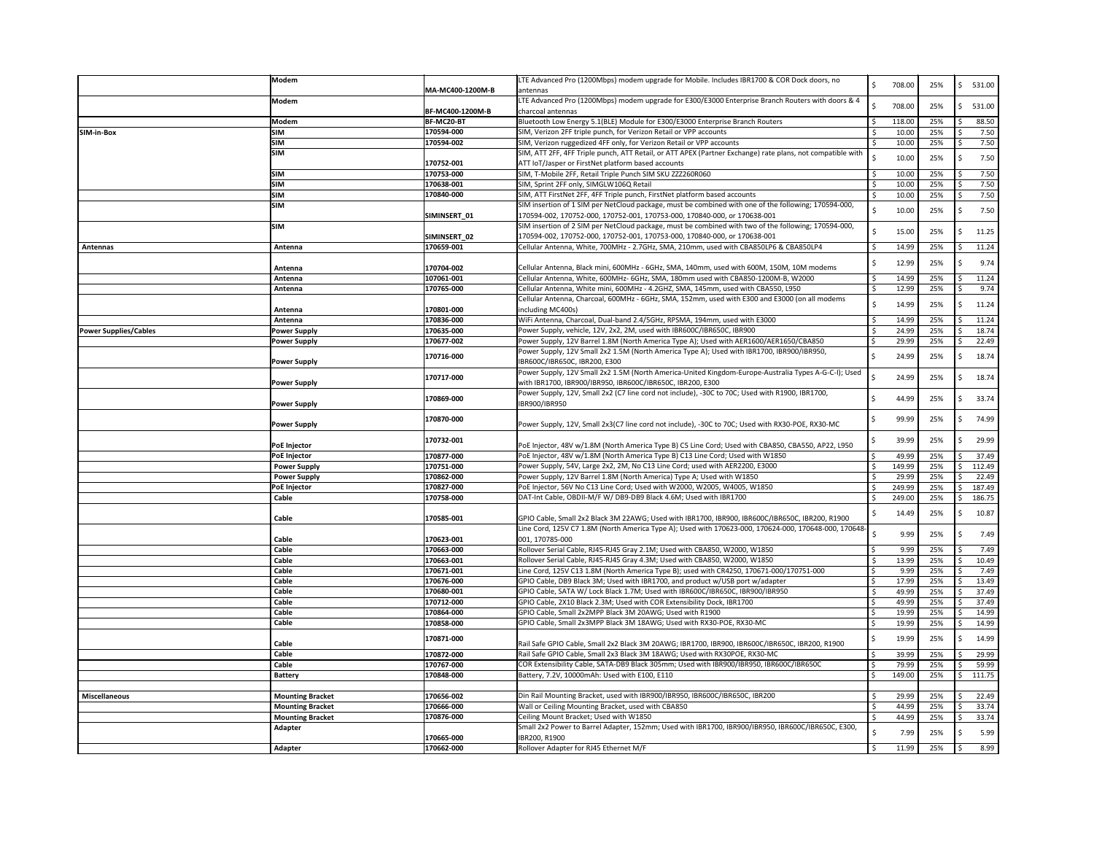|                              | Modem                   |                  | LTE Advanced Pro (1200Mbps) modem upgrade for Mobile. Includes IBR1700 & COR Dock doors, no                   | Ś. | 708.00 | 25% | S  | 531.00 |
|------------------------------|-------------------------|------------------|---------------------------------------------------------------------------------------------------------------|----|--------|-----|----|--------|
|                              | <b>Modem</b>            | MA-MC400-1200M-B | antennas<br>LTE Advanced Pro (1200Mbps) modem upgrade for E300/E3000 Enterprise Branch Routers with doors & 4 |    |        |     |    |        |
|                              |                         | BF-MC400-1200M-B | charcoal antennas                                                                                             | S  | 708.00 | 25% |    | 531.00 |
|                              | <b>Modem</b>            | BF-MC20-BT       | Bluetooth Low Energy 5.1(BLE) Module for E300/E3000 Enterprise Branch Routers                                 |    | 118.00 | 25% |    | 88.50  |
| SIM-in-Box                   | <b>SIM</b>              | 170594-000       | SIM, Verizon 2FF triple punch, for Verizon Retail or VPP accounts                                             |    | 10.00  | 25% |    | 7.50   |
|                              | <b>SIM</b>              | 170594-002       | SIM, Verizon ruggedized 4FF only, for Verizon Retail or VPP accounts                                          |    | 10.00  | 25% |    | 7.50   |
|                              | <b>SIM</b>              |                  | SIM, ATT 2FF, 4FF Triple punch, ATT Retail, or ATT APEX (Partner Exchange) rate plans, not compatible with    |    |        |     |    |        |
|                              |                         | 170752-001       | ATT IoT/Jasper or FirstNet platform based accounts                                                            |    | 10.00  | 25% |    | 7.50   |
|                              | <b>SIM</b>              | 170753-000       | SIM, T-Mobile 2FF, Retail Triple Punch SIM SKU ZZZ260R060                                                     |    | 10.00  | 25% |    | 7.50   |
|                              | <b>SIM</b>              | 170638-001       | SIM, Sprint 2FF only, SIMGLW106Q Retail                                                                       |    | 10.00  | 25% |    | 7.50   |
|                              | <b>SIM</b>              | 170840-000       | SIM, ATT FirstNet 2FF, 4FF Triple punch, FirstNet platform based accounts                                     |    | 10.00  | 25% |    | 7.50   |
|                              | <b>SIM</b>              |                  | SIM insertion of 1 SIM per NetCloud package, must be combined with one of the following; 170594-000,          |    |        |     |    |        |
|                              |                         | SIMINSERT_01     | 170594-002, 170752-000, 170752-001, 170753-000, 170840-000, or 170638-001                                     |    | 10.00  | 25% |    | 7.50   |
|                              | <b>SIM</b>              |                  | SIM insertion of 2 SIM per NetCloud package, must be combined with two of the following; 170594-000,          |    |        |     |    |        |
|                              |                         | SIMINSERT 02     | 170594-002, 170752-000, 170752-001, 170753-000, 170840-000, or 170638-001                                     | \$ | 15.00  | 25% |    | 11.25  |
| Antennas                     | Antenna                 | 170659-001       | Cellular Antenna, White, 700MHz - 2.7GHz, SMA, 210mm, used with CBA850LP6 & CBA850LP4                         | \$ | 14.99  | 25% |    | 11.24  |
|                              |                         |                  |                                                                                                               |    |        |     |    |        |
|                              | Antenna                 | 170704-002       | Cellular Antenna, Black mini, 600MHz - 6GHz, SMA, 140mm, used with 600M, 150M, 10M modems                     |    | 12.99  | 25% |    | 9.74   |
|                              | Antenna                 | 107061-001       | Cellular Antenna, White, 600MHz- 6GHz, SMA, 180mm used with CBA850-1200M-B, W2000                             |    | 14.99  | 25% |    | 11.24  |
|                              | Antenna                 | 170765-000       | Cellular Antenna, White mini, 600MHz - 4.2GHZ, SMA, 145mm, used with CBA550, L950                             |    | 12.99  | 25% |    | 9.74   |
|                              |                         |                  | Cellular Antenna, Charcoal, 600MHz - 6GHz, SMA, 152mm, used with E300 and E3000 (on all modems                |    |        |     |    |        |
|                              | Antenna                 | 170801-000       | including MC400s)                                                                                             | \$ | 14.99  | 25% |    | 11.24  |
|                              | Antenna                 | 170836-000       | WiFi Antenna, Charcoal, Dual-band 2.4/5GHz, RPSMA, 194mm, used with E3000                                     |    | 14.99  | 25% |    | 11.24  |
| <b>Power Supplies/Cables</b> | <b>Power Supply</b>     | 170635-000       | Power Supply, vehicle, 12V, 2x2, 2M, used with IBR600C/IBR650C, IBR900                                        |    | 24.99  | 25% |    | 18.74  |
|                              | <b>Power Supply</b>     | 170677-002       | Power Supply, 12V Barrel 1.8M (North America Type A); Used with AER1600/AER1650/CBA850                        |    | 29.99  | 25% |    | 22.49  |
|                              |                         |                  | Power Supply, 12V Small 2x2 1.5M (North America Type A); Used with IBR1700, IBR900/IBR950,                    |    |        |     |    |        |
|                              | <b>Power Supply</b>     | 170716-000       | IBR600C/IBR650C, IBR200, E300                                                                                 |    | 24.99  | 25% |    | 18.74  |
|                              |                         |                  | Power Supply, 12V Small 2x2 1.5M (North America-United Kingdom-Europe-Australia Types A-G-C-I); Used          |    |        |     |    |        |
|                              | <b>Power Supply</b>     | 170717-000       | with IBR1700, IBR900/IBR950, IBR600C/IBR650C, IBR200, E300                                                    |    | 24.99  | 25% |    | 18.74  |
|                              |                         |                  | Power Supply, 12V, Small 2x2 (C7 line cord not include), -30C to 70C; Used with R1900, IBR1700,               |    |        |     |    |        |
|                              | <b>Power Supply</b>     | 170869-000       | IBR900/IBR950                                                                                                 |    | 44.99  | 25% | -S | 33.74  |
|                              |                         | 170870-000       |                                                                                                               |    | 99.99  | 25% |    | 74.99  |
|                              | <b>Power Supply</b>     |                  | Power Supply, 12V, Small 2x3(C7 line cord not include), -30C to 70C; Used with RX30-POE, RX30-MC              |    |        |     |    |        |
|                              | <b>PoE Injector</b>     | 170732-001       | PoE Injector, 48V w/1.8M (North America Type B) C5 Line Cord; Used with CBA850, CBA550, AP22, L950            |    | 39.99  | 25% |    | 29.99  |
|                              | <b>PoE Injector</b>     | 170877-000       | PoE Injector, 48V w/1.8M (North America Type B) C13 Line Cord; Used with W1850                                |    | 49.99  | 25% |    | 37.49  |
|                              | <b>Power Supply</b>     | 170751-000       | Power Supply, 54V, Large 2x2, 2M, No C13 Line Cord; used with AER2200, E3000                                  |    | 149.99 | 25% |    | 112.49 |
|                              | <b>Power Supply</b>     | 170862-000       | Power Supply, 12V Barrel 1.8M (North America) Type A; Used with W1850                                         |    | 29.99  | 25% |    | 22.49  |
|                              | <b>PoE Injector</b>     | 170827-000       | PoE Injector, 56V No C13 Line Cord; Used with W2000, W2005, W4005, W1850                                      |    | 249.99 | 25% |    | 187.49 |
|                              | Cable                   | 170758-000       | DAT-Int Cable, OBDII-M/F W/ DB9-DB9 Black 4.6M; Used with IBR1700                                             |    | 249.00 | 25% |    | 186.75 |
|                              |                         |                  |                                                                                                               |    |        |     |    |        |
|                              | Cable                   | 170585-001       | GPIO Cable, Small 2x2 Black 3M 22AWG; Used with IBR1700, IBR900, IBR600C/IBR650C, IBR200, R1900               |    | 14.49  | 25% |    | 10.87  |
|                              |                         |                  | Line Cord, 125V C7 1.8M (North America Type A); Used with 170623-000, 170624-000, 170648-000, 170648-         |    |        |     |    |        |
|                              | Cable                   | 170623-001       | 001, 170785-000                                                                                               |    | 9.99   | 25% |    | 7.49   |
|                              | Cable                   | 170663-000       | Rollover Serial Cable, RJ45-RJ45 Gray 2.1M; Used with CBA850, W2000, W1850                                    |    | 9.99   | 25% |    | 7.49   |
|                              | Cable                   | 170663-001       | Rollover Serial Cable, RJ45-RJ45 Gray 4.3M; Used with CBA850, W2000, W1850                                    |    | 13.99  | 25% |    | 10.49  |
|                              | Cable                   | 170671-001       | Line Cord, 125V C13 1.8M (North America Type B); used with CR4250, 170671-000/170751-000                      |    | 9.99   | 25% |    | 7.49   |
|                              | Cable                   | 170676-000       | GPIO Cable, DB9 Black 3M; Used with IBR1700, and product w/USB port w/adapter                                 |    | 17.99  | 25% |    | 13.49  |
|                              | Cable                   | 170680-001       | GPIO Cable, SATA W/ Lock Black 1.7M; Used with IBR600C/IBR650C, IBR900/IBR950                                 |    | 49.99  | 25% |    | 37.49  |
|                              | Cable                   | 170712-000       | GPIO Cable, 2X10 Black 2.3M; Used with COR Extensibility Dock, IBR1700                                        |    | 49.99  | 25% |    | 37.49  |
|                              | Cable                   | 170864-000       | GPIO Cable, Small 2x2MPP Black 3M 20AWG; Used with R1900                                                      |    | 19.99  | 25% |    | 14.99  |
|                              | Cable                   | 170858-000       | GPIO Cable, Small 2x3MPP Black 3M 18AWG; Used with RX30-POE, RX30-MC                                          |    | 19.99  | 25% |    | 14.99  |
|                              |                         | 170871-000       |                                                                                                               |    | 19.99  | 25% |    | 14.99  |
|                              | Cable                   |                  | Rail Safe GPIO Cable, Small 2x2 Black 3M 20AWG; IBR1700, IBR900, IBR600C/IBR650C, IBR200, R1900               |    |        |     |    |        |
|                              | Cable                   | 170872-000       | Rail Safe GPIO Cable, Small 2x3 Black 3M 18AWG; Used with RX30POE, RX30-MC                                    |    | 39.99  | 25% |    | 29.99  |
|                              | Cable                   | 170767-000       | COR Extensibility Cable, SATA-DB9 Black 305mm; Used with IBR900/IBR950, IBR600C/IBR650C                       |    | 79.99  | 25% |    | 59.99  |
|                              | <b>Battery</b>          | 170848-000       | Battery, 7.2V, 10000mAh: Used with E100, E110                                                                 |    | 149.00 | 25% |    | 111.75 |
|                              |                         |                  |                                                                                                               |    |        |     |    |        |
| Miscellaneous                | <b>Mounting Bracket</b> | 170656-002       | Din Rail Mounting Bracket, used with IBR900/IBR950, IBR600C/IBR650C, IBR200                                   |    | 29.99  | 25% |    | 22.49  |
|                              | <b>Mounting Bracket</b> | 170666-000       | Wall or Ceiling Mounting Bracket, used with CBA850                                                            |    | 44.99  | 25% |    | 33.74  |
|                              | <b>Mounting Bracket</b> | 170876-000       | Ceiling Mount Bracket; Used with W1850                                                                        |    | 44.99  | 25% | ¢  | 33.74  |
|                              | Adapter                 |                  | Small 2x2 Power to Barrel Adapter, 152mm; Used with IBR1700, IBR900/IBR950, IBR600C/IBR650C, E300,            |    | 7.99   | 25% |    | 5.99   |
|                              |                         | 170665-000       | IBR200, R1900                                                                                                 |    |        |     |    |        |
|                              | Adapter                 | 170662-000       | Rollover Adapter for RJ45 Ethernet M/F                                                                        | \$ | 11.99  | 25% | -S | 8.99   |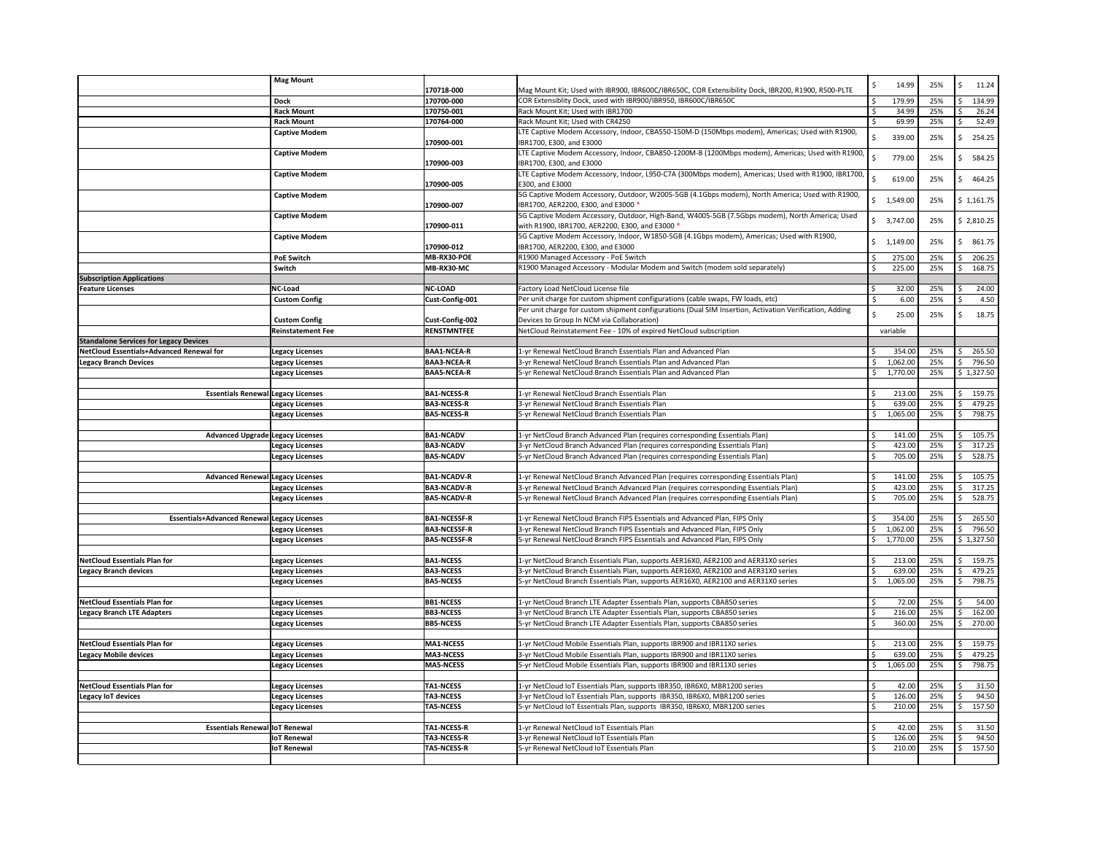|                                                              | <b>Mag Mount</b>                                 |                                      |                                                                                                                                                                          | \$      | 14.99            | 25%        | 11.24<br>S       |
|--------------------------------------------------------------|--------------------------------------------------|--------------------------------------|--------------------------------------------------------------------------------------------------------------------------------------------------------------------------|---------|------------------|------------|------------------|
|                                                              |                                                  | 170718-000                           | Mag Mount Kit; Used with IBR900, IBR600C/IBR650C, COR Extensibility Dock, IBR200, R1900, R500-PLTE                                                                       |         |                  |            |                  |
|                                                              | <b>Dock</b>                                      | 170700-000                           | COR Extensiblity Dock, used with IBR900/IBR950, IBR600C/IBR650C                                                                                                          |         | 179.99           | 25%        | 134.99           |
|                                                              | <b>Rack Mount</b>                                | 170750-001                           | Rack Mount Kit; Used with IBR1700                                                                                                                                        | -\$     | 34.99            | 25%        | 26.24            |
|                                                              | <b>Rack Mount</b>                                | 170764-000                           | Rack Mount Kit; Used with CR4250                                                                                                                                         |         | 69.99            | 25%        | 52.49            |
|                                                              | <b>Captive Modem</b>                             | 170900-001                           | LTE Captive Modem Accessory, Indoor, CBA550-150M-D (150Mbps modem), Americas; Used with R1900,<br>IBR1700, E300, and E3000                                               |         | 339.00           | 25%        | 254.25           |
|                                                              | <b>Captive Modem</b>                             |                                      | LTE Captive Modem Accessory, Indoor, CBA850-1200M-B (1200Mbps modem), Americas; Used with R1900,                                                                         |         |                  |            |                  |
|                                                              |                                                  | 170900-003                           | IBR1700, E300, and E3000                                                                                                                                                 |         | 779.00           | 25%        | 584.25           |
|                                                              | <b>Captive Modem</b>                             |                                      | LTE Captive Modem Accessory, Indoor, L950-C7A (300Mbps modem), Americas; Used with R1900, IBR1700,                                                                       |         |                  |            |                  |
|                                                              |                                                  | 170900-005                           | E300, and E3000                                                                                                                                                          |         | 619.00           | 25%        | 464.25<br>Ŝ.     |
|                                                              | <b>Captive Modem</b>                             |                                      | 5G Captive Modem Accessory, Outdoor, W2005-5GB (4.1Gbps modem), North America; Used with R1900,                                                                          |         |                  |            |                  |
|                                                              |                                                  | 170900-007                           | IBR1700, AER2200, E300, and E3000 *                                                                                                                                      |         | \$1,549.00       | 25%        | \$1,161.75       |
|                                                              | <b>Captive Modem</b>                             |                                      | 5G Captive Modem Accessory, Outdoor, High-Band, W4005-5GB (7.5Gbps modem), North America; Used                                                                           |         | \$3,747.00       | 25%        | \$2,810.25       |
|                                                              |                                                  | 170900-011                           | with R1900, IBR1700, AER2200, E300, and E3000 *                                                                                                                          |         |                  |            |                  |
|                                                              | <b>Captive Modem</b>                             |                                      | 5G Captive Modem Accessory, Indoor, W1850-5GB (4.1Gbps modem), Americas; Used with R1900,                                                                                |         | \$1,149.00       | 25%        | 861.75<br>Ś      |
|                                                              |                                                  | 170900-012                           | IBR1700, AER2200, E300, and E3000                                                                                                                                        |         |                  |            |                  |
|                                                              | <b>PoE Switch</b>                                | MB-RX30-POE                          | R1900 Managed Accessory - PoE Switch                                                                                                                                     | .\$     | 275.00           | 25%        | 206.25           |
|                                                              | Switch                                           | MB-RX30-MC                           | R1900 Managed Accessory - Modular Modem and Switch (modem sold separately)                                                                                               |         | 225.00           | 25%        | 168.75           |
| <b>Subscription Applications</b>                             |                                                  |                                      |                                                                                                                                                                          |         |                  |            |                  |
| <b>Feature Licenses</b>                                      | <b>NC-Load</b><br><b>Custom Config</b>           | <b>NC-LOAD</b><br>Cust-Config-001    | Factory Load NetCloud License file<br>Per unit charge for custom shipment configurations (cable swaps, FW loads, etc)                                                    | S,      | 32.00            | 25%<br>25% | 24.00            |
|                                                              |                                                  |                                      | Per unit charge for custom shipment configurations (Dual SIM Insertion, Activation Verification, Adding                                                                  |         | 6.00             |            | 4.50             |
|                                                              | <b>Custom Config</b>                             | Cust-Config-002                      | Devices to Group In NCM via Collaboration)                                                                                                                               | \$      | 25.00            | 25%        | 18.75            |
|                                                              | <b>Reinstatement Fee</b>                         | <b>RENSTMNTFEE</b>                   | NetCloud Reinstatement Fee - 10% of expired NetCloud subscription                                                                                                        |         | variable         |            |                  |
| <b>Standalone Services for Legacy Devices</b>                |                                                  |                                      |                                                                                                                                                                          |         |                  |            |                  |
| NetCloud Essentials+Advanced Renewal for                     | <b>Legacy Licenses</b>                           | <b>BAA1-NCEA-R</b>                   | 1-yr Renewal NetCloud Branch Essentials Plan and Advanced Plan                                                                                                           |         | 354.00           | 25%        | 265.50           |
| <b>Legacy Branch Devices</b>                                 | <b>Legacy Licenses</b>                           | <b>BAA3-NCEA-R</b>                   | 3-yr Renewal NetCloud Branch Essentials Plan and Advanced Plan                                                                                                           | Ŝ.      | 1,062.00         | 25%        | 796.50           |
|                                                              | <b>Legacy Licenses</b>                           | <b>BAA5-NCEA-R</b>                   | 5-yr Renewal NetCloud Branch Essentials Plan and Advanced Plan                                                                                                           |         | \$1,770.00       | 25%        | \$1,327.50       |
|                                                              |                                                  |                                      |                                                                                                                                                                          |         |                  |            |                  |
| <b>Essentials Renewal Legacy Licenses</b>                    |                                                  | <b>BA1-NCESS-R</b>                   | 1-yr Renewal NetCloud Branch Essentials Plan                                                                                                                             |         | 213.00           | 25%        | 159.75<br>\$     |
|                                                              | <b>Legacy Licenses</b>                           | <b>BA3-NCESS-R</b>                   | 3-yr Renewal NetCloud Branch Essentials Plan                                                                                                                             | S,      | 639.00           | 25%        | 479.25           |
|                                                              | <b>Legacy Licenses</b>                           | <b>BA5-NCESS-R</b>                   | 5-yr Renewal NetCloud Branch Essentials Plan                                                                                                                             |         | \$1,065.00       | 25%        | 798.75           |
|                                                              |                                                  |                                      |                                                                                                                                                                          |         |                  |            |                  |
| <b>Advanced Upgrade Legacy Licenses</b>                      |                                                  | <b>BA1-NCADV</b><br><b>BA3-NCADV</b> | 1-yr NetCloud Branch Advanced Plan (requires corresponding Essentials Plan)<br>3-yr NetCloud Branch Advanced Plan (requires corresponding Essentials Plan)               |         | 141.00<br>423.00 | 25%<br>25% | 105.75           |
|                                                              | <b>Legacy Licenses</b><br><b>Legacy Licenses</b> | <b>BA5-NCADV</b>                     | 5-yr NetCloud Branch Advanced Plan (requires corresponding Essentials Plan)                                                                                              |         | 705.00           | 25%        | 317.25<br>528.75 |
|                                                              |                                                  |                                      |                                                                                                                                                                          |         |                  |            |                  |
| Advanced Renewal Legacy Licenses                             |                                                  | <b>BA1-NCADV-R</b>                   | 1-yr Renewal NetCloud Branch Advanced Plan (requires corresponding Essentials Plan)                                                                                      |         | 141.00           | 25%        | 105.75           |
|                                                              | <b>Legacy Licenses</b>                           | <b>BA3-NCADV-R</b>                   | 3-yr Renewal NetCloud Branch Advanced Plan (requires corresponding Essentials Plan)                                                                                      |         | 423.00           | 25%        | 317.25           |
|                                                              | <b>Legacy Licenses</b>                           | <b>BA5-NCADV-R</b>                   | 5-yr Renewal NetCloud Branch Advanced Plan (requires corresponding Essentials Plan)                                                                                      | S,      | 705.00           | 25%        | 528.75           |
|                                                              |                                                  |                                      |                                                                                                                                                                          |         |                  |            |                  |
| <b>Essentials+Advanced Renewal Legacy Licenses</b>           |                                                  | <b>BA1-NCESSF-R</b>                  | 1-yr Renewal NetCloud Branch FIPS Essentials and Advanced Plan, FIPS Only                                                                                                | -S      | 354.00           | 25%        | 265.50           |
|                                                              | <b>Legacy Licenses</b>                           | <b>BA3-NCESSF-R</b>                  | 3-yr Renewal NetCloud Branch FIPS Essentials and Advanced Plan, FIPS Only                                                                                                | \$      | 1,062.00         | 25%        | 796.50           |
|                                                              | <b>Legacy Licenses</b>                           | <b>BA5-NCESSF-R</b>                  | 5-yr Renewal NetCloud Branch FIPS Essentials and Advanced Plan, FIPS Only                                                                                                | S.      | 1,770.00         | 25%        | \$1,327.50       |
|                                                              |                                                  |                                      |                                                                                                                                                                          |         |                  |            |                  |
| NetCloud Essentials Plan for<br><b>Legacy Branch devices</b> | <b>Legacy Licenses</b>                           | <b>BA1-NCESS</b><br><b>BA3-NCESS</b> | 1-yr NetCloud Branch Essentials Plan, supports AER16X0, AER2100 and AER31X0 series<br>3-yr NetCloud Branch Essentials Plan, supports AER16X0, AER2100 and AER31X0 series |         | 213.00<br>639.00 | 25%<br>25% | 159.75<br>479.25 |
|                                                              | <b>Legacy Licenses</b><br><b>Legacy Licenses</b> | <b>BA5-NCESS</b>                     | 5-yr NetCloud Branch Essentials Plan, supports AER16X0, AER2100 and AER31X0 series                                                                                       | \$      | 1,065.00         | 25%        | 798.75           |
|                                                              |                                                  |                                      |                                                                                                                                                                          |         |                  |            |                  |
| NetCloud Essentials Plan for                                 | <b>Legacy Licenses</b>                           | <b>BB1-NCESS</b>                     | 1-yr NetCloud Branch LTE Adapter Essentials Plan, supports CBA850 series                                                                                                 |         | 72.00            | 25%        | 54.00            |
| <b>Legacy Branch LTE Adapters</b>                            | <b>Legacy Licenses</b>                           | <b>BB3-NCESS</b>                     | 3-yr NetCloud Branch LTE Adapter Essentials Plan, supports CBA850 series                                                                                                 |         | 216.00           | 25%        | 162.00           |
|                                                              | <b>Legacy Licenses</b>                           | <b>BB5-NCESS</b>                     | 5-yr NetCloud Branch LTE Adapter Essentials Plan, supports CBA850 series                                                                                                 | S,      | 360.00           | 25%        | 270.00           |
|                                                              |                                                  |                                      |                                                                                                                                                                          |         |                  |            |                  |
| NetCloud Essentials Plan for                                 | <b>Legacy Licenses</b>                           | <b>MA1-NCESS</b>                     | 1-yr NetCloud Mobile Essentials Plan, supports IBR900 and IBR11X0 series                                                                                                 |         | 213.00           | 25%        | 159.75           |
| <b>Legacy Mobile devices</b>                                 | <b>Legacy Licenses</b>                           | <b>MA3-NCESS</b>                     | 3-yr NetCloud Mobile Essentials Plan, supports IBR900 and IBR11X0 series                                                                                                 |         | 639.00           | 25%        | 479.25           |
|                                                              | <b>Legacy Licenses</b>                           | <b>MA5-NCESS</b>                     | 5-yr NetCloud Mobile Essentials Plan, supports IBR900 and IBR11X0 series                                                                                                 | \$      | 1,065.00         | 25%        | 798.75           |
|                                                              |                                                  |                                      |                                                                                                                                                                          |         |                  |            |                  |
| NetCloud Essentials Plan for                                 | <b>Legacy Licenses</b>                           | <b>TA1-NCESS</b>                     | 1-yr NetCloud IoT Essentials Plan, supports IBR350, IBR6X0, MBR1200 series                                                                                               |         | 42.00            | 25%<br>25% | 31.50            |
| <b>Legacy IoT devices</b>                                    | <b>Legacy Licenses</b><br><b>Legacy Licenses</b> | <b>TA3-NCESS</b><br><b>TA5-NCESS</b> | 3-yr NetCloud IoT Essentials Plan, supports IBR350, IBR6X0, MBR1200 series<br>5-yr NetCloud IoT Essentials Plan, supports IBR350, IBR6X0, MBR1200 series                 |         | 126.00<br>210.00 | 25%        | 94.50<br>157.50  |
|                                                              |                                                  |                                      |                                                                                                                                                                          |         |                  |            |                  |
| <b>Essentials Renewal IoT Renewal</b>                        |                                                  | <b>TA1-NCESS-R</b>                   | 1-yr Renewal NetCloud IoT Essentials Plan                                                                                                                                | $\zeta$ | 42.00            | 25%        | 31.50            |
|                                                              | <b>IoT Renewal</b>                               | <b>TA3-NCESS-R</b>                   | 3-yr Renewal NetCloud IoT Essentials Plan                                                                                                                                |         | 126.00           | 25%        | 94.50            |
|                                                              | <b>IoT Renewal</b>                               | <b>TA5-NCESS-R</b>                   | 5-yr Renewal NetCloud IoT Essentials Plan                                                                                                                                | S,      | 210.00           | 25%        | 157.50           |
|                                                              |                                                  |                                      |                                                                                                                                                                          |         |                  |            |                  |
|                                                              |                                                  |                                      |                                                                                                                                                                          |         |                  |            |                  |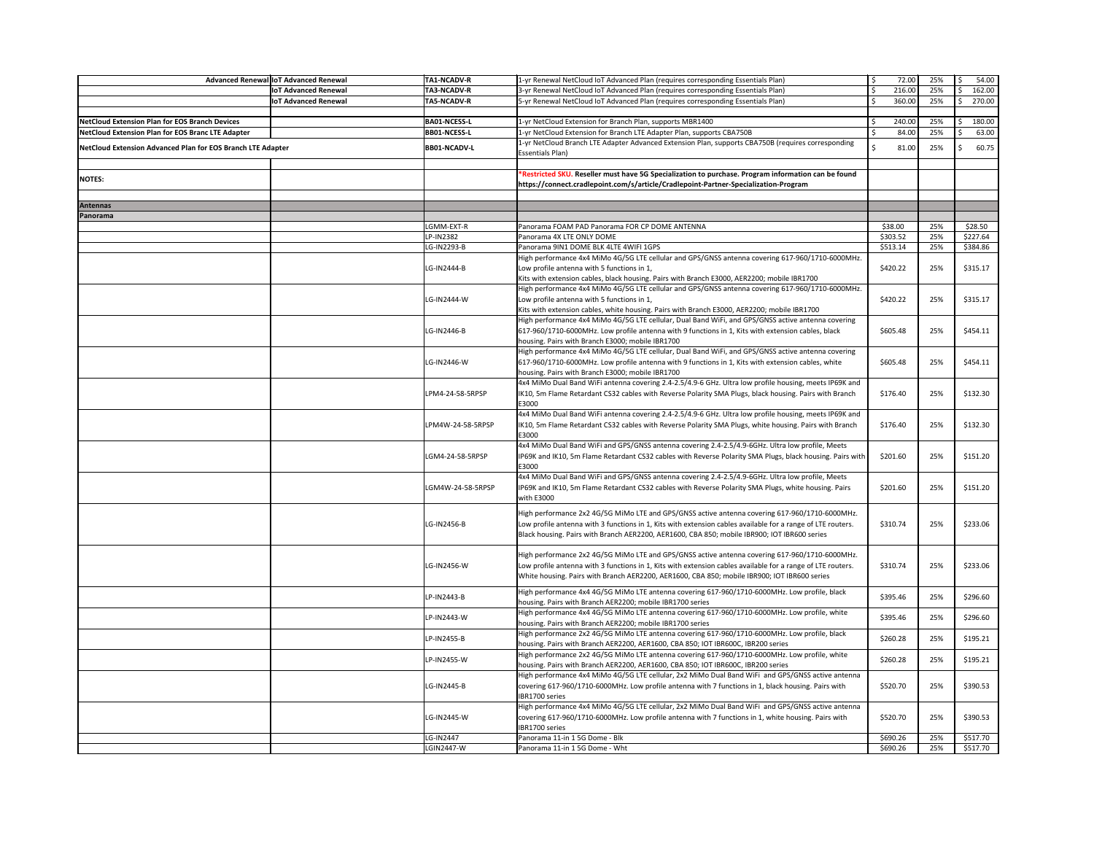|                                                             | Advanced Renewal IoT Advanced Renewal | TA1-NCADV-R         | 1-yr Renewal NetCloud IoT Advanced Plan (requires corresponding Essentials Plan)                            | 72.00        | 25% | 54.00    |
|-------------------------------------------------------------|---------------------------------------|---------------------|-------------------------------------------------------------------------------------------------------------|--------------|-----|----------|
|                                                             | <b>IoT Advanced Renewal</b>           | <b>TA3-NCADV-R</b>  | 3-yr Renewal NetCloud IoT Advanced Plan (requires corresponding Essentials Plan)                            | 216.00       | 25% | 162.00   |
|                                                             | <b>IoT Advanced Renewal</b>           | <b>TA5-NCADV-R</b>  | 5-yr Renewal NetCloud IoT Advanced Plan (requires corresponding Essentials Plan)                            | Ŝ.<br>360.00 | 25% | 270.00   |
|                                                             |                                       |                     |                                                                                                             |              |     |          |
|                                                             |                                       |                     |                                                                                                             |              |     |          |
| NetCloud Extension Plan for EOS Branch Devices              |                                       | <b>BA01-NCESS-L</b> | 1-yr NetCloud Extension for Branch Plan, supports MBR1400                                                   | 240.00       | 25% | 180.00   |
| NetCloud Extension Plan for EOS Branc LTE Adapter           |                                       | <b>BB01-NCESS-L</b> | 1-yr NetCloud Extension for Branch LTE Adapter Plan, supports CBA750B                                       | 84.00        | 25% | 63.00    |
| NetCloud Extension Advanced Plan for EOS Branch LTE Adapter |                                       | <b>BB01-NCADV-L</b> | 1-yr NetCloud Branch LTE Adapter Advanced Extension Plan, supports CBA750B (requires corresponding          | 81.00        | 25% | 60.75    |
|                                                             |                                       |                     | <b>Essentials Plan)</b>                                                                                     |              |     |          |
|                                                             |                                       |                     |                                                                                                             |              |     |          |
|                                                             |                                       |                     | *Restricted SKU. Reseller must have 5G Specialization to purchase. Program information can be found         |              |     |          |
| <b>NOTES:</b>                                               |                                       |                     | https://connect.cradlepoint.com/s/article/Cradlepoint-Partner-Specialization-Program                        |              |     |          |
|                                                             |                                       |                     |                                                                                                             |              |     |          |
|                                                             |                                       |                     |                                                                                                             |              |     |          |
| <b>Antennas</b>                                             |                                       |                     |                                                                                                             |              |     |          |
| Panorama                                                    |                                       |                     |                                                                                                             |              |     |          |
|                                                             |                                       | LGMM-EXT-R          | Panorama FOAM PAD Panorama FOR CP DOME ANTENNA                                                              | \$38.00      | 25% | \$28.50  |
|                                                             |                                       | LP-IN2382           | Panorama 4X LTE ONLY DOME                                                                                   | \$303.52     | 25% | \$227.64 |
|                                                             |                                       | LG-IN2293-B         | Panorama 9IN1 DOME BLK 4LTE 4WIFI 1GPS                                                                      | \$513.14     | 25% | \$384.86 |
|                                                             |                                       |                     | High performance 4x4 MiMo 4G/5G LTE cellular and GPS/GNSS antenna covering 617-960/1710-6000MHz.            |              |     |          |
|                                                             |                                       | LG-IN2444-B         |                                                                                                             | \$420.22     | 25% | \$315.17 |
|                                                             |                                       |                     | Low profile antenna with 5 functions in 1,                                                                  |              |     |          |
|                                                             |                                       |                     | Kits with extension cables, black housing. Pairs with Branch E3000, AER2200; mobile IBR1700                 |              |     |          |
|                                                             |                                       |                     | High performance 4x4 MiMo 4G/5G LTE cellular and GPS/GNSS antenna covering 617-960/1710-6000MHz.            |              |     |          |
|                                                             |                                       | LG-IN2444-W         | Low profile antenna with 5 functions in 1,                                                                  | \$420.22     | 25% | \$315.17 |
|                                                             |                                       |                     | Kits with extension cables, white housing. Pairs with Branch E3000, AER2200; mobile IBR1700                 |              |     |          |
|                                                             |                                       |                     | High performance 4x4 MiMo 4G/5G LTE cellular, Dual Band WiFi, and GPS/GNSS active antenna covering          |              |     |          |
|                                                             |                                       | LG-IN2446-B         | 617-960/1710-6000MHz. Low profile antenna with 9 functions in 1, Kits with extension cables, black          | \$605.48     | 25% | \$454.11 |
|                                                             |                                       |                     |                                                                                                             |              |     |          |
|                                                             |                                       |                     | housing. Pairs with Branch E3000; mobile IBR1700                                                            |              |     |          |
|                                                             |                                       |                     | High performance 4x4 MiMo 4G/5G LTE cellular, Dual Band WiFi, and GPS/GNSS active antenna covering          |              |     |          |
|                                                             |                                       | LG-IN2446-W         | 617-960/1710-6000MHz. Low profile antenna with 9 functions in 1, Kits with extension cables, white          | \$605.48     | 25% | \$454.11 |
|                                                             |                                       |                     | housing. Pairs with Branch E3000; mobile IBR1700                                                            |              |     |          |
|                                                             |                                       |                     | 4x4 MiMo Dual Band WiFi antenna covering 2.4-2.5/4.9-6 GHz. Ultra low profile housing, meets IP69K and      |              |     |          |
|                                                             |                                       | LPM4-24-58-5RPSP    | IK10, 5m Flame Retardant CS32 cables with Reverse Polarity SMA Plugs, black housing. Pairs with Branch      | \$176.40     | 25% | \$132.30 |
|                                                             |                                       |                     | E3000                                                                                                       |              |     |          |
|                                                             |                                       |                     | 4x4 MiMo Dual Band WiFi antenna covering 2.4-2.5/4.9-6 GHz. Ultra low profile housing, meets IP69K and      |              |     |          |
|                                                             |                                       |                     |                                                                                                             |              |     |          |
|                                                             |                                       | LPM4W-24-58-5RPSP   | IK10, 5m Flame Retardant CS32 cables with Reverse Polarity SMA Plugs, white housing. Pairs with Branch      | \$176.40     | 25% | \$132.30 |
|                                                             |                                       |                     | E3000                                                                                                       |              |     |          |
|                                                             |                                       |                     | 4x4 MiMo Dual Band WiFi and GPS/GNSS antenna covering 2.4-2.5/4.9-6GHz. Ultra low profile, Meets            |              |     |          |
|                                                             |                                       | LGM4-24-58-5RPSP    | IP69K and IK10, 5m Flame Retardant CS32 cables with Reverse Polarity SMA Plugs, black housing. Pairs with   | \$201.60     | 25% | \$151.20 |
|                                                             |                                       |                     | E3000                                                                                                       |              |     |          |
|                                                             |                                       |                     | 4x4 MiMo Dual Band WiFi and GPS/GNSS antenna covering 2.4-2.5/4.9-6GHz. Ultra low profile, Meets            |              |     |          |
|                                                             |                                       | LGM4W-24-58-5RPSP   | IP69K and IK10, 5m Flame Retardant CS32 cables with Reverse Polarity SMA Plugs, white housing. Pairs        | \$201.60     | 25% | \$151.20 |
|                                                             |                                       |                     | with E3000                                                                                                  |              |     |          |
|                                                             |                                       |                     |                                                                                                             |              |     |          |
|                                                             |                                       |                     | High performance 2x2 4G/5G MiMo LTE and GPS/GNSS active antenna covering 617-960/1710-6000MHz.              |              |     |          |
|                                                             |                                       | LG-IN2456-B         | Low profile antenna with 3 functions in 1, Kits with extension cables available for a range of LTE routers. | \$310.74     | 25% | \$233.06 |
|                                                             |                                       |                     | Black housing. Pairs with Branch AER2200, AER1600, CBA 850; mobile IBR900; IOT IBR600 series                |              |     |          |
|                                                             |                                       |                     |                                                                                                             |              |     |          |
|                                                             |                                       |                     |                                                                                                             |              |     |          |
|                                                             |                                       |                     | High performance 2x2 4G/5G MiMo LTE and GPS/GNSS active antenna covering 617-960/1710-6000MHz.              |              |     |          |
|                                                             |                                       | LG-IN2456-W         | Low profile antenna with 3 functions in 1, Kits with extension cables available for a range of LTE routers. | \$310.74     | 25% | \$233.06 |
|                                                             |                                       |                     | White housing. Pairs with Branch AER2200, AER1600, CBA 850; mobile IBR900; IOT IBR600 series                |              |     |          |
|                                                             |                                       |                     |                                                                                                             |              |     |          |
|                                                             |                                       | LP-IN2443-B         | High performance 4x4 4G/5G MiMo LTE antenna covering 617-960/1710-6000MHz. Low profile, black               | \$395.46     | 25% | \$296.60 |
|                                                             |                                       |                     | housing. Pairs with Branch AER2200; mobile IBR1700 series                                                   |              |     |          |
|                                                             |                                       | LP-IN2443-W         | High performance 4x4 4G/5G MiMo LTE antenna covering 617-960/1710-6000MHz. Low profile, white               | \$395.46     | 25% | \$296.60 |
|                                                             |                                       |                     | housing. Pairs with Branch AER2200; mobile IBR1700 series                                                   |              |     |          |
|                                                             |                                       |                     | High performance 2x2 4G/5G MiMo LTE antenna covering 617-960/1710-6000MHz. Low profile, black               |              |     |          |
|                                                             |                                       | LP-IN2455-B         | housing. Pairs with Branch AER2200, AER1600, CBA 850; IOT IBR600C, IBR200 series                            | \$260.28     | 25% | \$195.21 |
|                                                             |                                       |                     | High performance 2x2 4G/5G MiMo LTE antenna covering 617-960/1710-6000MHz. Low profile, white               |              |     |          |
|                                                             |                                       | LP-IN2455-W         | housing. Pairs with Branch AER2200, AER1600, CBA 850; IOT IBR600C, IBR200 series                            | \$260.28     | 25% | \$195.21 |
|                                                             |                                       |                     |                                                                                                             |              |     |          |
|                                                             |                                       |                     | High performance 4x4 MiMo 4G/5G LTE cellular, 2x2 MiMo Dual Band WiFi and GPS/GNSS active antenna           |              |     |          |
|                                                             |                                       | LG-IN2445-B         | covering 617-960/1710-6000MHz. Low profile antenna with 7 functions in 1, black housing. Pairs with         | \$520.70     | 25% | \$390.53 |
|                                                             |                                       |                     | IBR1700 series                                                                                              |              |     |          |
|                                                             |                                       |                     | High performance 4x4 MiMo 4G/5G LTE cellular, 2x2 MiMo Dual Band WiFi and GPS/GNSS active antenna           |              |     |          |
|                                                             |                                       | LG-IN2445-W         | covering 617-960/1710-6000MHz. Low profile antenna with 7 functions in 1, white housing. Pairs with         | \$520.70     | 25% | \$390.53 |
|                                                             |                                       |                     | IBR1700 series                                                                                              |              |     |          |
|                                                             |                                       | LG-IN2447           | Panorama 11-in 1 5G Dome - Blk                                                                              | \$690.26     | 25% | \$517.70 |
|                                                             |                                       |                     |                                                                                                             |              |     |          |
|                                                             |                                       | LGIN2447-W          | Panorama 11-in 1 5G Dome - Wht                                                                              | \$690.26     | 25% | \$517.70 |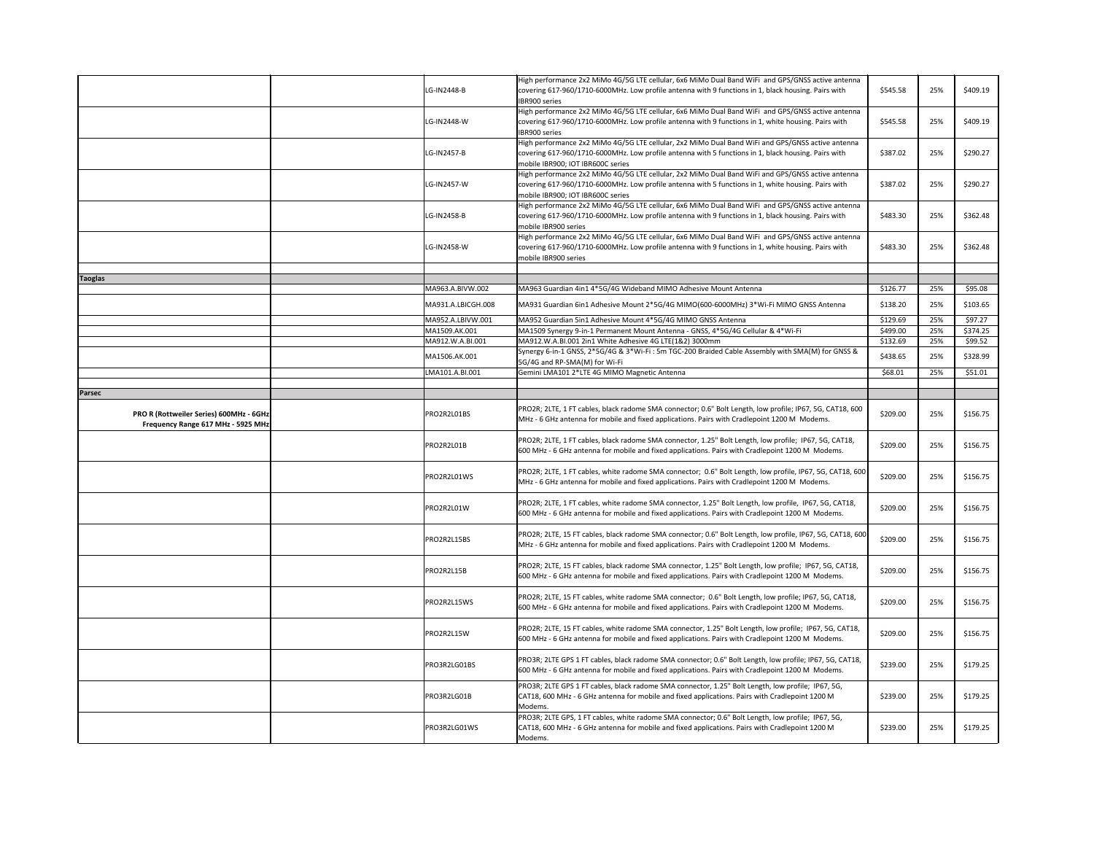|                                                                                      | LG-IN2448-B        | High performance 2x2 MiMo 4G/5G LTE cellular, 6x6 MiMo Dual Band WiFi and GPS/GNSS active antenna<br>covering 617-960/1710-6000MHz. Low profile antenna with 9 functions in 1, black housing. Pairs with                                      | \$545.58 | 25% | \$409.19 |
|--------------------------------------------------------------------------------------|--------------------|-----------------------------------------------------------------------------------------------------------------------------------------------------------------------------------------------------------------------------------------------|----------|-----|----------|
|                                                                                      |                    | IBR900 series                                                                                                                                                                                                                                 |          |     |          |
|                                                                                      | LG-IN2448-W        | High performance 2x2 MiMo 4G/5G LTE cellular, 6x6 MiMo Dual Band WiFi and GPS/GNSS active antenna<br>covering 617-960/1710-6000MHz. Low profile antenna with 9 functions in 1, white housing. Pairs with<br>IBR900 series                     | \$545.58 | 25% | \$409.19 |
|                                                                                      | LG-IN2457-B        | High performance 2x2 MiMo 4G/5G LTE cellular, 2x2 MiMo Dual Band WiFi and GPS/GNSS active antenna<br>covering 617-960/1710-6000MHz. Low profile antenna with 5 functions in 1, black housing. Pairs with<br>mobile IBR900; IOT IBR600C series | \$387.02 | 25% | \$290.27 |
|                                                                                      | LG-IN2457-W        | High performance 2x2 MiMo 4G/5G LTE cellular, 2x2 MiMo Dual Band WiFi and GPS/GNSS active antenna<br>covering 617-960/1710-6000MHz. Low profile antenna with 5 functions in 1, white housing. Pairs with<br>mobile IBR900; IOT IBR600C series | \$387.02 | 25% | \$290.27 |
|                                                                                      | LG-IN2458-B        | High performance 2x2 MiMo 4G/5G LTE cellular, 6x6 MiMo Dual Band WiFi and GPS/GNSS active antenna<br>covering 617-960/1710-6000MHz. Low profile antenna with 9 functions in 1, black housing. Pairs with<br>mobile IBR900 series              | \$483.30 | 25% | \$362.48 |
|                                                                                      | LG-IN2458-W        | High performance 2x2 MiMo 4G/5G LTE cellular, 6x6 MiMo Dual Band WiFi and GPS/GNSS active antenna<br>covering 617-960/1710-6000MHz. Low profile antenna with 9 functions in 1, white housing. Pairs with<br>mobile IBR900 series              | \$483.30 | 25% | \$362.48 |
| <b>Taoglas</b>                                                                       |                    |                                                                                                                                                                                                                                               |          |     |          |
|                                                                                      | MA963.A.BIVW.002   | MA963 Guardian 4in1 4*5G/4G Wideband MIMO Adhesive Mount Antenna                                                                                                                                                                              | \$126.77 | 25% | \$95.08  |
|                                                                                      | MA931.A.LBICGH.008 | MA931 Guardian 6in1 Adhesive Mount 2*5G/4G MIMO(600-6000MHz) 3*Wi-Fi MIMO GNSS Antenna                                                                                                                                                        | \$138.20 | 25% | \$103.65 |
|                                                                                      | MA952.A.LBIVW.001  | MA952 Guardian 5in1 Adhesive Mount 4*5G/4G MIMO GNSS Antenna                                                                                                                                                                                  | \$129.69 | 25% | \$97.27  |
|                                                                                      | MA1509.AK.001      | MA1509 Synergy 9-in-1 Permanent Mount Antenna - GNSS, 4*5G/4G Cellular & 4*Wi-Fi                                                                                                                                                              | \$499.00 | 25% | \$374.25 |
|                                                                                      | MA912.W.A.BI.001   | MA912.W.A.BI.001 2in1 White Adhesive 4G LTE(1&2) 3000mm<br>Synergy 6-in-1 GNSS, 2*5G/4G & 3*Wi-Fi: 5m TGC-200 Braided Cable Assembly with SMA(M) for GNSS &                                                                                   | \$132.69 | 25% | \$99.52  |
|                                                                                      | MA1506.AK.001      | 5G/4G and RP-SMA(M) for Wi-Fi                                                                                                                                                                                                                 | \$438.65 | 25% | \$328.99 |
|                                                                                      | LMA101.A.BI.001    | Gemini LMA101 2*LTE 4G MIMO Magnetic Antenna                                                                                                                                                                                                  | \$68.01  | 25% | \$51.01  |
| <b>Parsec</b>                                                                        |                    |                                                                                                                                                                                                                                               |          |     |          |
|                                                                                      |                    | PRO2R; 2LTE, 1 FT cables, black radome SMA connector; 0.6" Bolt Length, low profile; IP67, 5G, CAT18, 600                                                                                                                                     |          |     |          |
| <b>PRO R (Rottweiler Series) 600MHz - 6GHz</b><br>Frequency Range 617 MHz - 5925 MHz | PRO2R2L01BS        | MHz - 6 GHz antenna for mobile and fixed applications. Pairs with Cradlepoint 1200 M Modems.                                                                                                                                                  | \$209.00 | 25% | \$156.75 |
|                                                                                      | PRO2R2L01B         | PRO2R; 2LTE, 1 FT cables, black radome SMA connector, 1.25" Bolt Length, low profile; IP67, 5G, CAT18,<br>600 MHz - 6 GHz antenna for mobile and fixed applications. Pairs with Cradlepoint 1200 M Modems.                                    | \$209.00 | 25% | \$156.75 |
|                                                                                      |                    |                                                                                                                                                                                                                                               |          |     |          |
|                                                                                      | PRO2R2L01WS        | PRO2R; 2LTE, 1 FT cables, white radome SMA connector; 0.6" Bolt Length, low profile, IP67, 5G, CAT18, 600<br>MHz - 6 GHz antenna for mobile and fixed applications. Pairs with Cradlepoint 1200 M Modems.                                     | \$209.00 | 25% | \$156.75 |
|                                                                                      | PRO2R2L01W         | PRO2R; 2LTE, 1 FT cables, white radome SMA connector, 1.25" Bolt Length, low profile, IP67, 5G, CAT18,<br>600 MHz - 6 GHz antenna for mobile and fixed applications. Pairs with Cradlepoint 1200 M Modems.                                    | \$209.00 | 25% | \$156.75 |
|                                                                                      | PRO2R2L15BS        | PRO2R; 2LTE, 15 FT cables, black radome SMA connector; 0.6" Bolt Length, low profile, IP67, 5G, CAT18, 600<br>MHz - 6 GHz antenna for mobile and fixed applications. Pairs with Cradlepoint 1200 M Modems.                                    | \$209.00 | 25% | \$156.75 |
|                                                                                      | PRO2R2L15B         | PRO2R; 2LTE, 15 FT cables, black radome SMA connector, 1.25" Bolt Length, low profile; IP67, 5G, CAT18,<br>600 MHz - 6 GHz antenna for mobile and fixed applications. Pairs with Cradlepoint 1200 M Modems.                                   | \$209.00 | 25% | \$156.75 |
|                                                                                      | PRO2R2L15WS        | PRO2R; 2LTE, 15 FT cables, white radome SMA connector; 0.6" Bolt Length, low profile; IP67, 5G, CAT18,<br>600 MHz - 6 GHz antenna for mobile and fixed applications. Pairs with Cradlepoint 1200 M Modems.                                    | \$209.00 | 25% | \$156.75 |
|                                                                                      | PRO2R2L15W         | PRO2R; 2LTE, 15 FT cables, white radome SMA connector, 1.25" Bolt Length, low profile; IP67, 5G, CAT18,<br>600 MHz - 6 GHz antenna for mobile and fixed applications. Pairs with Cradlepoint 1200 M Modems.                                   | \$209.00 | 25% | \$156.75 |
|                                                                                      | PRO3R2LG01BS       | PRO3R; 2LTE GPS 1 FT cables, black radome SMA connector; 0.6" Bolt Length, low profile; IP67, 5G, CAT18,<br>600 MHz - 6 GHz antenna for mobile and fixed applications. Pairs with Cradlepoint 1200 M Modems.                                  | \$239.00 | 25% | \$179.25 |
|                                                                                      | PRO3R2LG01B        | PRO3R; 2LTE GPS 1 FT cables, black radome SMA connector, 1.25" Bolt Length, low profile; IP67, 5G,<br>CAT18, 600 MHz - 6 GHz antenna for mobile and fixed applications. Pairs with Cradlepoint 1200 M<br>Modems.                              | \$239.00 | 25% | \$179.25 |
|                                                                                      | PRO3R2LG01WS       | PRO3R; 2LTE GPS, 1 FT cables, white radome SMA connector; 0.6" Bolt Length, low profile; IP67, 5G,<br>CAT18, 600 MHz - 6 GHz antenna for mobile and fixed applications. Pairs with Cradlepoint 1200 M<br>Modems.                              | \$239.00 | 25% | \$179.25 |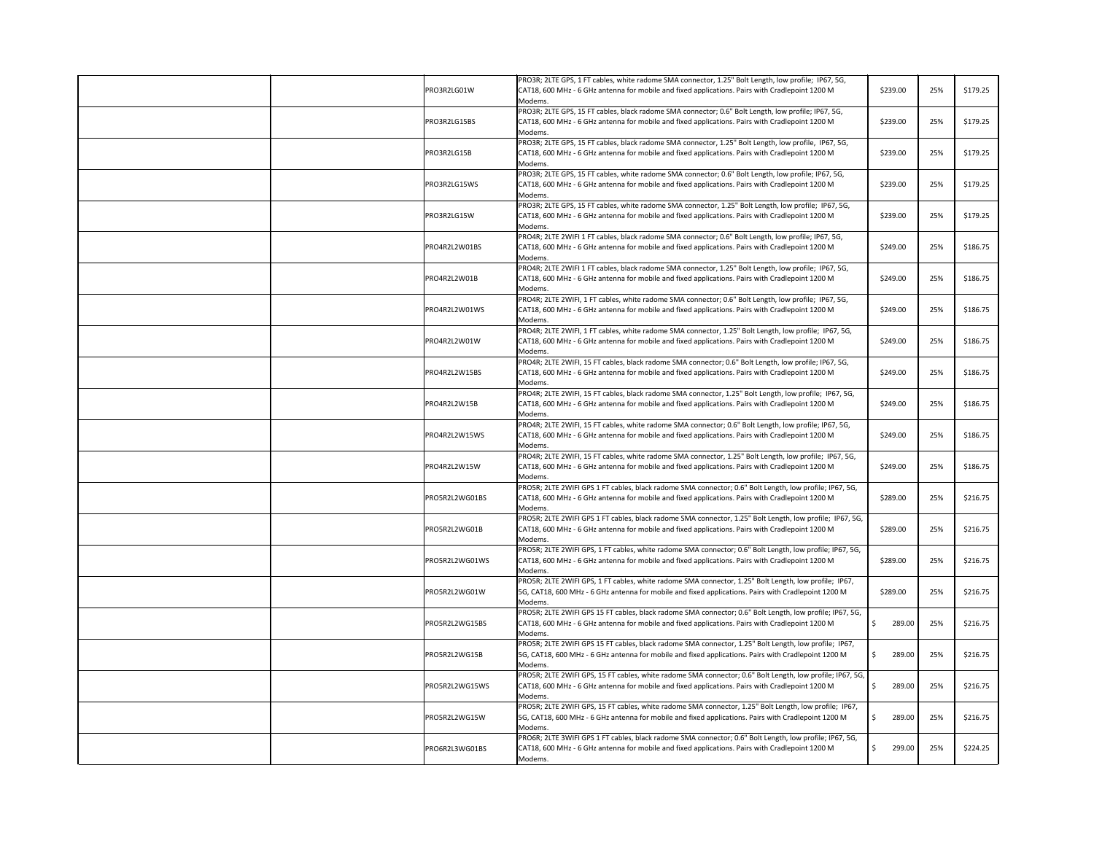| PRO3R2LG01W    | PRO3R; 2LTE GPS, 1 FT cables, white radome SMA connector, 1.25" Bolt Length, low profile; IP67, 5G,<br>CAT18, 600 MHz - 6 GHz antenna for mobile and fixed applications. Pairs with Cradlepoint 1200 M                        | \$239.00     | 25% | \$179.25 |
|----------------|-------------------------------------------------------------------------------------------------------------------------------------------------------------------------------------------------------------------------------|--------------|-----|----------|
| PRO3R2LG15BS   | Modems.<br>PRO3R; 2LTE GPS, 15 FT cables, black radome SMA connector; 0.6" Bolt Length, low profile; IP67, 5G,<br>CAT18, 600 MHz - 6 GHz antenna for mobile and fixed applications. Pairs with Cradlepoint 1200 M             | \$239.00     | 25% | \$179.25 |
| PRO3R2LG15B    | Modems.<br>PRO3R; 2LTE GPS, 15 FT cables, black radome SMA connector, 1.25" Bolt Length, low profile, IP67, 5G,<br>CAT18, 600 MHz - 6 GHz antenna for mobile and fixed applications. Pairs with Cradlepoint 1200 M<br>Modems. | \$239.00     | 25% | \$179.25 |
| PRO3R2LG15WS   | PRO3R; 2LTE GPS, 15 FT cables, white radome SMA connector; 0.6" Bolt Length, low profile; IP67, 5G,<br>CAT18, 600 MHz - 6 GHz antenna for mobile and fixed applications. Pairs with Cradlepoint 1200 M<br>Modems.             | \$239.00     | 25% | \$179.25 |
| PRO3R2LG15W    | PRO3R; 2LTE GPS, 15 FT cables, white radome SMA connector, 1.25" Bolt Length, low profile; IP67, 5G,<br>CAT18, 600 MHz - 6 GHz antenna for mobile and fixed applications. Pairs with Cradlepoint 1200 M<br>Modems.            | \$239.00     | 25% | \$179.25 |
| PRO4R2L2W01BS  | PRO4R; 2LTE 2WIFI 1 FT cables, black radome SMA connector; 0.6" Bolt Length, low profile; IP67, 5G,<br>CAT18, 600 MHz - 6 GHz antenna for mobile and fixed applications. Pairs with Cradlepoint 1200 M<br>Modems.             | \$249.00     | 25% | \$186.75 |
| PRO4R2L2W01B   | PRO4R; 2LTE 2WIFI 1 FT cables, black radome SMA connector, 1.25" Bolt Length, low profile; IP67, 5G,<br>CAT18, 600 MHz - 6 GHz antenna for mobile and fixed applications. Pairs with Cradlepoint 1200 M<br>Modems.            | \$249.00     | 25% | \$186.75 |
| PRO4R2L2W01WS  | PRO4R; 2LTE 2WIFI, 1 FT cables, white radome SMA connector; 0.6" Bolt Length, low profile; IP67, 5G,<br>CAT18, 600 MHz - 6 GHz antenna for mobile and fixed applications. Pairs with Cradlepoint 1200 M<br>Modems.            | \$249.00     | 25% | \$186.75 |
| PRO4R2L2W01W   | PRO4R; 2LTE 2WIFI, 1 FT cables, white radome SMA connector, 1.25" Bolt Length, low profile; IP67, 5G,<br>CAT18, 600 MHz - 6 GHz antenna for mobile and fixed applications. Pairs with Cradlepoint 1200 M<br>Modems.           | \$249.00     | 25% | \$186.75 |
| PRO4R2L2W15BS  | PRO4R; 2LTE 2WIFI, 15 FT cables, black radome SMA connector; 0.6" Bolt Length, low profile; IP67, 5G,<br>CAT18, 600 MHz - 6 GHz antenna for mobile and fixed applications. Pairs with Cradlepoint 1200 M<br>Modems.           | \$249.00     | 25% | \$186.75 |
| PRO4R2L2W15B   | PRO4R; 2LTE 2WIFI, 15 FT cables, black radome SMA connector, 1.25" Bolt Length, low profile; IP67, 5G,<br>CAT18, 600 MHz - 6 GHz antenna for mobile and fixed applications. Pairs with Cradlepoint 1200 M<br>Modems.          | \$249.00     | 25% | \$186.75 |
| PRO4R2L2W15WS  | PRO4R; 2LTE 2WIFI, 15 FT cables, white radome SMA connector; 0.6" Bolt Length, low profile; IP67, 5G,<br>CAT18, 600 MHz - 6 GHz antenna for mobile and fixed applications. Pairs with Cradlepoint 1200 M<br>Modems.           | \$249.00     | 25% | \$186.75 |
| PRO4R2L2W15W   | PRO4R; 2LTE 2WIFI, 15 FT cables, white radome SMA connector, 1.25" Bolt Length, low profile; IP67, 5G,<br>CAT18, 600 MHz - 6 GHz antenna for mobile and fixed applications. Pairs with Cradlepoint 1200 M<br>Modems.          | \$249.00     | 25% | \$186.75 |
| PRO5R2L2WG01BS | PRO5R; 2LTE 2WIFI GPS 1 FT cables, black radome SMA connector; 0.6" Bolt Length, low profile; IP67, 5G,<br>CAT18, 600 MHz - 6 GHz antenna for mobile and fixed applications. Pairs with Cradlepoint 1200 M<br>Modems.         | \$289.00     | 25% | \$216.75 |
| PRO5R2L2WG01B  | PRO5R; 2LTE 2WIFI GPS 1 FT cables, black radome SMA connector, 1.25" Bolt Length, low profile; IP67, 5G,<br>CAT18, 600 MHz - 6 GHz antenna for mobile and fixed applications. Pairs with Cradlepoint 1200 M<br>Modems.        | \$289.00     | 25% | \$216.75 |
| PRO5R2L2WG01WS | PRO5R; 2LTE 2WIFI GPS, 1 FT cables, white radome SMA connector; 0.6" Bolt Length, low profile; IP67, 5G,<br>CAT18, 600 MHz - 6 GHz antenna for mobile and fixed applications. Pairs with Cradlepoint 1200 M<br>Modems.        | \$289.00     | 25% | \$216.75 |
| PRO5R2L2WG01W  | PRO5R; 2LTE 2WIFI GPS, 1 FT cables, white radome SMA connector, 1.25" Bolt Length, low profile; IP67,<br>5G, CAT18, 600 MHz - 6 GHz antenna for mobile and fixed applications. Pairs with Cradlepoint 1200 M<br>Modems.       | \$289.00     | 25% | \$216.75 |
| PRO5R2L2WG15BS | PRO5R; 2LTE 2WIFI GPS 15 FT cables, black radome SMA connector; 0.6" Bolt Length, low profile; IP67, 5G,<br>CAT18, 600 MHz - 6 GHz antenna for mobile and fixed applications. Pairs with Cradlepoint 1200 M<br>Modems.        | S.<br>289.00 | 25% | \$216.75 |
| PRO5R2L2WG15B  | PRO5R; 2LTE 2WIFI GPS 15 FT cables, black radome SMA connector, 1.25" Bolt Length, low profile; IP67,<br>5G, CAT18, 600 MHz - 6 GHz antenna for mobile and fixed applications. Pairs with Cradlepoint 1200 M<br>Modems.       | 289.00       | 25% | \$216.75 |
| PRO5R2L2WG15WS | PRO5R; 2LTE 2WIFI GPS, 15 FT cables, white radome SMA connector; 0.6" Bolt Length, low profile; IP67, 5G,<br>CAT18, 600 MHz - 6 GHz antenna for mobile and fixed applications. Pairs with Cradlepoint 1200 M<br>Modems.       | 289.00       | 25% | \$216.75 |
| PRO5R2L2WG15W  | PRO5R; 2LTE 2WIFI GPS, 15 FT cables, white radome SMA connector, 1.25" Bolt Length, low profile; IP67,<br>5G, CAT18, 600 MHz - 6 GHz antenna for mobile and fixed applications. Pairs with Cradlepoint 1200 M<br>Modems.      | 289.00<br>S. | 25% | \$216.75 |
| PRO6R2L3WG01BS | PRO6R; 2LTE 3WIFI GPS 1 FT cables, black radome SMA connector; 0.6" Bolt Length, low profile; IP67, 5G,<br>CAT18, 600 MHz - 6 GHz antenna for mobile and fixed applications. Pairs with Cradlepoint 1200 M<br>Modems.         | \$<br>299.00 | 25% | \$224.25 |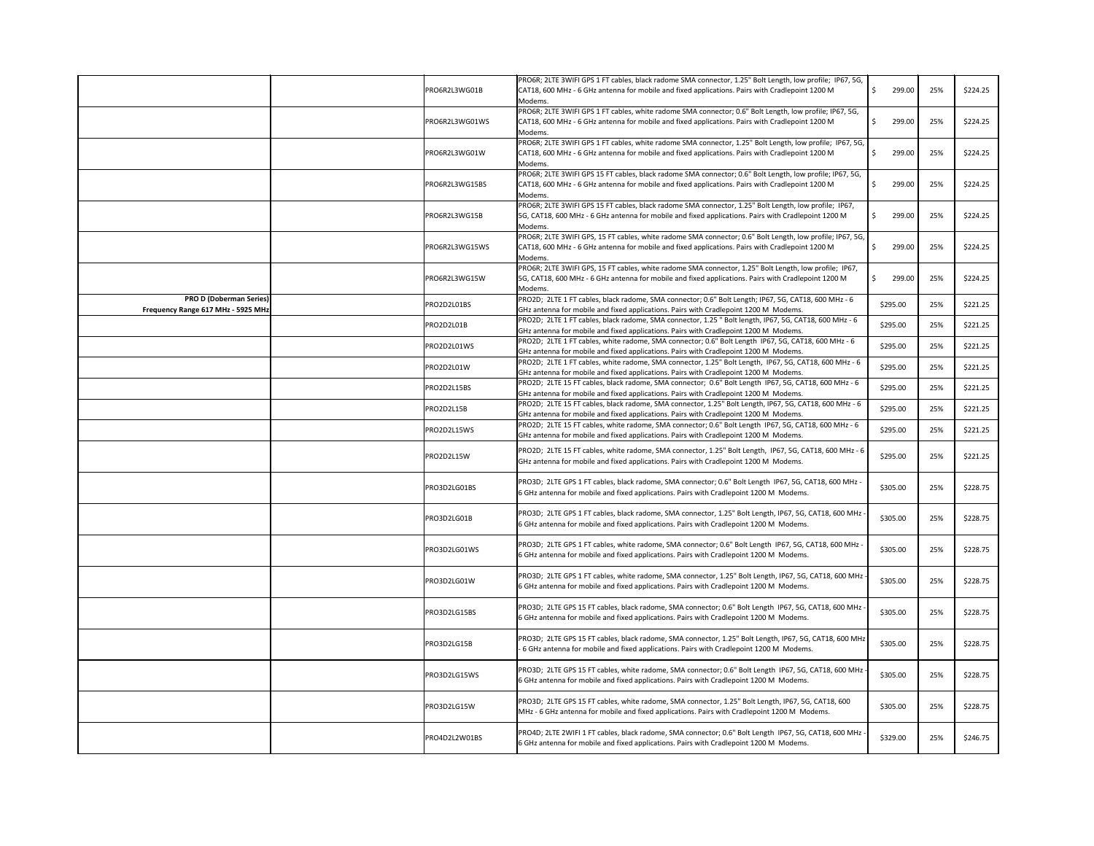|                                                                      | PRO6R2L3WG01B  | PRO6R; 2LTE 3WIFI GPS 1 FT cables, black radome SMA connector, 1.25" Bolt Length, low profile; IP67, 5G,<br>CAT18, 600 MHz - 6 GHz antenna for mobile and fixed applications. Pairs with Cradlepoint 1200 M  | 299.00<br>-S | 25% | \$224.25 |
|----------------------------------------------------------------------|----------------|--------------------------------------------------------------------------------------------------------------------------------------------------------------------------------------------------------------|--------------|-----|----------|
|                                                                      |                | Modems.                                                                                                                                                                                                      |              |     |          |
|                                                                      | PRO6R2L3WG01WS | PRO6R; 2LTE 3WIFI GPS 1 FT cables, white radome SMA connector; 0.6" Bolt Length, low profile; IP67, 5G,<br>CAT18, 600 MHz - 6 GHz antenna for mobile and fixed applications. Pairs with Cradlepoint 1200 M   | 299.00       | 25% | \$224.25 |
|                                                                      |                | Modems.                                                                                                                                                                                                      |              |     |          |
|                                                                      |                | PRO6R; 2LTE 3WIFI GPS 1 FT cables, white radome SMA connector, 1.25" Bolt Length, low profile; IP67, 5G,                                                                                                     |              |     |          |
|                                                                      | PRO6R2L3WG01W  | CAT18, 600 MHz - 6 GHz antenna for mobile and fixed applications. Pairs with Cradlepoint 1200 M<br>Modems.                                                                                                   | 299.00<br>-S | 25% | \$224.25 |
|                                                                      |                | PRO6R; 2LTE 3WIFI GPS 15 FT cables, black radome SMA connector; 0.6" Bolt Length, low profile; IP67, 5G,                                                                                                     |              |     |          |
|                                                                      | PRO6R2L3WG15BS | CAT18, 600 MHz - 6 GHz antenna for mobile and fixed applications. Pairs with Cradlepoint 1200 M                                                                                                              | 299.00       | 25% | \$224.25 |
|                                                                      |                | Modems.                                                                                                                                                                                                      |              |     |          |
|                                                                      | PRO6R2L3WG15B  | PRO6R; 2LTE 3WIFI GPS 15 FT cables, black radome SMA connector, 1.25" Bolt Length, low profile; IP67,<br>5G, CAT18, 600 MHz - 6 GHz antenna for mobile and fixed applications. Pairs with Cradlepoint 1200 M | 299.00       | 25% | \$224.25 |
|                                                                      |                | Modems.                                                                                                                                                                                                      |              |     |          |
|                                                                      |                | PRO6R; 2LTE 3WIFI GPS, 15 FT cables, white radome SMA connector; 0.6" Bolt Length, low profile; IP67, 5G,                                                                                                    |              |     |          |
|                                                                      | PRO6R2L3WG15WS | CAT18, 600 MHz - 6 GHz antenna for mobile and fixed applications. Pairs with Cradlepoint 1200 M                                                                                                              | 299.00       | 25% | \$224.25 |
|                                                                      |                | Modems.<br>PRO6R; 2LTE 3WIFI GPS, 15 FT cables, white radome SMA connector, 1.25" Bolt Length, low profile; IP67,                                                                                            |              |     |          |
|                                                                      | PRO6R2L3WG15W  | 5G, CAT18, 600 MHz - 6 GHz antenna for mobile and fixed applications. Pairs with Cradlepoint 1200 M                                                                                                          | 299.00       | 25% | \$224.25 |
|                                                                      |                | Modems.                                                                                                                                                                                                      |              |     |          |
| <b>PRO D (Doberman Series)</b><br>Frequency Range 617 MHz - 5925 MHz | PRO2D2L01BS    | PRO2D; 2LTE 1 FT cables, black radome, SMA connector; 0.6" Bolt Length; IP67, 5G, CAT18, 600 MHz - 6<br>GHz antenna for mobile and fixed applications. Pairs with Cradlepoint 1200 M Modems.                 | \$295.00     | 25% | \$221.25 |
|                                                                      |                | PRO2D; 2LTE 1 FT cables, black radome, SMA connector, 1.25 " Bolt length, IP67, 5G, CAT18, 600 MHz - 6                                                                                                       |              |     |          |
|                                                                      | PRO2D2L01B     | GHz antenna for mobile and fixed applications. Pairs with Cradlepoint 1200 M Modems.                                                                                                                         | \$295.00     | 25% | \$221.25 |
|                                                                      | PRO2D2L01WS    | PRO2D; 2LTE 1 FT cables, white radome, SMA connector; 0.6" Bolt Length IP67, 5G, CAT18, 600 MHz - 6                                                                                                          | \$295.00     | 25% | \$221.25 |
|                                                                      |                | GHz antenna for mobile and fixed applications. Pairs with Cradlepoint 1200 M Modems.                                                                                                                         |              |     |          |
|                                                                      | PRO2D2L01W     | PRO2D; 2LTE 1 FT cables, white radome, SMA connector, 1.25" Bolt Length, IP67, 5G, CAT18, 600 MHz - 6<br>GHz antenna for mobile and fixed applications. Pairs with Cradlepoint 1200 M Modems.                | \$295.00     | 25% | \$221.25 |
|                                                                      | PRO2D2L15BS    | PRO2D; 2LTE 15 FT cables, black radome, SMA connector; 0.6" Bolt Length IP67, 5G, CAT18, 600 MHz - 6                                                                                                         | \$295.00     | 25% | \$221.25 |
|                                                                      |                | GHz antenna for mobile and fixed applications. Pairs with Cradlepoint 1200 M Modems.                                                                                                                         |              |     |          |
|                                                                      | PRO2D2L15B     | PRO2D; 2LTE 15 FT cables, black radome, SMA connector, 1.25" Bolt Length, IP67, 5G, CAT18, 600 MHz - 6<br>GHz antenna for mobile and fixed applications. Pairs with Cradlepoint 1200 M Modems.               | \$295.00     | 25% | \$221.25 |
|                                                                      | PRO2D2L15WS    | PRO2D; 2LTE 15 FT cables, white radome, SMA connector; 0.6" Bolt Length IP67, 5G, CAT18, 600 MHz - 6<br>GHz antenna for mobile and fixed applications. Pairs with Cradlepoint 1200 M Modems.                 | \$295.00     | 25% | \$221.25 |
|                                                                      | PRO2D2L15W     | PRO2D; 2LTE 15 FT cables, white radome, SMA connector, 1.25" Bolt Length, IP67, 5G, CAT18, 600 MHz - 6<br>GHz antenna for mobile and fixed applications. Pairs with Cradlepoint 1200 M Modems.               | \$295.00     | 25% | \$221.25 |
|                                                                      | PRO3D2LG01BS   | PRO3D; 2LTE GPS 1 FT cables, black radome, SMA connector; 0.6" Bolt Length IP67, 5G, CAT18, 600 MHz -<br>6 GHz antenna for mobile and fixed applications. Pairs with Cradlepoint 1200 M Modems.              | \$305.00     | 25% | \$228.75 |
|                                                                      | PRO3D2LG01B    | - PRO3D; 2LTE GPS 1 FT cables, black radome, SMA connector, 1.25" Bolt Length, IP67, 5G, CAT18, 600 MHz<br>6 GHz antenna for mobile and fixed applications. Pairs with Cradlepoint 1200 M Modems.            | \$305.00     | 25% | \$228.75 |
|                                                                      | PRO3D2LG01WS   | PRO3D; 2LTE GPS 1 FT cables, white radome, SMA connector; 0.6" Bolt Length IP67, 5G, CAT18, 600 MHz -<br>6 GHz antenna for mobile and fixed applications. Pairs with Cradlepoint 1200 M Modems.              | \$305.00     | 25% | \$228.75 |
|                                                                      | PRO3D2LG01W    | PRO3D; 2LTE GPS 1 FT cables, white radome, SMA connector, 1.25" Bolt Length, IP67, 5G, CAT18, 600 MHz<br>6 GHz antenna for mobile and fixed applications. Pairs with Cradlepoint 1200 M Modems.              | \$305.00     | 25% | \$228.75 |
|                                                                      | PRO3D2LG15BS   | - PRO3D; 2LTE GPS 15 FT cables, black radome, SMA connector; 0.6" Bolt Length IP67, 5G, CAT18, 600 MHz<br>6 GHz antenna for mobile and fixed applications. Pairs with Cradlepoint 1200 M Modems.             | \$305.00     | 25% | \$228.75 |
|                                                                      | PRO3D2LG15B    | PRO3D; 2LTE GPS 15 FT cables, black radome, SMA connector, 1.25" Bolt Length, IP67, 5G, CAT18, 600 MHz<br>- 6 GHz antenna for mobile and fixed applications. Pairs with Cradlepoint 1200 M Modems.           | \$305.00     | 25% | \$228.75 |
|                                                                      | PRO3D2LG15WS   | PRO3D; 2LTE GPS 15 FT cables, white radome, SMA connector; 0.6" Bolt Length IP67, 5G, CAT18, 600 MHz<br>6 GHz antenna for mobile and fixed applications. Pairs with Cradlepoint 1200 M Modems.               | \$305.00     | 25% | \$228.75 |
|                                                                      | PRO3D2LG15W    | PRO3D; 2LTE GPS 15 FT cables, white radome, SMA connector, 1.25" Bolt Length, IP67, 5G, CAT18, 600<br>MHz - 6 GHz antenna for mobile and fixed applications. Pairs with Cradlepoint 1200 M Modems.           | \$305.00     | 25% | \$228.75 |
|                                                                      | PRO4D2L2W01BS  | PRO4D; 2LTE 2WIFI 1 FT cables, black radome, SMA connector; 0.6" Bolt Length IP67, 5G, CAT18, 600 MHz -<br>6 GHz antenna for mobile and fixed applications. Pairs with Cradlepoint 1200 M Modems.            | \$329.00     | 25% | \$246.75 |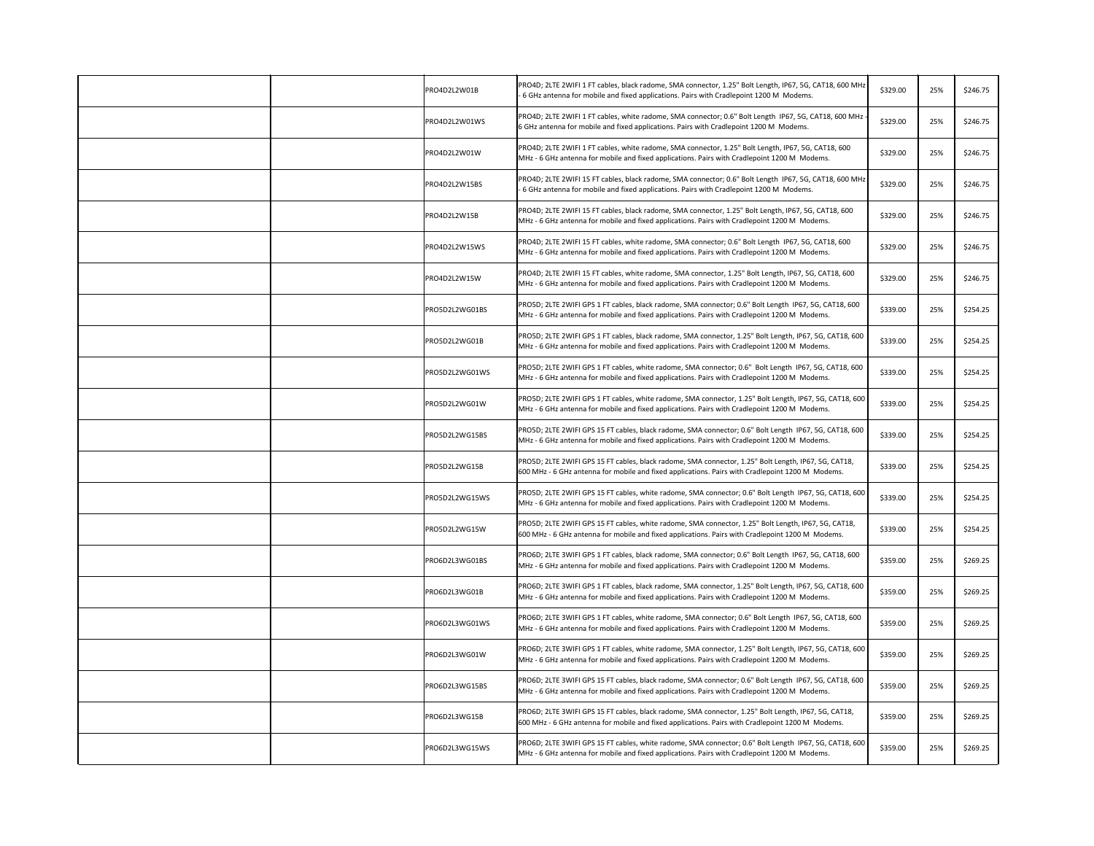| PRO4D2L2W01B   | PRO4D; 2LTE 2WIFI 1 FT cables, black radome, SMA connector, 1.25" Bolt Length, IP67, 5G, CAT18, 600 MHz<br>- 6 GHz antenna for mobile and fixed applications. Pairs with Cradlepoint 1200 M Modems.      | \$329.00 | 25% | \$246.75 |
|----------------|----------------------------------------------------------------------------------------------------------------------------------------------------------------------------------------------------------|----------|-----|----------|
| PRO4D2L2W01WS  | PRO4D; 2LTE 2WIFI 1 FT cables, white radome, SMA connector; 0.6" Bolt Length IP67, 5G, CAT18, 600 MHz<br>6 GHz antenna for mobile and fixed applications. Pairs with Cradlepoint 1200 M Modems.          | \$329.00 | 25% | \$246.75 |
| PRO4D2L2W01W   | PRO4D; 2LTE 2WIFI 1 FT cables, white radome, SMA connector, 1.25" Bolt Length, IP67, 5G, CAT18, 600<br>MHz - 6 GHz antenna for mobile and fixed applications. Pairs with Cradlepoint 1200 M Modems.      | \$329.00 | 25% | \$246.75 |
| PRO4D2L2W15BS  | PRO4D; 2LTE 2WIFI 15 FT cables, black radome, SMA connector; 0.6" Bolt Length IP67, 5G, CAT18, 600 MHz<br>- 6 GHz antenna for mobile and fixed applications. Pairs with Cradlepoint 1200 M Modems.       | \$329.00 | 25% | \$246.75 |
| PRO4D2L2W15B   | PRO4D; 2LTE 2WIFI 15 FT cables, black radome, SMA connector, 1.25" Bolt Length, IP67, 5G, CAT18, 600<br>MHz - 6 GHz antenna for mobile and fixed applications. Pairs with Cradlepoint 1200 M Modems.     | \$329.00 | 25% | \$246.75 |
| PRO4D2L2W15WS  | PRO4D; 2LTE 2WIFI 15 FT cables, white radome, SMA connector; 0.6" Bolt Length IP67, 5G, CAT18, 600<br>MHz - 6 GHz antenna for mobile and fixed applications. Pairs with Cradlepoint 1200 M Modems.       | \$329.00 | 25% | \$246.75 |
| PRO4D2L2W15W   | PRO4D; 2LTE 2WIFI 15 FT cables, white radome, SMA connector, 1.25" Bolt Length, IP67, 5G, CAT18, 600<br>MHz - 6 GHz antenna for mobile and fixed applications. Pairs with Cradlepoint 1200 M Modems.     | \$329.00 | 25% | \$246.75 |
| PRO5D2L2WG01BS | PRO5D; 2LTE 2WIFI GPS 1 FT cables, black radome, SMA connector; 0.6" Bolt Length IP67, 5G, CAT18, 600<br>MHz - 6 GHz antenna for mobile and fixed applications. Pairs with Cradlepoint 1200 M Modems.    | \$339.00 | 25% | \$254.25 |
| PRO5D2L2WG01B  | PRO5D; 2LTE 2WIFI GPS 1 FT cables, black radome, SMA connector, 1.25" Bolt Length, IP67, 5G, CAT18, 600<br>MHz - 6 GHz antenna for mobile and fixed applications. Pairs with Cradlepoint 1200 M Modems.  | \$339.00 | 25% | \$254.25 |
| PRO5D2L2WG01WS | PRO5D; 2LTE 2WIFI GPS 1 FT cables, white radome, SMA connector; 0.6" Bolt Length IP67, 5G, CAT18, 600<br>MHz - 6 GHz antenna for mobile and fixed applications. Pairs with Cradlepoint 1200 M Modems.    | \$339.00 | 25% | \$254.25 |
| PRO5D2L2WG01W  | PRO5D; 2LTE 2WIFI GPS 1 FT cables, white radome, SMA connector, 1.25" Bolt Length, IP67, 5G, CAT18, 600<br>MHz - 6 GHz antenna for mobile and fixed applications. Pairs with Cradlepoint 1200 M Modems.  | \$339.00 | 25% | \$254.25 |
| PRO5D2L2WG15BS | PRO5D; 2LTE 2WIFI GPS 15 FT cables, black radome, SMA connector; 0.6" Bolt Length IP67, 5G, CAT18, 600<br>MHz - 6 GHz antenna for mobile and fixed applications. Pairs with Cradlepoint 1200 M Modems.   | \$339.00 | 25% | \$254.25 |
| PRO5D2L2WG15B  | PRO5D; 2LTE 2WIFI GPS 15 FT cables, black radome, SMA connector, 1.25" Bolt Length, IP67, 5G, CAT18,<br>600 MHz - 6 GHz antenna for mobile and fixed applications. Pairs with Cradlepoint 1200 M Modems. | \$339.00 | 25% | \$254.25 |
| PRO5D2L2WG15WS | PRO5D; 2LTE 2WIFI GPS 15 FT cables, white radome, SMA connector; 0.6" Bolt Length IP67, 5G, CAT18, 600<br>MHz - 6 GHz antenna for mobile and fixed applications. Pairs with Cradlepoint 1200 M Modems.   | \$339.00 | 25% | \$254.25 |
| PRO5D2L2WG15W  | PRO5D; 2LTE 2WIFI GPS 15 FT cables, white radome, SMA connector, 1.25" Bolt Length, IP67, 5G, CAT18,<br>600 MHz - 6 GHz antenna for mobile and fixed applications. Pairs with Cradlepoint 1200 M Modems. | \$339.00 | 25% | \$254.25 |
| PRO6D2L3WG01BS | PRO6D; 2LTE 3WIFI GPS 1 FT cables, black radome, SMA connector; 0.6" Bolt Length IP67, 5G, CAT18, 600<br>MHz - 6 GHz antenna for mobile and fixed applications. Pairs with Cradlepoint 1200 M Modems.    | \$359.00 | 25% | \$269.25 |
| PRO6D2L3WG01B  | PRO6D; 2LTE 3WIFI GPS 1 FT cables, black radome, SMA connector, 1.25" Bolt Length, IP67, 5G, CAT18, 600<br>MHz - 6 GHz antenna for mobile and fixed applications. Pairs with Cradlepoint 1200 M Modems.  | \$359.00 | 25% | \$269.25 |
| PRO6D2L3WG01WS | PRO6D; 2LTE 3WIFI GPS 1 FT cables, white radome, SMA connector; 0.6" Bolt Length IP67, 5G, CAT18, 600<br>MHz - 6 GHz antenna for mobile and fixed applications. Pairs with Cradlepoint 1200 M Modems.    | \$359.00 | 25% | \$269.25 |
| PRO6D2L3WG01W  | PRO6D; 2LTE 3WIFI GPS 1 FT cables, white radome, SMA connector, 1.25" Bolt Length, IP67, 5G, CAT18, 600<br>MHz - 6 GHz antenna for mobile and fixed applications. Pairs with Cradlepoint 1200 M Modems.  | \$359.00 | 25% | \$269.25 |
| PRO6D2L3WG15BS | PRO6D; 2LTE 3WIFI GPS 15 FT cables, black radome, SMA connector; 0.6" Bolt Length IP67, 5G, CAT18, 600<br>MHz - 6 GHz antenna for mobile and fixed applications. Pairs with Cradlepoint 1200 M Modems.   | \$359.00 | 25% | \$269.25 |
| PRO6D2L3WG15B  | PRO6D; 2LTE 3WIFI GPS 15 FT cables, black radome, SMA connector, 1.25" Bolt Length, IP67, 5G, CAT18,<br>600 MHz - 6 GHz antenna for mobile and fixed applications. Pairs with Cradlepoint 1200 M Modems. | \$359.00 | 25% | \$269.25 |
| PRO6D2L3WG15WS | PRO6D; 2LTE 3WIFI GPS 15 FT cables, white radome, SMA connector; 0.6" Bolt Length IP67, 5G, CAT18, 600<br>MHz - 6 GHz antenna for mobile and fixed applications. Pairs with Cradlepoint 1200 M Modems.   | \$359.00 | 25% | \$269.25 |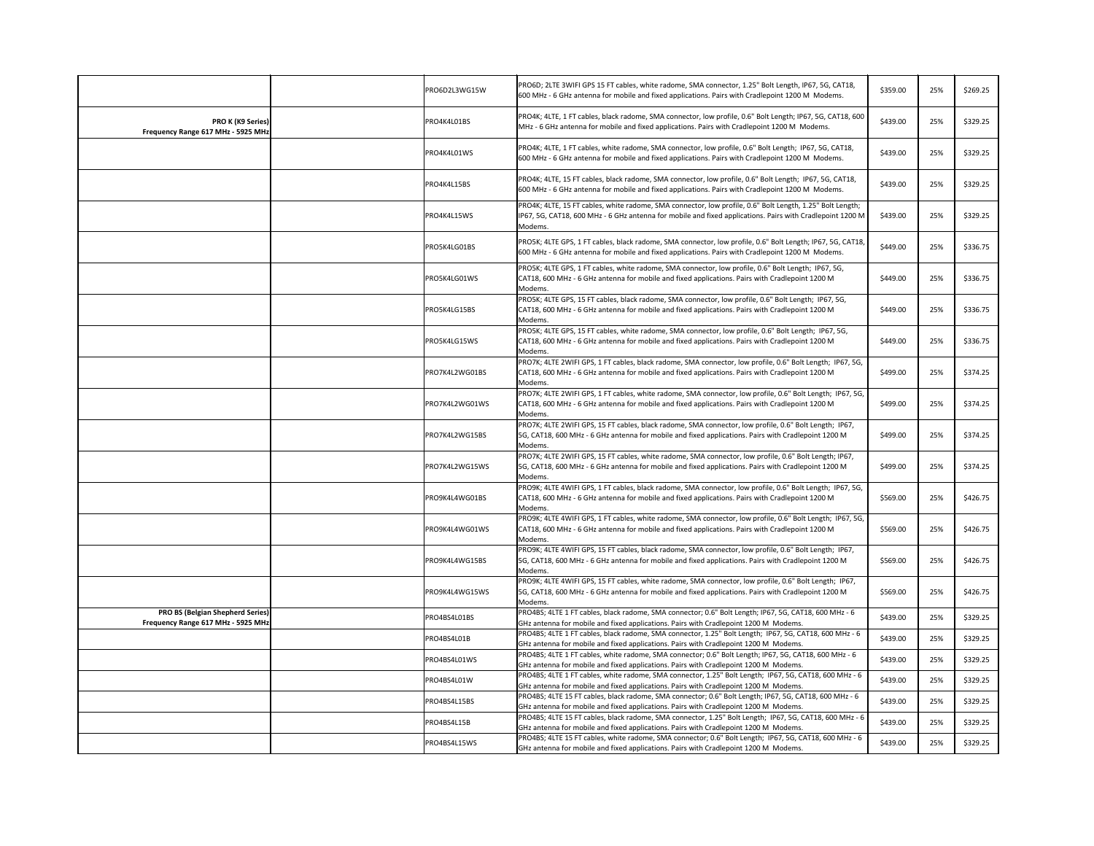|                                                                | PRO6D2L3WG15W  | PRO6D; 2LTE 3WIFI GPS 15 FT cables, white radome, SMA connector, 1.25" Bolt Length, IP67, 5G, CAT18,<br>600 MHz - 6 GHz antenna for mobile and fixed applications. Pairs with Cradlepoint 1200 M Modems.                                                                                | \$359.00 | 25% | \$269.25 |
|----------------------------------------------------------------|----------------|-----------------------------------------------------------------------------------------------------------------------------------------------------------------------------------------------------------------------------------------------------------------------------------------|----------|-----|----------|
| <b>PRO K (K9 Series)</b><br>Frequency Range 617 MHz - 5925 MHz | PRO4K4L01BS    | PRO4K; 4LTE, 1 FT cables, black radome, SMA connector, low profile, 0.6" Bolt Length; IP67, 5G, CAT18, 600<br>MHz - 6 GHz antenna for mobile and fixed applications. Pairs with Cradlepoint 1200 M Modems.                                                                              | \$439.00 | 25% | \$329.25 |
|                                                                | PRO4K4L01WS    | PRO4K; 4LTE, 1 FT cables, white radome, SMA connector, low profile, 0.6" Bolt Length; IP67, 5G, CAT18,<br>600 MHz - 6 GHz antenna for mobile and fixed applications. Pairs with Cradlepoint 1200 M Modems.                                                                              | \$439.00 | 25% | \$329.25 |
|                                                                | PRO4K4L15BS    | PRO4K; 4LTE, 15 FT cables, black radome, SMA connector, low profile, 0.6" Bolt Length; IP67, 5G, CAT18,<br>600 MHz - 6 GHz antenna for mobile and fixed applications. Pairs with Cradlepoint 1200 M Modems.                                                                             | \$439.00 | 25% | \$329.25 |
|                                                                | PRO4K4L15WS    | PRO4K; 4LTE, 15 FT cables, white radome, SMA connector, low profile, 0.6" Bolt Length, 1.25" Bolt Length;<br>IP67, 5G, CAT18, 600 MHz - 6 GHz antenna for mobile and fixed applications. Pairs with Cradlepoint 1200 M<br>Modems.                                                       | \$439.00 | 25% | \$329.25 |
|                                                                | PRO5K4LG01BS   | PRO5K; 4LTE GPS, 1 FT cables, black radome, SMA connector, low profile, 0.6" Bolt Length; IP67, 5G, CAT18,<br>600 MHz - 6 GHz antenna for mobile and fixed applications. Pairs with Cradlepoint 1200 M Modems.                                                                          | \$449.00 | 25% | \$336.75 |
|                                                                | PRO5K4LG01WS   | PRO5K; 4LTE GPS, 1 FT cables, white radome, SMA connector, low profile, 0.6" Bolt Length; IP67, 5G,<br>CAT18, 600 MHz - 6 GHz antenna for mobile and fixed applications. Pairs with Cradlepoint 1200 M<br>Modems.                                                                       | \$449.00 | 25% | \$336.75 |
|                                                                | PRO5K4LG15BS   | PRO5K; 4LTE GPS, 15 FT cables, black radome, SMA connector, low profile, 0.6" Bolt Length; IP67, 5G,<br>CAT18, 600 MHz - 6 GHz antenna for mobile and fixed applications. Pairs with Cradlepoint 1200 M<br>Modems.                                                                      | \$449.00 | 25% | \$336.75 |
|                                                                | PRO5K4LG15WS   | PRO5K; 4LTE GPS, 15 FT cables, white radome, SMA connector, low profile, 0.6" Bolt Length; IP67, 5G,<br>CAT18, 600 MHz - 6 GHz antenna for mobile and fixed applications. Pairs with Cradlepoint 1200 M<br>Modems.                                                                      | \$449.00 | 25% | \$336.75 |
|                                                                | PRO7K4L2WG01BS | PRO7K; 4LTE 2WIFI GPS, 1 FT cables, black radome, SMA connector, low profile, 0.6" Bolt Length; IP67, 5G,<br>CAT18, 600 MHz - 6 GHz antenna for mobile and fixed applications. Pairs with Cradlepoint 1200 M<br>Modems.                                                                 | \$499.00 | 25% | \$374.25 |
|                                                                | PRO7K4L2WG01WS | PRO7K; 4LTE 2WIFI GPS, 1 FT cables, white radome, SMA connector, low profile, 0.6" Bolt Length; IP67, 5G,<br>CAT18, 600 MHz - 6 GHz antenna for mobile and fixed applications. Pairs with Cradlepoint 1200 M<br>Modems.                                                                 | \$499.00 | 25% | \$374.25 |
|                                                                | PRO7K4L2WG15BS | PRO7K; 4LTE 2WIFI GPS, 15 FT cables, black radome, SMA connector, low profile, 0.6" Bolt Length; IP67,<br>5G, CAT18, 600 MHz - 6 GHz antenna for mobile and fixed applications. Pairs with Cradlepoint 1200 M<br>Modems.                                                                | \$499.00 | 25% | \$374.25 |
|                                                                | PRO7K4L2WG15WS | PRO7K; 4LTE 2WIFI GPS, 15 FT cables, white radome, SMA connector, low profile, 0.6" Bolt Length; IP67,<br>5G, CAT18, 600 MHz - 6 GHz antenna for mobile and fixed applications. Pairs with Cradlepoint 1200 M<br>Modems.                                                                | \$499.00 | 25% | \$374.25 |
|                                                                | PRO9K4L4WG01BS | PRO9K; 4LTE 4WIFI GPS, 1 FT cables, black radome, SMA connector, low profile, 0.6" Bolt Length; IP67, 5G,<br>CAT18, 600 MHz - 6 GHz antenna for mobile and fixed applications. Pairs with Cradlepoint 1200 M<br>Modems.                                                                 | \$569.00 | 25% | \$426.75 |
|                                                                | PRO9K4L4WG01WS | PRO9K; 4LTE 4WIFI GPS, 1 FT cables, white radome, SMA connector, low profile, 0.6" Bolt Length; IP67, 5G,<br>CAT18, 600 MHz - 6 GHz antenna for mobile and fixed applications. Pairs with Cradlepoint 1200 M<br>Modems.                                                                 | \$569.00 | 25% | \$426.75 |
|                                                                | PRO9K4L4WG15BS | PRO9K; 4LTE 4WIFI GPS, 15 FT cables, black radome, SMA connector, low profile, 0.6" Bolt Length; IP67,<br>5G, CAT18, 600 MHz - 6 GHz antenna for mobile and fixed applications. Pairs with Cradlepoint 1200 M<br>Modems.                                                                | \$569.00 | 25% | \$426.75 |
|                                                                | PRO9K4L4WG15WS | PRO9K; 4LTE 4WIFI GPS, 15 FT cables, white radome, SMA connector, low profile, 0.6" Bolt Length; IP67,<br>5G, CAT18, 600 MHz - 6 GHz antenna for mobile and fixed applications. Pairs with Cradlepoint 1200 M<br>Modems.                                                                | \$569.00 | 25% | \$426.75 |
| <b>PRO BS (Belgian Shepherd Series)</b>                        | PRO4BS4L01BS   | PRO4BS; 4LTE 1 FT cables, black radome, SMA connector; 0.6" Bolt Length; IP67, 5G, CAT18, 600 MHz - 6                                                                                                                                                                                   | \$439.00 | 25% | \$329.25 |
| Frequency Range 617 MHz - 5925 MHz                             | PRO4BS4L01B    | GHz antenna for mobile and fixed applications. Pairs with Cradlepoint 1200 M Modems.<br>PRO4BS; 4LTE 1 FT cables, black radome, SMA connector, 1.25" Bolt Length; IP67, 5G, CAT18, 600 MHz - 6<br>GHz antenna for mobile and fixed applications. Pairs with Cradlepoint 1200 M Modems.  | \$439.00 | 25% | \$329.25 |
|                                                                | PRO4BS4L01WS   | PRO4BS; 4LTE 1 FT cables, white radome, SMA connector; 0.6" Bolt Length; IP67, 5G, CAT18, 600 MHz - 6                                                                                                                                                                                   | \$439.00 | 25% | \$329.25 |
|                                                                | PRO4BS4L01W    | GHz antenna for mobile and fixed applications. Pairs with Cradlepoint 1200 M Modems.<br>PRO4BS; 4LTE 1 FT cables, white radome, SMA connector, 1.25" Bolt Length; IP67, 5G, CAT18, 600 MHz - 6<br>GHz antenna for mobile and fixed applications. Pairs with Cradlepoint 1200 M Modems.  | \$439.00 | 25% | \$329.25 |
|                                                                | PRO4BS4L15BS   | PRO4BS; 4LTE 15 FT cables, black radome, SMA connector; 0.6" Bolt Length; IP67, 5G, CAT18, 600 MHz - 6                                                                                                                                                                                  | \$439.00 | 25% | \$329.25 |
|                                                                | PRO4BS4L15B    | GHz antenna for mobile and fixed applications. Pairs with Cradlepoint 1200 M Modems.<br>PRO4BS; 4LTE 15 FT cables, black radome, SMA connector, 1.25" Bolt Length; IP67, 5G, CAT18, 600 MHz - 6<br>GHz antenna for mobile and fixed applications. Pairs with Cradlepoint 1200 M Modems. | \$439.00 | 25% | \$329.25 |
|                                                                | PRO4BS4L15WS   | PRO4BS; 4LTE 15 FT cables, white radome, SMA connector; 0.6" Bolt Length; IP67, 5G, CAT18, 600 MHz - 6<br>GHz antenna for mobile and fixed applications. Pairs with Cradlepoint 1200 M Modems.                                                                                          | \$439.00 | 25% | \$329.25 |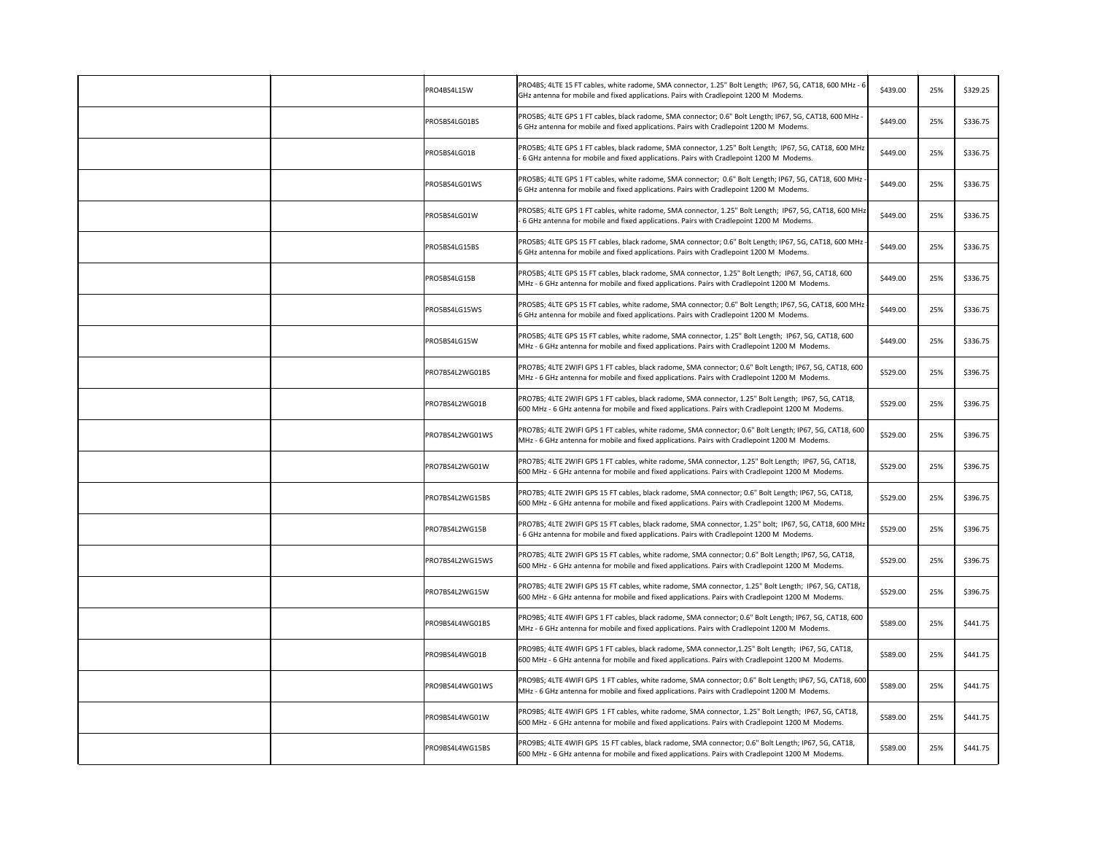| PRO4BS4L15W     | PRO4BS; 4LTE 15 FT cables, white radome, SMA connector, 1.25" Bolt Length; IP67, 5G, CAT18, 600 MHz - 6<br>\$439.00<br>GHz antenna for mobile and fixed applications. Pairs with Cradlepoint 1200 M Modems.           | 25% | \$329.25 |
|-----------------|-----------------------------------------------------------------------------------------------------------------------------------------------------------------------------------------------------------------------|-----|----------|
| PRO5BS4LG01BS   | PRO5BS; 4LTE GPS 1 FT cables, black radome, SMA connector; 0.6" Bolt Length; IP67, 5G, CAT18, 600 MHz -<br>\$449.00<br>6 GHz antenna for mobile and fixed applications. Pairs with Cradlepoint 1200 M Modems.         | 25% | \$336.75 |
| PRO5BS4LG01B    | PRO5BS; 4LTE GPS 1 FT cables, black radome, SMA connector, 1.25" Bolt Length; IP67, 5G, CAT18, 600 MHz<br>\$449.00<br>- 6 GHz antenna for mobile and fixed applications. Pairs with Cradlepoint 1200 M Modems.        | 25% | \$336.75 |
| PRO5BS4LG01WS   | PRO5BS; 4LTE GPS 1 FT cables, white radome, SMA connector; 0.6" Bolt Length; IP67, 5G, CAT18, 600 MHz -<br>\$449.00<br>6 GHz antenna for mobile and fixed applications. Pairs with Cradlepoint 1200 M Modems.         | 25% | \$336.75 |
| PRO5BS4LG01W    | PRO5BS; 4LTE GPS 1 FT cables, white radome, SMA connector, 1.25" Bolt Length; IP67, 5G, CAT18, 600 MHz<br>\$449.00<br>- 6 GHz antenna for mobile and fixed applications. Pairs with Cradlepoint 1200 M Modems.        | 25% | \$336.75 |
| PRO5BS4LG15BS   | PRO5BS; 4LTE GPS 15 FT cables, black radome, SMA connector; 0.6" Bolt Length; IP67, 5G, CAT18, 600 MHz<br>\$449.00<br>6 GHz antenna for mobile and fixed applications. Pairs with Cradlepoint 1200 M Modems.          | 25% | \$336.75 |
| PRO5BS4LG15B    | PRO5BS; 4LTE GPS 15 FT cables, black radome, SMA connector, 1.25" Bolt Length; IP67, 5G, CAT18, 600<br>\$449.00<br>MHz - 6 GHz antenna for mobile and fixed applications. Pairs with Cradlepoint 1200 M Modems.       | 25% | \$336.75 |
| PRO5BS4LG15WS   | PRO5BS; 4LTE GPS 15 FT cables, white radome, SMA connector; 0.6" Bolt Length; IP67, 5G, CAT18, 600 MHz<br>\$449.00<br>6 GHz antenna for mobile and fixed applications. Pairs with Cradlepoint 1200 M Modems.          | 25% | \$336.75 |
| PRO5BS4LG15W    | PRO5BS; 4LTE GPS 15 FT cables, white radome, SMA connector, 1.25" Bolt Length; IP67, 5G, CAT18, 600<br>\$449.00<br>MHz - 6 GHz antenna for mobile and fixed applications. Pairs with Cradlepoint 1200 M Modems.       | 25% | \$336.75 |
| PRO7BS4L2WG01BS | PRO7BS; 4LTE 2WIFI GPS 1 FT cables, black radome, SMA connector; 0.6" Bolt Length; IP67, 5G, CAT18, 600<br>\$529.00<br>MHz - 6 GHz antenna for mobile and fixed applications. Pairs with Cradlepoint 1200 M Modems.   | 25% | \$396.75 |
| PRO7BS4L2WG01B  | PRO7BS; 4LTE 2WIFI GPS 1 FT cables, black radome, SMA connector, 1.25" Bolt Length; IP67, 5G, CAT18,<br>\$529.00<br>600 MHz - 6 GHz antenna for mobile and fixed applications. Pairs with Cradlepoint 1200 M Modems.  | 25% | \$396.75 |
| PRO7BS4L2WG01WS | PRO7BS; 4LTE 2WIFI GPS 1 FT cables, white radome, SMA connector; 0.6" Bolt Length; IP67, 5G, CAT18, 600<br>\$529.00<br>MHz - 6 GHz antenna for mobile and fixed applications. Pairs with Cradlepoint 1200 M Modems.   | 25% | \$396.75 |
| PRO7BS4L2WG01W  | PRO7BS; 4LTE 2WIFI GPS 1 FT cables, white radome, SMA connector, 1.25" Bolt Length; IP67, 5G, CAT18,<br>\$529.00<br>600 MHz - 6 GHz antenna for mobile and fixed applications. Pairs with Cradlepoint 1200 M Modems.  | 25% | \$396.75 |
| PRO7BS4L2WG15BS | PRO7BS; 4LTE 2WIFI GPS 15 FT cables, black radome, SMA connector; 0.6" Bolt Length; IP67, 5G, CAT18,<br>\$529.00<br>600 MHz - 6 GHz antenna for mobile and fixed applications. Pairs with Cradlepoint 1200 M Modems.  | 25% | \$396.75 |
| PRO7BS4L2WG15B  | PRO7BS; 4LTE 2WIFI GPS 15 FT cables, black radome, SMA connector, 1.25" bolt; IP67, 5G, CAT18, 600 MHz<br>\$529.00<br>- 6 GHz antenna for mobile and fixed applications. Pairs with Cradlepoint 1200 M Modems.        | 25% | \$396.75 |
| PRO7BS4L2WG15WS | PRO7BS; 4LTE 2WIFI GPS 15 FT cables, white radome, SMA connector; 0.6" Bolt Length; IP67, 5G, CAT18,<br>\$529.00<br>600 MHz - 6 GHz antenna for mobile and fixed applications. Pairs with Cradlepoint 1200 M Modems.  | 25% | \$396.75 |
| PRO7BS4L2WG15W  | PRO7BS; 4LTE 2WIFI GPS 15 FT cables, white radome, SMA connector, 1.25" Bolt Length; IP67, 5G, CAT18,<br>\$529.00<br>600 MHz - 6 GHz antenna for mobile and fixed applications. Pairs with Cradlepoint 1200 M Modems. | 25% | \$396.75 |
| PRO9BS4L4WG01BS | PRO9BS; 4LTE 4WIFI GPS 1 FT cables, black radome, SMA connector; 0.6" Bolt Length; IP67, 5G, CAT18, 600<br>\$589.00<br>MHz - 6 GHz antenna for mobile and fixed applications. Pairs with Cradlepoint 1200 M Modems.   | 25% | \$441.75 |
| PRO9BS4L4WG01B  | PRO9BS; 4LTE 4WIFI GPS 1 FT cables, black radome, SMA connector, 1.25" Bolt Length; IP67, 5G, CAT18,<br>\$589.00<br>600 MHz - 6 GHz antenna for mobile and fixed applications. Pairs with Cradlepoint 1200 M Modems.  | 25% | \$441.75 |
| PRO9BS4L4WG01WS | PRO9BS; 4LTE 4WIFI GPS 1 FT cables, white radome, SMA connector; 0.6" Bolt Length; IP67, 5G, CAT18, 600<br>\$589.00<br>MHz - 6 GHz antenna for mobile and fixed applications. Pairs with Cradlepoint 1200 M Modems.   | 25% | \$441.75 |
| PRO9BS4L4WG01W  | PRO9BS; 4LTE 4WIFI GPS 1 FT cables, white radome, SMA connector, 1.25" Bolt Length; IP67, 5G, CAT18,<br>\$589.00<br>600 MHz - 6 GHz antenna for mobile and fixed applications. Pairs with Cradlepoint 1200 M Modems.  | 25% | \$441.75 |
| PRO9BS4L4WG15BS | PRO9BS; 4LTE 4WIFI GPS 15 FT cables, black radome, SMA connector; 0.6" Bolt Length; IP67, 5G, CAT18,<br>\$589.00<br>600 MHz - 6 GHz antenna for mobile and fixed applications. Pairs with Cradlepoint 1200 M Modems.  | 25% | \$441.75 |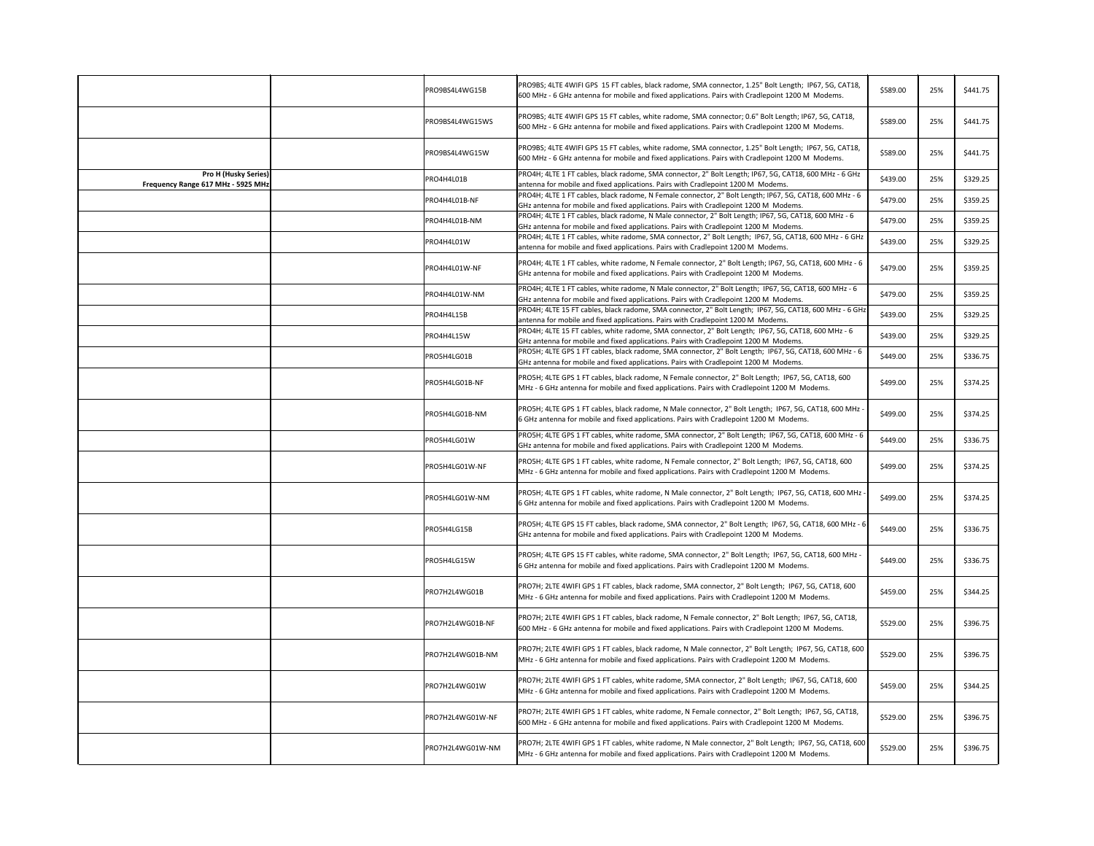|                                                                   | PRO9BS4L4WG15B   | PRO9BS; 4LTE 4WIFI GPS 15 FT cables, black radome, SMA connector, 1.25" Bolt Length; IP67, 5G, CAT18,<br>600 MHz - 6 GHz antenna for mobile and fixed applications. Pairs with Cradlepoint 1200 M Modems. | \$589.00 | 25% | \$441.75 |
|-------------------------------------------------------------------|------------------|-----------------------------------------------------------------------------------------------------------------------------------------------------------------------------------------------------------|----------|-----|----------|
|                                                                   | PRO9BS4L4WG15WS  | PRO9BS; 4LTE 4WIFI GPS 15 FT cables, white radome, SMA connector; 0.6" Bolt Length; IP67, 5G, CAT18,<br>600 MHz - 6 GHz antenna for mobile and fixed applications. Pairs with Cradlepoint 1200 M Modems.  | \$589.00 | 25% | \$441.75 |
|                                                                   | PRO9BS4L4WG15W   | PRO9BS; 4LTE 4WIFI GPS 15 FT cables, white radome, SMA connector, 1.25" Bolt Length; IP67, 5G, CAT18,<br>600 MHz - 6 GHz antenna for mobile and fixed applications. Pairs with Cradlepoint 1200 M Modems. | \$589.00 | 25% | \$441.75 |
| <b>Pro H (Husky Series)</b><br>Frequency Range 617 MHz - 5925 MHz | PRO4H4L01B       | PRO4H; 4LTE 1 FT cables, black radome, SMA connector, 2" Bolt Length; IP67, 5G, CAT18, 600 MHz - 6 GHz<br>antenna for mobile and fixed applications. Pairs with Cradlepoint 1200 M Modems.                | \$439.00 | 25% | \$329.25 |
|                                                                   | PRO4H4L01B-NF    | PRO4H; 4LTE 1 FT cables, black radome, N Female connector, 2" Bolt Length; IP67, 5G, CAT18, 600 MHz - 6<br>GHz antenna for mobile and fixed applications. Pairs with Cradlepoint 1200 M Modems.           | \$479.00 | 25% | \$359.25 |
|                                                                   | PRO4H4L01B-NM    | PRO4H; 4LTE 1 FT cables, black radome, N Male connector, 2" Bolt Length; IP67, 5G, CAT18, 600 MHz - 6<br>GHz antenna for mobile and fixed applications. Pairs with Cradlepoint 1200 M Modems.             | \$479.00 | 25% | \$359.25 |
|                                                                   | PRO4H4L01W       | PRO4H; 4LTE 1 FT cables, white radome, SMA connector, 2" Bolt Length; IP67, 5G, CAT18, 600 MHz - 6 GHz<br>antenna for mobile and fixed applications. Pairs with Cradlepoint 1200 M Modems.                | \$439.00 | 25% | \$329.25 |
|                                                                   | PRO4H4L01W-NF    | PRO4H; 4LTE 1 FT cables, white radome, N Female connector, 2" Bolt Length; IP67, 5G, CAT18, 600 MHz - 6<br>GHz antenna for mobile and fixed applications. Pairs with Cradlepoint 1200 M Modems.           | \$479.00 | 25% | \$359.25 |
|                                                                   | PRO4H4L01W-NM    | PRO4H; 4LTE 1 FT cables, white radome, N Male connector, 2" Bolt Length; IP67, 5G, CAT18, 600 MHz - 6<br>GHz antenna for mobile and fixed applications. Pairs with Cradlepoint 1200 M Modems.             | \$479.00 | 25% | \$359.25 |
|                                                                   | PRO4H4L15B       | PRO4H; 4LTE 15 FT cables, black radome, SMA connector, 2" Bolt Length; IP67, 5G, CAT18, 600 MHz - 6 GHz<br>antenna for mobile and fixed applications. Pairs with Cradlepoint 1200 M Modems.               | \$439.00 | 25% | \$329.25 |
|                                                                   | PRO4H4L15W       | PRO4H; 4LTE 15 FT cables, white radome, SMA connector, 2" Bolt Length; IP67, 5G, CAT18, 600 MHz - 6<br>GHz antenna for mobile and fixed applications. Pairs with Cradlepoint 1200 M Modems.               | \$439.00 | 25% | \$329.25 |
|                                                                   | PRO5H4LG01B      | PRO5H; 4LTE GPS 1 FT cables, black radome, SMA connector, 2" Bolt Length; IP67, 5G, CAT18, 600 MHz - 6<br>GHz antenna for mobile and fixed applications. Pairs with Cradlepoint 1200 M Modems.            | \$449.00 | 25% | \$336.75 |
|                                                                   | PRO5H4LG01B-NF   | PRO5H; 4LTE GPS 1 FT cables, black radome, N Female connector, 2" Bolt Length; IP67, 5G, CAT18, 600<br>MHz - 6 GHz antenna for mobile and fixed applications. Pairs with Cradlepoint 1200 M Modems.       | \$499.00 | 25% | \$374.25 |
|                                                                   | PRO5H4LG01B-NM   | PRO5H; 4LTE GPS 1 FT cables, black radome, N Male connector, 2" Bolt Length; IP67, 5G, CAT18, 600 MHz -<br>6 GHz antenna for mobile and fixed applications. Pairs with Cradlepoint 1200 M Modems.         | \$499.00 | 25% | \$374.25 |
|                                                                   | PRO5H4LG01W      | PRO5H; 4LTE GPS 1 FT cables, white radome, SMA connector, 2" Bolt Length; IP67, 5G, CAT18, 600 MHz - 6<br>GHz antenna for mobile and fixed applications. Pairs with Cradlepoint 1200 M Modems.            | \$449.00 | 25% | \$336.75 |
|                                                                   | PRO5H4LG01W-NF   | PRO5H; 4LTE GPS 1 FT cables, white radome, N Female connector, 2" Bolt Length; IP67, 5G, CAT18, 600<br>MHz - 6 GHz antenna for mobile and fixed applications. Pairs with Cradlepoint 1200 M Modems.       | \$499.00 | 25% | \$374.25 |
|                                                                   | PRO5H4LG01W-NM   | PRO5H; 4LTE GPS 1 FT cables, white radome, N Male connector, 2" Bolt Length; IP67, 5G, CAT18, 600 MHz ·<br>6 GHz antenna for mobile and fixed applications. Pairs with Cradlepoint 1200 M Modems.         | \$499.00 | 25% | \$374.25 |
|                                                                   | PRO5H4LG15B      | PRO5H; 4LTE GPS 15 FT cables, black radome, SMA connector, 2" Bolt Length; IP67, 5G, CAT18, 600 MHz - 6<br>GHz antenna for mobile and fixed applications. Pairs with Cradlepoint 1200 M Modems.           | \$449.00 | 25% | \$336.75 |
|                                                                   | PRO5H4LG15W      | PRO5H; 4LTE GPS 15 FT cables, white radome, SMA connector, 2" Bolt Length; IP67, 5G, CAT18, 600 MHz -<br>6 GHz antenna for mobile and fixed applications. Pairs with Cradlepoint 1200 M Modems.           | \$449.00 | 25% | \$336.75 |
|                                                                   | PRO7H2L4WG01B    | PRO7H; 2LTE 4WIFI GPS 1 FT cables, black radome, SMA connector, 2" Bolt Length; IP67, 5G, CAT18, 600<br>MHz - 6 GHz antenna for mobile and fixed applications. Pairs with Cradlepoint 1200 M Modems.      | \$459.00 | 25% | \$344.25 |
|                                                                   | PRO7H2L4WG01B-NF | PRO7H; 2LTE 4WIFI GPS 1 FT cables, black radome, N Female connector, 2" Bolt Length; IP67, 5G, CAT18,<br>600 MHz - 6 GHz antenna for mobile and fixed applications. Pairs with Cradlepoint 1200 M Modems. | \$529.00 | 25% | \$396.75 |
|                                                                   | PRO7H2L4WG01B-NM | PRO7H; 2LTE 4WIFI GPS 1 FT cables, black radome, N Male connector, 2" Bolt Length; IP67, 5G, CAT18, 600<br>MHz - 6 GHz antenna for mobile and fixed applications. Pairs with Cradlepoint 1200 M Modems.   | \$529.00 | 25% | \$396.75 |
|                                                                   | PRO7H2L4WG01W    | PRO7H; 2LTE 4WIFI GPS 1 FT cables, white radome, SMA connector, 2" Bolt Length; IP67, 5G, CAT18, 600<br>MHz - 6 GHz antenna for mobile and fixed applications. Pairs with Cradlepoint 1200 M Modems.      | \$459.00 | 25% | \$344.25 |
|                                                                   | PRO7H2L4WG01W-NF | PRO7H; 2LTE 4WIFI GPS 1 FT cables, white radome, N Female connector, 2" Bolt Length; IP67, 5G, CAT18,<br>600 MHz - 6 GHz antenna for mobile and fixed applications. Pairs with Cradlepoint 1200 M Modems. | \$529.00 | 25% | \$396.75 |
|                                                                   | PRO7H2L4WG01W-NM | PRO7H; 2LTE 4WIFI GPS 1 FT cables, white radome, N Male connector, 2" Bolt Length; IP67, 5G, CAT18, 600<br>MHz - 6 GHz antenna for mobile and fixed applications. Pairs with Cradlepoint 1200 M Modems.   | \$529.00 | 25% | \$396.75 |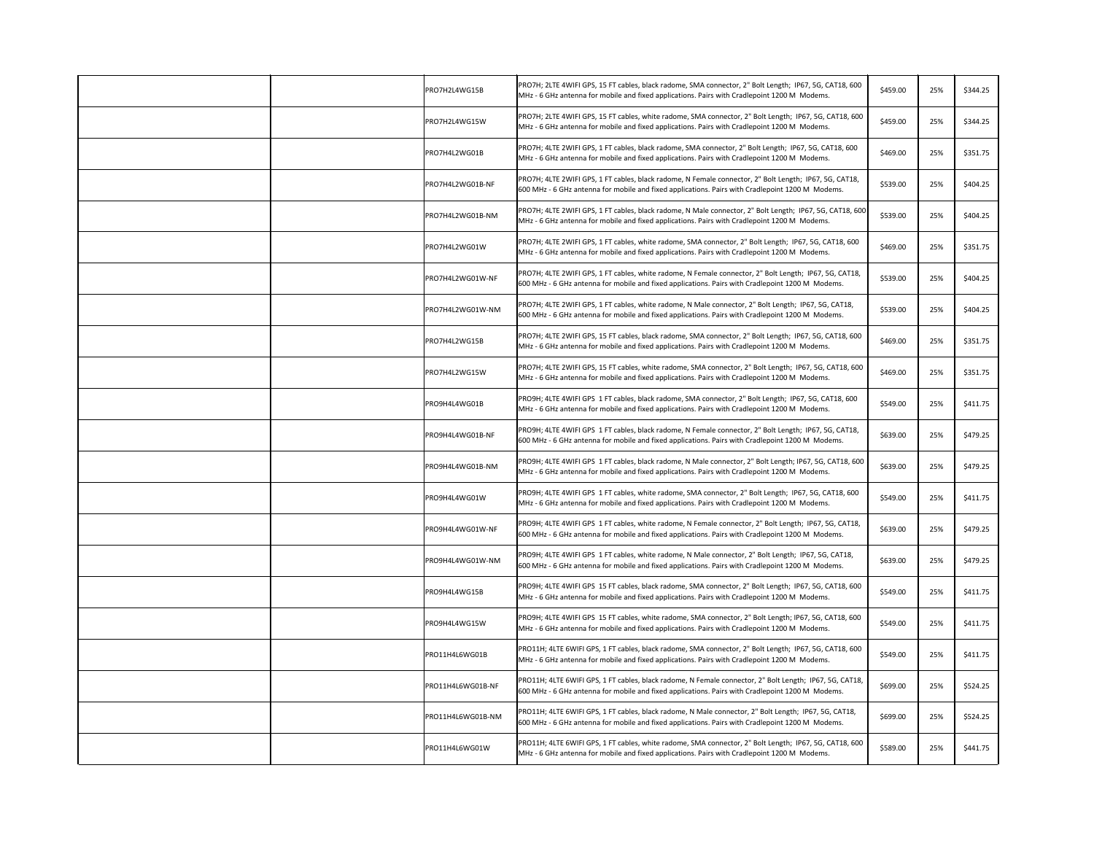|  | PRO7H2L4WG15B     | PRO7H; 2LTE 4WIFI GPS, 15 FT cables, black radome, SMA connector, 2" Bolt Length; IP67, 5G, CAT18, 600<br>MHz - 6 GHz antenna for mobile and fixed applications. Pairs with Cradlepoint 1200 M Modems.      | \$459.00 | 25% | \$344.25 |
|--|-------------------|-------------------------------------------------------------------------------------------------------------------------------------------------------------------------------------------------------------|----------|-----|----------|
|  | PRO7H2L4WG15W     | PRO7H; 2LTE 4WIFI GPS, 15 FT cables, white radome, SMA connector, 2" Bolt Length; IP67, 5G, CAT18, 600<br>MHz - 6 GHz antenna for mobile and fixed applications. Pairs with Cradlepoint 1200 M Modems.      | \$459.00 | 25% | \$344.25 |
|  | PRO7H4L2WG01B     | PRO7H; 4LTE 2WIFI GPS, 1 FT cables, black radome, SMA connector, 2" Bolt Length; IP67, 5G, CAT18, 600<br>MHz - 6 GHz antenna for mobile and fixed applications. Pairs with Cradlepoint 1200 M Modems.       | \$469.00 | 25% | \$351.75 |
|  | PRO7H4L2WG01B-NF  | PRO7H; 4LTE 2WIFI GPS, 1 FT cables, black radome, N Female connector, 2" Bolt Length; IP67, 5G, CAT18,<br>600 MHz - 6 GHz antenna for mobile and fixed applications. Pairs with Cradlepoint 1200 M Modems.  | \$539.00 | 25% | \$404.25 |
|  | PRO7H4L2WG01B-NM  | PRO7H; 4LTE 2WIFI GPS, 1 FT cables, black radome, N Male connector, 2" Bolt Length; IP67, 5G, CAT18, 600<br>MHz - 6 GHz antenna for mobile and fixed applications. Pairs with Cradlepoint 1200 M Modems.    | \$539.00 | 25% | \$404.25 |
|  | PRO7H4L2WG01W     | PRO7H; 4LTE 2WIFI GPS, 1 FT cables, white radome, SMA connector, 2" Bolt Length; IP67, 5G, CAT18, 600<br>MHz - 6 GHz antenna for mobile and fixed applications. Pairs with Cradlepoint 1200 M Modems.       | \$469.00 | 25% | \$351.75 |
|  | PRO7H4L2WG01W-NF  | PRO7H; 4LTE 2WIFI GPS, 1 FT cables, white radome, N Female connector, 2" Bolt Length; IP67, 5G, CAT18,<br>600 MHz - 6 GHz antenna for mobile and fixed applications. Pairs with Cradlepoint 1200 M Modems.  | \$539.00 | 25% | \$404.25 |
|  | PRO7H4L2WG01W-NM  | PRO7H; 4LTE 2WIFI GPS, 1 FT cables, white radome, N Male connector, 2" Bolt Length; IP67, 5G, CAT18,<br>600 MHz - 6 GHz antenna for mobile and fixed applications. Pairs with Cradlepoint 1200 M Modems.    | \$539.00 | 25% | \$404.25 |
|  | PRO7H4L2WG15B     | PRO7H; 4LTE 2WIFI GPS, 15 FT cables, black radome, SMA connector, 2" Bolt Length; IP67, 5G, CAT18, 600<br>MHz - 6 GHz antenna for mobile and fixed applications. Pairs with Cradlepoint 1200 M Modems.      | \$469.00 | 25% | \$351.75 |
|  | PRO7H4L2WG15W     | PRO7H; 4LTE 2WIFI GPS, 15 FT cables, white radome, SMA connector, 2" Bolt Length; IP67, 5G, CAT18, 600<br>MHz - 6 GHz antenna for mobile and fixed applications. Pairs with Cradlepoint 1200 M Modems.      | \$469.00 | 25% | \$351.75 |
|  | PRO9H4L4WG01B     | PRO9H; 4LTE 4WIFI GPS 1 FT cables, black radome, SMA connector, 2" Bolt Length; IP67, 5G, CAT18, 600<br>MHz - 6 GHz antenna for mobile and fixed applications. Pairs with Cradlepoint 1200 M Modems.        | \$549.00 | 25% | \$411.75 |
|  | PRO9H4L4WG01B-NF  | PRO9H; 4LTE 4WIFI GPS 1 FT cables, black radome, N Female connector, 2" Bolt Length; IP67, 5G, CAT18,<br>600 MHz - 6 GHz antenna for mobile and fixed applications. Pairs with Cradlepoint 1200 M Modems.   | \$639.00 | 25% | \$479.25 |
|  | PRO9H4L4WG01B-NM  | PRO9H; 4LTE 4WIFI GPS 1 FT cables, black radome, N Male connector, 2" Bolt Length; IP67, 5G, CAT18, 600<br>MHz - 6 GHz antenna for mobile and fixed applications. Pairs with Cradlepoint 1200 M Modems.     | \$639.00 | 25% | \$479.25 |
|  | PRO9H4L4WG01W     | PRO9H; 4LTE 4WIFI GPS 1 FT cables, white radome, SMA connector, 2" Bolt Length; IP67, 5G, CAT18, 600<br>MHz - 6 GHz antenna for mobile and fixed applications. Pairs with Cradlepoint 1200 M Modems.        | \$549.00 | 25% | \$411.75 |
|  | PRO9H4L4WG01W-NF  | PRO9H; 4LTE 4WIFI GPS 1 FT cables, white radome, N Female connector, 2" Bolt Length; IP67, 5G, CAT18,<br>600 MHz - 6 GHz antenna for mobile and fixed applications. Pairs with Cradlepoint 1200 M Modems.   | \$639.00 | 25% | \$479.25 |
|  | PRO9H4L4WG01W-NM  | PRO9H; 4LTE 4WIFI GPS 1 FT cables, white radome, N Male connector, 2" Bolt Length; IP67, 5G, CAT18,<br>600 MHz - 6 GHz antenna for mobile and fixed applications. Pairs with Cradlepoint 1200 M Modems.     | \$639.00 | 25% | \$479.25 |
|  | PRO9H4L4WG15B     | PRO9H; 4LTE 4WIFI GPS 15 FT cables, black radome, SMA connector, 2" Bolt Length; IP67, 5G, CAT18, 600<br>MHz - 6 GHz antenna for mobile and fixed applications. Pairs with Cradlepoint 1200 M Modems.       | \$549.00 | 25% | \$411.75 |
|  | PRO9H4L4WG15W     | PRO9H; 4LTE 4WIFI GPS 15 FT cables, white radome, SMA connector, 2" Bolt Length; IP67, 5G, CAT18, 600<br>MHz - 6 GHz antenna for mobile and fixed applications. Pairs with Cradlepoint 1200 M Modems.       | \$549.00 | 25% | \$411.75 |
|  | PRO11H4L6WG01B    | PRO11H; 4LTE 6WIFI GPS, 1 FT cables, black radome, SMA connector, 2" Bolt Length; IP67, 5G, CAT18, 600<br>MHz - 6 GHz antenna for mobile and fixed applications. Pairs with Cradlepoint 1200 M Modems.      | \$549.00 | 25% | \$411.75 |
|  | PRO11H4L6WG01B-NF | PRO11H; 4LTE 6WIFI GPS, 1 FT cables, black radome, N Female connector, 2" Bolt Length; IP67, 5G, CAT18,<br>600 MHz - 6 GHz antenna for mobile and fixed applications. Pairs with Cradlepoint 1200 M Modems. | \$699.00 | 25% | \$524.25 |
|  | PRO11H4L6WG01B-NM | PRO11H; 4LTE 6WIFI GPS, 1 FT cables, black radome, N Male connector, 2" Bolt Length; IP67, 5G, CAT18,<br>600 MHz - 6 GHz antenna for mobile and fixed applications. Pairs with Cradlepoint 1200 M Modems.   | \$699.00 | 25% | \$524.25 |
|  | PRO11H4L6WG01W    | PRO11H; 4LTE 6WIFI GPS, 1 FT cables, white radome, SMA connector, 2" Bolt Length; IP67, 5G, CAT18, 600<br>MHz - 6 GHz antenna for mobile and fixed applications. Pairs with Cradlepoint 1200 M Modems.      | \$589.00 | 25% | \$441.75 |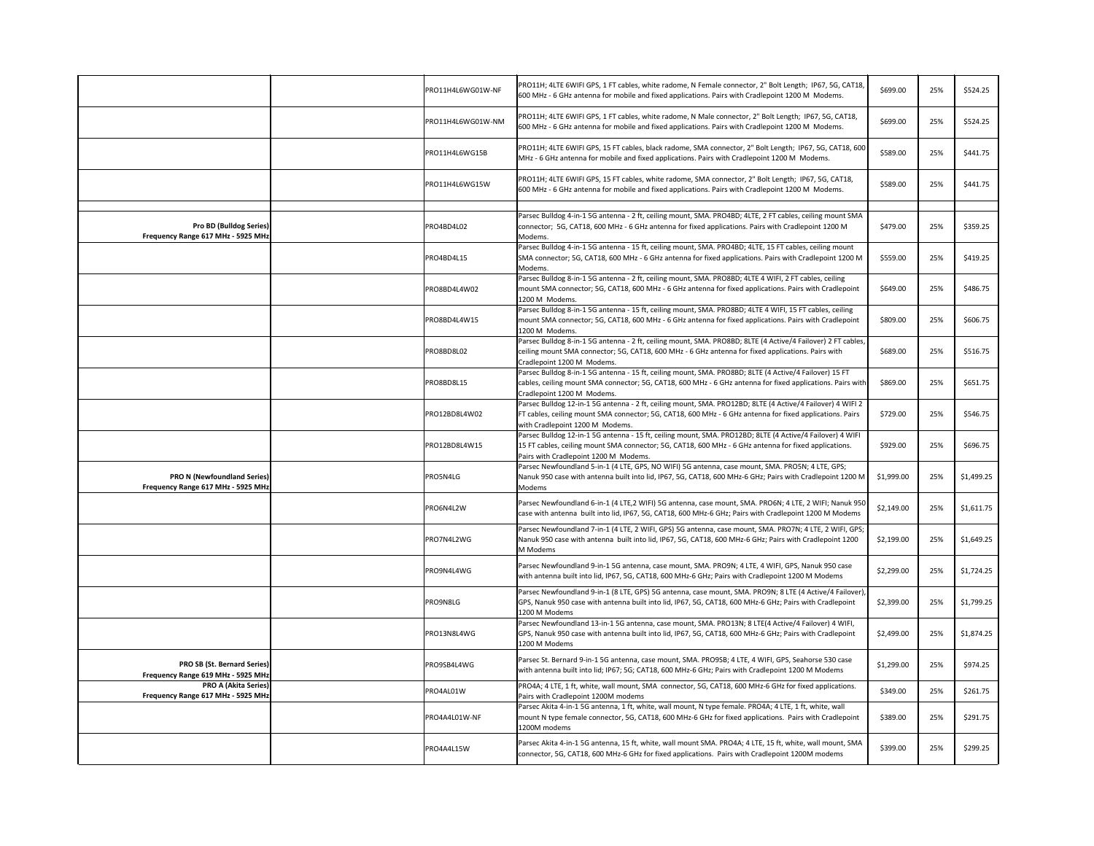|                                                                          | PRO11H4L6WG01W-NF | PRO11H; 4LTE 6WIFI GPS, 1 FT cables, white radome, N Female connector, 2" Bolt Length; IP67, 5G, CAT18,<br>600 MHz - 6 GHz antenna for mobile and fixed applications. Pairs with Cradlepoint 1200 M Modems.                                                 | \$699.00   | 25% | \$524.25   |
|--------------------------------------------------------------------------|-------------------|-------------------------------------------------------------------------------------------------------------------------------------------------------------------------------------------------------------------------------------------------------------|------------|-----|------------|
|                                                                          | PRO11H4L6WG01W-NM | PRO11H; 4LTE 6WIFI GPS, 1 FT cables, white radome, N Male connector, 2" Bolt Length; IP67, 5G, CAT18,<br>600 MHz - 6 GHz antenna for mobile and fixed applications. Pairs with Cradlepoint 1200 M Modems.                                                   | \$699.00   | 25% | \$524.25   |
|                                                                          | PRO11H4L6WG15B    | PRO11H; 4LTE 6WIFI GPS, 15 FT cables, black radome, SMA connector, 2" Bolt Length; IP67, 5G, CAT18, 600<br>MHz - 6 GHz antenna for mobile and fixed applications. Pairs with Cradlepoint 1200 M Modems.                                                     | \$589.00   | 25% | \$441.75   |
|                                                                          | PRO11H4L6WG15W    | PRO11H; 4LTE 6WIFI GPS, 15 FT cables, white radome, SMA connector, 2" Bolt Length; IP67, 5G, CAT18,<br>600 MHz - 6 GHz antenna for mobile and fixed applications. Pairs with Cradlepoint 1200 M Modems.                                                     | \$589.00   | 25% | \$441.75   |
| <b>Pro BD (Bulldog Series)</b><br>Frequency Range 617 MHz - 5925 MHz     | PRO4BD4L02        | Parsec Bulldog 4-in-1 5G antenna - 2 ft, ceiling mount, SMA. PRO4BD; 4LTE, 2 FT cables, ceiling mount SMA<br>connector; 5G, CAT18, 600 MHz - 6 GHz antenna for fixed applications. Pairs with Cradlepoint 1200 M<br>Modems.                                 | \$479.00   | 25% | \$359.25   |
|                                                                          | PRO4BD4L15        | Parsec Bulldog 4-in-1 5G antenna - 15 ft, ceiling mount, SMA. PRO4BD; 4LTE, 15 FT cables, ceiling mount<br>SMA connector; 5G, CAT18, 600 MHz - 6 GHz antenna for fixed applications. Pairs with Cradlepoint 1200 M<br>Modems.                               | \$559.00   | 25% | \$419.25   |
|                                                                          | PRO8BD4L4W02      | Parsec Bulldog 8-in-1 5G antenna - 2 ft, ceiling mount, SMA. PRO8BD; 4LTE 4 WIFI, 2 FT cables, ceiling<br>mount SMA connector; 5G, CAT18, 600 MHz - 6 GHz antenna for fixed applications. Pairs with Cradlepoint<br>1200 M Modems.                          | \$649.00   | 25% | \$486.75   |
|                                                                          | PRO8BD4L4W15      | Parsec Bulldog 8-in-1 5G antenna - 15 ft, ceiling mount, SMA. PRO8BD; 4LTE 4 WIFI, 15 FT cables, ceiling<br>mount SMA connector; 5G, CAT18, 600 MHz - 6 GHz antenna for fixed applications. Pairs with Cradlepoint<br>1200 M Modems.                        | \$809.00   | 25% | \$606.75   |
|                                                                          | PRO8BD8L02        | Parsec Bulldog 8-in-1 5G antenna - 2 ft, ceiling mount, SMA. PRO8BD; 8LTE (4 Active/4 Failover) 2 FT cables,<br>ceiling mount SMA connector; 5G, CAT18, 600 MHz - 6 GHz antenna for fixed applications. Pairs with<br>Cradlepoint 1200 M Modems.            | \$689.00   | 25% | \$516.75   |
|                                                                          | PRO8BD8L15        | Parsec Bulldog 8-in-1 5G antenna - 15 ft, ceiling mount, SMA. PRO8BD; 8LTE (4 Active/4 Failover) 15 FT<br>cables, ceiling mount SMA connector; 5G, CAT18, 600 MHz - 6 GHz antenna for fixed applications. Pairs with<br>Cradlepoint 1200 M Modems.          | \$869.00   | 25% | \$651.75   |
|                                                                          | PRO12BD8L4W02     | Parsec Bulldog 12-in-1 5G antenna - 2 ft, ceiling mount, SMA. PRO12BD; 8LTE (4 Active/4 Failover) 4 WIFI 2<br>FT cables, ceiling mount SMA connector; 5G, CAT18, 600 MHz - 6 GHz antenna for fixed applications. Pairs<br>with Cradlepoint 1200 M Modems.   | \$729.00   | 25% | \$546.75   |
|                                                                          | PRO12BD8L4W15     | Parsec Bulldog 12-in-1 5G antenna - 15 ft, ceiling mount, SMA. PRO12BD; 8LTE (4 Active/4 Failover) 4 WIFI<br>15 FT cables, ceiling mount SMA connector; 5G, CAT18, 600 MHz - 6 GHz antenna for fixed applications.<br>Pairs with Cradlepoint 1200 M Modems. | \$929.00   | 25% | \$696.75   |
| <b>PRO N (Newfoundland Series)</b><br>Frequency Range 617 MHz - 5925 MHz | PRO5N4LG          | Parsec Newfoundland 5-in-1 (4 LTE, GPS, NO WIFI) 5G antenna, case mount, SMA. PRO5N; 4 LTE, GPS;<br>Nanuk 950 case with antenna built into lid, IP67, 5G, CAT18, 600 MHz-6 GHz; Pairs with Cradlepoint 1200 M<br>Modems                                     | \$1,999.00 | 25% | \$1,499.25 |
|                                                                          | PRO6N4L2W         | Parsec Newfoundland 6-in-1 (4 LTE,2 WIFI) 5G antenna, case mount, SMA. PRO6N; 4 LTE, 2 WIFI; Nanuk 950<br>case with antenna built into lid, IP67, 5G, CAT18, 600 MHz-6 GHz; Pairs with Cradlepoint 1200 M Modems                                            | \$2,149.00 | 25% | \$1,611.75 |
|                                                                          | PRO7N4L2WG        | Parsec Newfoundland 7-in-1 (4 LTE, 2 WIFI, GPS) 5G antenna, case mount, SMA. PRO7N; 4 LTE, 2 WIFI, GPS;<br>Nanuk 950 case with antenna built into lid, IP67, 5G, CAT18, 600 MHz-6 GHz; Pairs with Cradlepoint 1200<br>M Modems                              | \$2,199.00 | 25% | \$1,649.25 |
|                                                                          | PRO9N4L4WG        | Parsec Newfoundland 9-in-1 5G antenna, case mount, SMA. PRO9N; 4 LTE, 4 WIFI, GPS, Nanuk 950 case<br>with antenna built into lid, IP67, 5G, CAT18, 600 MHz-6 GHz; Pairs with Cradlepoint 1200 M Modems                                                      | \$2,299.00 | 25% | \$1,724.25 |
|                                                                          | PRO9N8LG          | Parsec Newfoundland 9-in-1 (8 LTE, GPS) 5G antenna, case mount, SMA. PRO9N; 8 LTE (4 Active/4 Failover),<br>GPS, Nanuk 950 case with antenna built into lid, IP67, 5G, CAT18, 600 MHz-6 GHz; Pairs with Cradlepoint<br>1200 M Modems                        | \$2,399.00 | 25% | \$1,799.25 |
|                                                                          | PRO13N8L4WG       | Parsec Newfoundland 13-in-1 5G antenna, case mount, SMA. PRO13N; 8 LTE(4 Active/4 Failover) 4 WIFI,<br>GPS, Nanuk 950 case with antenna built into lid, IP67, 5G, CAT18, 600 MHz-6 GHz; Pairs with Cradlepoint<br>1200 M Modems                             | \$2,499.00 | 25% | \$1,874.25 |
| <b>PRO SB (St. Bernard Series)</b><br>Frequency Range 619 MHz - 5925 MHz | PRO9SB4L4WG       | Parsec St. Bernard 9-in-1 5G antenna, case mount, SMA. PRO9SB; 4 LTE, 4 WIFI, GPS, Seahorse 530 case<br>with antenna built into lid; IP67; 5G; CAT18, 600 MHz-6 GHz; Pairs with Cradlepoint 1200 M Modems                                                   | \$1,299.00 | 25% | \$974.25   |
| <b>PRO A (Akita Series)</b><br>Frequency Range 617 MHz - 5925 MHz        | PRO4AL01W         | PRO4A; 4 LTE, 1 ft, white, wall mount, SMA connector, 5G, CAT18, 600 MHz-6 GHz for fixed applications.<br>Pairs with Cradlepoint 1200M modems                                                                                                               | \$349.00   | 25% | \$261.75   |
|                                                                          | PRO4A4L01W-NF     | Parsec Akita 4-in-1 5G antenna, 1 ft, white, wall mount, N type female. PRO4A; 4 LTE, 1 ft, white, wall<br>mount N type female connector, 5G, CAT18, 600 MHz-6 GHz for fixed applications. Pairs with Cradlepoint<br>1200M modems                           | \$389.00   | 25% | \$291.75   |
|                                                                          | PRO4A4L15W        | Parsec Akita 4-in-1 5G antenna, 15 ft, white, wall mount SMA. PRO4A; 4 LTE, 15 ft, white, wall mount, SMA<br>connector, 5G, CAT18, 600 MHz-6 GHz for fixed applications. Pairs with Cradlepoint 1200M modems                                                | \$399.00   | 25% | \$299.25   |